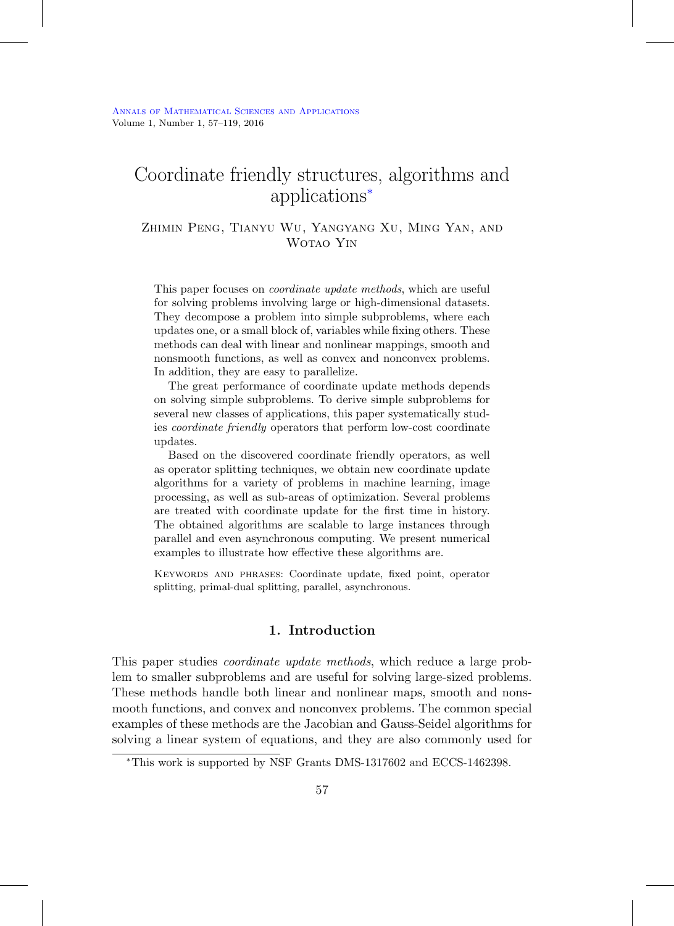# Coordinate friendly structures, algorithms and applications[∗](#page-0-0)

# Zhimin Peng, Tianyu Wu, Yangyang Xu, Ming Yan, and Wotao Yin

This paper focuses on coordinate update methods, which are useful for solving problems involving large or high-dimensional datasets. They decompose a problem into simple subproblems, where each updates one, or a small block of, variables while fixing others. These methods can deal with linear and nonlinear mappings, smooth and nonsmooth functions, as well as convex and nonconvex problems. In addition, they are easy to parallelize.

The great performance of coordinate update methods depends on solving simple subproblems. To derive simple subproblems for several new classes of applications, this paper systematically studies coordinate friendly operators that perform low-cost coordinate updates.

Based on the discovered coordinate friendly operators, as well as operator splitting techniques, we obtain new coordinate update algorithms for a variety of problems in machine learning, image processing, as well as sub-areas of optimization. Several problems are treated with coordinate update for the first time in history. The obtained algorithms are scalable to large instances through parallel and even asynchronous computing. We present numerical examples to illustrate how effective these algorithms are.

Keywords and phrases: Coordinate update, fixed point, operator splitting, primal-dual splitting, parallel, asynchronous.

# **1. Introduction**

<span id="page-0-1"></span>This paper studies coordinate update methods, which reduce a large problem to smaller subproblems and are useful for solving large-sized problems. These methods handle both linear and nonlinear maps, smooth and nonsmooth functions, and convex and nonconvex problems. The common special examples of these methods are the Jacobian and Gauss-Seidel algorithms for solving a linear system of equations, and they are also commonly used for

<span id="page-0-0"></span><sup>∗</sup>This work is supported by NSF Grants DMS-1317602 and ECCS-1462398.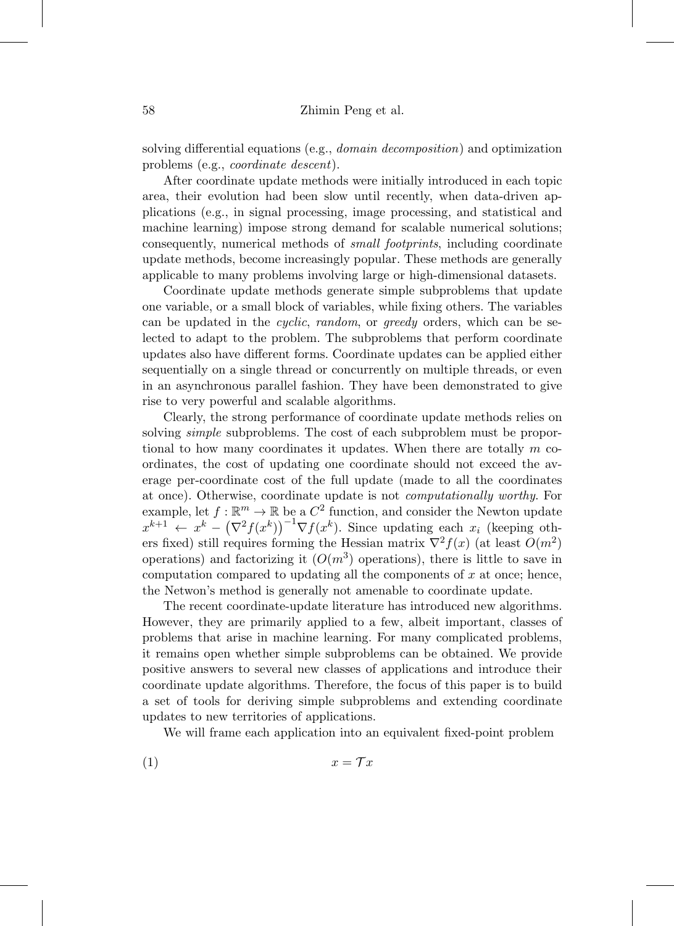solving differential equations (e.g., domain decomposition) and optimization problems (e.g., coordinate descent).

After coordinate update methods were initially introduced in each topic area, their evolution had been slow until recently, when data-driven applications (e.g., in signal processing, image processing, and statistical and machine learning) impose strong demand for scalable numerical solutions; consequently, numerical methods of small footprints, including coordinate update methods, become increasingly popular. These methods are generally applicable to many problems involving large or high-dimensional datasets.

Coordinate update methods generate simple subproblems that update one variable, or a small block of variables, while fixing others. The variables can be updated in the cyclic, random, or greedy orders, which can be selected to adapt to the problem. The subproblems that perform coordinate updates also have different forms. Coordinate updates can be applied either sequentially on a single thread or concurrently on multiple threads, or even in an asynchronous parallel fashion. They have been demonstrated to give rise to very powerful and scalable algorithms.

Clearly, the strong performance of coordinate update methods relies on solving *simple* subproblems. The cost of each subproblem must be proportional to how many coordinates it updates. When there are totally  $m$  coordinates, the cost of updating one coordinate should not exceed the average per-coordinate cost of the full update (made to all the coordinates at once). Otherwise, coordinate update is not computationally worthy. For example, let  $f : \mathbb{R}^m \to \mathbb{R}$  be a  $C^2$  function, and consider the Newton update  $x^{k+1}$   $\leftarrow$   $x^k - (\nabla^2 f(x^k))^{-1} \nabla f(x^k)$ . Since updating each  $x_i$  (keeping others fixed) still requires forming the Hessian matrix  $\nabla^2 f(x)$  (at least  $O(m^2)$ ) operations) and factorizing it  $(O(m^3)$  operations), there is little to save in computation compared to updating all the components of  $x$  at once; hence, the Netwon's method is generally not amenable to coordinate update.

The recent coordinate-update literature has introduced new algorithms. However, they are primarily applied to a few, albeit important, classes of problems that arise in machine learning. For many complicated problems, it remains open whether simple subproblems can be obtained. We provide positive answers to several new classes of applications and introduce their coordinate update algorithms. Therefore, the focus of this paper is to build a set of tools for deriving simple subproblems and extending coordinate updates to new territories of applications.

We will frame each application into an equivalent fixed-point problem

$$
(1) \t\t x = \mathcal{T}x
$$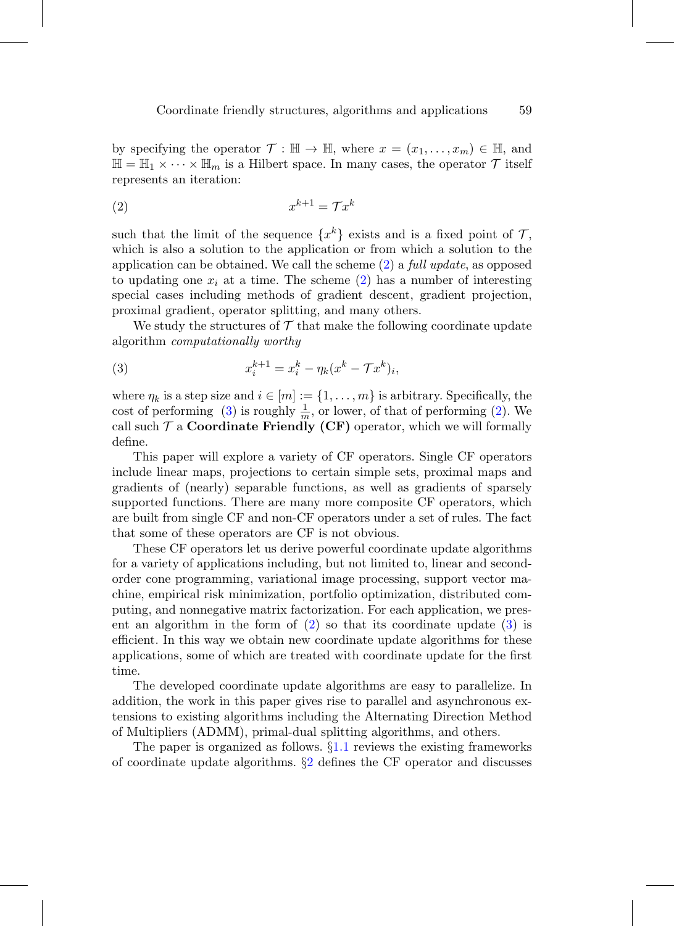by specifying the operator  $\mathcal{T} : \mathbb{H} \to \mathbb{H}$ , where  $x = (x_1, \ldots, x_m) \in \mathbb{H}$ , and  $\mathbb{H} = \mathbb{H}_1 \times \cdots \times \mathbb{H}_m$  is a Hilbert space. In many cases, the operator  $\mathcal{T}$  itself represents an iteration:

<span id="page-2-0"></span>
$$
(2) \t\t x^{k+1} = \mathcal{T}x^k
$$

such that the limit of the sequence  $\{x^k\}$  exists and is a fixed point of  $\mathcal{T}$ , which is also a solution to the application or from which a solution to the application can be obtained. We call the scheme  $(2)$  a full update, as opposed to updating one  $x_i$  at a time. The scheme [\(2\)](#page-2-0) has a number of interesting special cases including methods of gradient descent, gradient projection, proximal gradient, operator splitting, and many others.

We study the structures of  $\mathcal T$  that make the following coordinate update algorithm computationally worthy

<span id="page-2-1"></span>(3) 
$$
x_i^{k+1} = x_i^k - \eta_k (x^k - \mathcal{T}x^k)_i,
$$

where  $\eta_k$  is a step size and  $i \in [m] := \{1, \ldots, m\}$  is arbitrary. Specifically, the cost of performing [\(3\)](#page-2-1) is roughly  $\frac{1}{m}$ , or lower, of that of performing [\(2\)](#page-2-0). We call such  $\mathcal T$  a **Coordinate Friendly (CF)** operator, which we will formally define.

This paper will explore a variety of CF operators. Single CF operators include linear maps, projections to certain simple sets, proximal maps and gradients of (nearly) separable functions, as well as gradients of sparsely supported functions. There are many more composite CF operators, which are built from single CF and non-CF operators under a set of rules. The fact that some of these operators are CF is not obvious.

These CF operators let us derive powerful coordinate update algorithms for a variety of applications including, but not limited to, linear and secondorder cone programming, variational image processing, support vector machine, empirical risk minimization, portfolio optimization, distributed computing, and nonnegative matrix factorization. For each application, we present an algorithm in the form of [\(2\)](#page-2-0) so that its coordinate update [\(3\)](#page-2-1) is efficient. In this way we obtain new coordinate update algorithms for these applications, some of which are treated with coordinate update for the first time.

The developed coordinate update algorithms are easy to parallelize. In addition, the work in this paper gives rise to parallel and asynchronous extensions to existing algorithms including the Alternating Direction Method of Multipliers (ADMM), primal-dual splitting algorithms, and others.

The paper is organized as follows. §[1.1](#page-3-0) reviews the existing frameworks of coordinate update algorithms. §[2](#page-8-0) defines the CF operator and discusses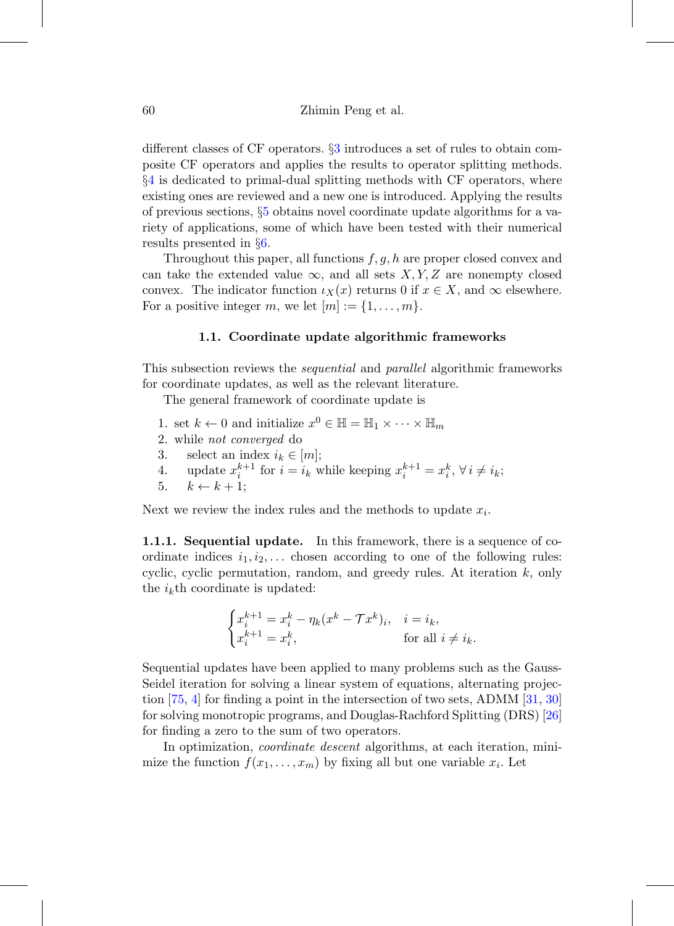different classes of CF operators. §[3](#page-14-0) introduces a set of rules to obtain composite CF operators and applies the results to operator splitting methods. §[4](#page-20-0) is dedicated to primal-dual splitting methods with CF operators, where existing ones are reviewed and a new one is introduced. Applying the results of previous sections, §[5](#page-27-0) obtains novel coordinate update algorithms for a variety of applications, some of which have been tested with their numerical results presented in §[6.](#page-40-0)

Throughout this paper, all functions  $f, g, h$  are proper closed convex and can take the extended value  $\infty$ , and all sets X, Y, Z are nonempty closed convex. The indicator function  $\iota_X(x)$  returns 0 if  $x \in X$ , and  $\infty$  elsewhere. For a positive integer m, we let  $[m] := \{1, \ldots, m\}.$ 

### **1.1. Coordinate update algorithmic frameworks**

<span id="page-3-0"></span>This subsection reviews the *sequential* and *parallel* algorithmic frameworks for coordinate updates, as well as the relevant literature.

The general framework of coordinate update is

- 1. set  $k \leftarrow 0$  and initialize  $x^0 \in \mathbb{H} = \mathbb{H}_1 \times \cdots \times \mathbb{H}_m$
- 2. while not converged do
- 3. select an index  $i_k \in [m]$ ;
- 4. update  $x_i^{k+1}$  for  $i = i_k$  while keeping  $x_i^{k+1} = x_i^k$ ,  $\forall i \neq i_k$ ;
- 5.  $k \leftarrow k + 1$ :

Next we review the index rules and the methods to update  $x_i$ .

**1.1.1. Sequential update.** In this framework, there is a sequence of coordinate indices  $i_1, i_2, \ldots$  chosen according to one of the following rules: cyclic, cyclic permutation, random, and greedy rules. At iteration  $k$ , only the  $i_k$ <sup>th</sup> coordinate is updated:

$$
\begin{cases} x_i^{k+1} = x_i^k - \eta_k (x^k - \mathcal{T}x^k)_i, & i = i_k, \\ x_i^{k+1} = x_i^k, & \text{for all } i \neq i_k. \end{cases}
$$

Sequential updates have been applied to many problems such as the Gauss-Seidel iteration for solving a linear system of equations, alternating projection [\[75](#page-60-0), [4\]](#page-54-0) for finding a point in the intersection of two sets, ADMM [\[31](#page-57-0), [30](#page-56-0)] for solving monotropic programs, and Douglas-Rachford Splitting (DRS) [\[26](#page-56-1)] for finding a zero to the sum of two operators.

In optimization, coordinate descent algorithms, at each iteration, minimize the function  $f(x_1,...,x_m)$  by fixing all but one variable  $x_i$ . Let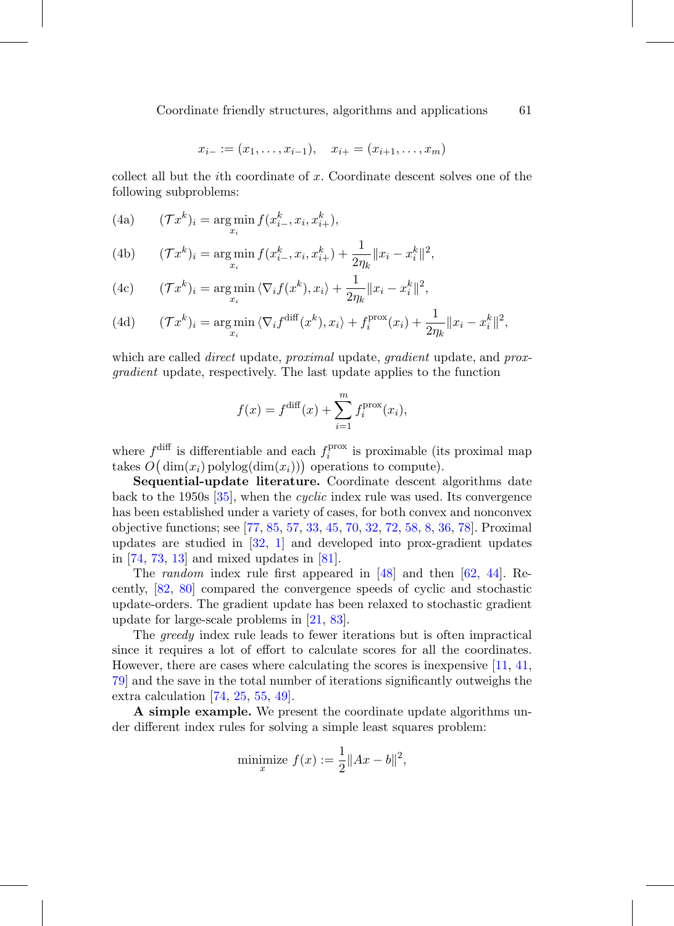$$
x_{i-} := (x_1, \ldots, x_{i-1}), \quad x_{i+} = (x_{i+1}, \ldots, x_m)
$$

collect all but the *i*th coordinate of  $x$ . Coordinate descent solves one of the following subproblems:

(4a) 
$$
(\mathcal{T}x^k)_i = \argmin_{x_i} f(x^k_{i-}, x_i, x^k_{i+}),
$$

(4b) 
$$
(\mathcal{T}x^k)_i = \underset{x_i}{\arg\min} f(x_{i-}^k, x_i, x_{i+}^k) + \frac{1}{2\eta_k} \|x_i - x_i^k\|^2,
$$

(4c) 
$$
(\mathcal{T}x^k)_i = \underset{x_i}{\arg\min} \langle \nabla_i f(x^k), x_i \rangle + \frac{1}{2\eta_k} ||x_i - x_i^k||^2,
$$

(4d) 
$$
(\mathcal{T}x^k)_i = \underset{x_i}{\arg\min} \langle \nabla_i f^{\text{diff}}(x^k), x_i \rangle + f_i^{\text{prox}}(x_i) + \frac{1}{2\eta_k} ||x_i - x_i^k||^2,
$$

which are called *direct* update, *proximal* update, *gradient* update, and *prox*gradient update, respectively. The last update applies to the function

$$
f(x) = f^{\text{diff}}(x) + \sum_{i=1}^{m} f_i^{\text{prox}}(x_i),
$$

where  $f_{i}^{\text{diff}}$  is differentiable and each  $f_{i}^{\text{prox}}$  is proximable (its proximal map takes  $O(dim(x_i)$  polylog $(dim(x_i)))$  operations to compute).

**Sequential-update literature.** Coordinate descent algorithms date back to the 1950s [\[35](#page-57-1)], when the cyclic index rule was used. Its convergence has been established under a variety of cases, for both convex and nonconvex objective functions; see [\[77,](#page-60-1) [85,](#page-61-0) [57,](#page-59-0) [33,](#page-57-2) [45](#page-58-0), [70](#page-60-2), [32](#page-57-3), [72](#page-60-3), [58](#page-59-1), [8](#page-55-0), [36](#page-57-4), [78](#page-61-1)]. Proximal updates are studied in [\[32,](#page-57-3) [1](#page-54-1)] and developed into prox-gradient updates in [\[74](#page-60-4), [73](#page-60-5), [13\]](#page-55-1) and mixed updates in [\[81\]](#page-61-2).

The random index rule first appeared in [\[48\]](#page-58-1) and then [\[62](#page-59-2), [44\]](#page-58-2). Recently, [\[82](#page-61-3), [80](#page-61-4)] compared the convergence speeds of cyclic and stochastic update-orders. The gradient update has been relaxed to stochastic gradient update for large-scale problems in [\[21](#page-56-2), [83](#page-61-5)].

The greedy index rule leads to fewer iterations but is often impractical since it requires a lot of effort to calculate scores for all the coordinates. However, there are cases where calculating the scores is inexpensive [\[11](#page-55-2), [41](#page-57-5), [79\]](#page-61-6) and the save in the total number of iterations significantly outweighs the extra calculation [\[74](#page-60-4), [25,](#page-56-3) [55](#page-59-3), [49\]](#page-58-3).

**A simple example.** We present the coordinate update algorithms under different index rules for solving a simple least squares problem:

minimize 
$$
f(x) := \frac{1}{2} ||Ax - b||^2
$$
,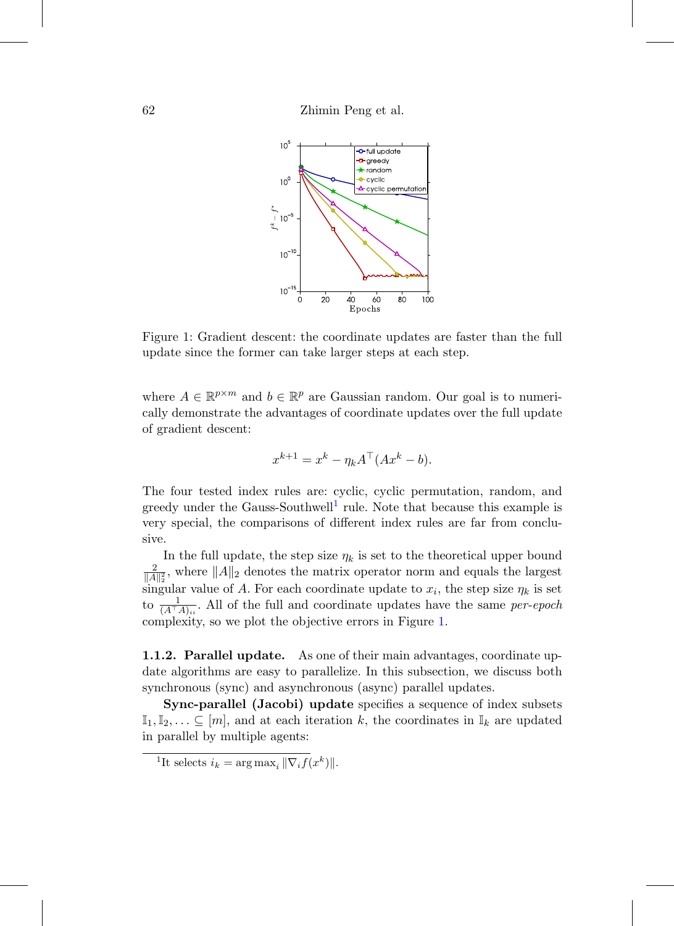

<span id="page-5-1"></span>Figure 1: Gradient descent: the coordinate updates are faster than the full update since the former can take larger steps at each step.

where  $A \in \mathbb{R}^{p \times m}$  and  $b \in \mathbb{R}^p$  are Gaussian random. Our goal is to numerically demonstrate the advantages of coordinate updates over the full update of gradient descent:

$$
x^{k+1} = x^k - \eta_k A^\top (Ax^k - b).
$$

The four tested index rules are: cyclic, cyclic permutation, random, and greedy under the Gauss-Southwell<sup>[1](#page-5-0)</sup> rule. Note that because this example is very special, the comparisons of different index rules are far from conclusive.

In the full update, the step size  $\eta_k$  is set to the theoretical upper bound  $\frac{2}{\|A\|_2^2}$ , where  $\|A\|_2$  denotes the matrix operator norm and equals the largest singular value of A. For each coordinate update to  $x_i$ , the step size  $\eta_k$  is set to  $\frac{1}{(A^{\top}A)_{ii}}$ . All of the full and coordinate updates have the same per-epoch complexity, so we plot the objective errors in Figure [1.](#page-5-1)

**1.1.2. Parallel update.** As one of their main advantages, coordinate update algorithms are easy to parallelize. In this subsection, we discuss both synchronous (sync) and asynchronous (async) parallel updates.

**Sync-parallel (Jacobi) update** specifies a sequence of index subsets  $\mathbb{I}_1, \mathbb{I}_2, \ldots \subseteq [m]$ , and at each iteration k, the coordinates in  $\mathbb{I}_k$  are updated in parallel by multiple agents:

<span id="page-5-0"></span><sup>&</sup>lt;sup>1</sup>It selects  $i_k = \arg \max_i ||\nabla_i f(x^k)||$ .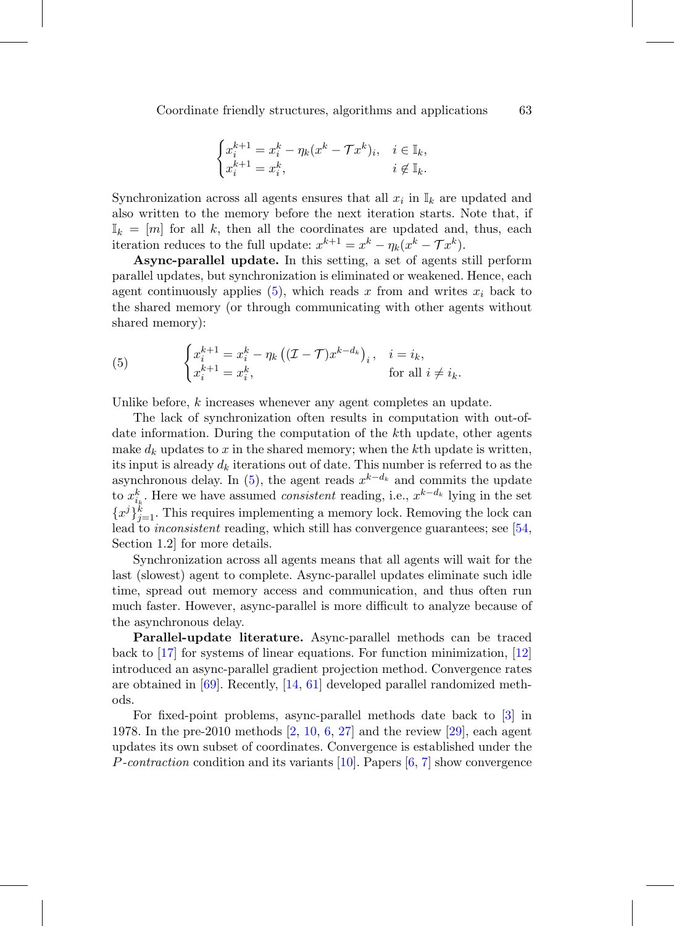$$
\begin{cases} x_i^{k+1}=x_i^k-\eta_k(x^k-\mathcal{T}x^k)_i, & i\in\mathbb{I}_k,\\ x_i^{k+1}=x_i^k, & i\not\in\mathbb{I}_k. \end{cases}
$$

Synchronization across all agents ensures that all  $x_i$  in  $\mathbb{I}_k$  are updated and also written to the memory before the next iteration starts. Note that, if  $\mathbb{I}_k = [m]$  for all k, then all the coordinates are updated and, thus, each iteration reduces to the full update:  $x^{k+1} = x^k - \eta_k(x^k - \mathcal{T}x^k)$ .

**Async-parallel update.** In this setting, a set of agents still perform parallel updates, but synchronization is eliminated or weakened. Hence, each agent continuously applies  $(5)$ , which reads x from and writes  $x_i$  back to the shared memory (or through communicating with other agents without shared memory):

<span id="page-6-0"></span>(5) 
$$
\begin{cases} x_i^{k+1} = x_i^k - \eta_k \left( (\mathcal{I} - \mathcal{T}) x^{k-d_k} \right)_i, & i = i_k, \\ x_i^{k+1} = x_i^k, & \text{for all } i \neq i_k. \end{cases}
$$

Unlike before, k increases whenever any agent completes an update.

The lack of synchronization often results in computation with out-ofdate information. During the computation of the kth update, other agents make  $d_k$  updates to x in the shared memory; when the kth update is written, its input is already  $d_k$  iterations out of date. This number is referred to as the asynchronous delay. In [\(5\)](#page-6-0), the agent reads  $x^{k-d_k}$  and commits the update to  $x_{i_k}^k$ . Here we have assumed *consistent* reading, i.e.,  $x^{k-d_k}$  lying in the set  ${x^j}_{j=1}^k$ . This requires implementing a memory lock. Removing the lock can lead to *inconsistent* reading, which still has convergence guarantees; see [\[54](#page-59-4), Section 1.2] for more details.

Synchronization across all agents means that all agents will wait for the last (slowest) agent to complete. Async-parallel updates eliminate such idle time, spread out memory access and communication, and thus often run much faster. However, async-parallel is more difficult to analyze because of the asynchronous delay.

**Parallel-update literature.** Async-parallel methods can be traced back to [\[17](#page-55-3)] for systems of linear equations. For function minimization, [\[12](#page-55-4)] introduced an async-parallel gradient projection method. Convergence rates are obtained in [\[69\]](#page-60-6). Recently, [\[14](#page-55-5), [61\]](#page-59-5) developed parallel randomized methods.

For fixed-point problems, async-parallel methods date back to [\[3\]](#page-54-2) in 1978. In the pre-2010 methods [\[2](#page-54-3), [10,](#page-55-6) [6,](#page-54-4) [27](#page-56-4)] and the review [\[29\]](#page-56-5), each agent updates its own subset of coordinates. Convergence is established under the P-contraction condition and its variants [\[10\]](#page-55-6). Papers [\[6](#page-54-4), [7\]](#page-55-7) show convergence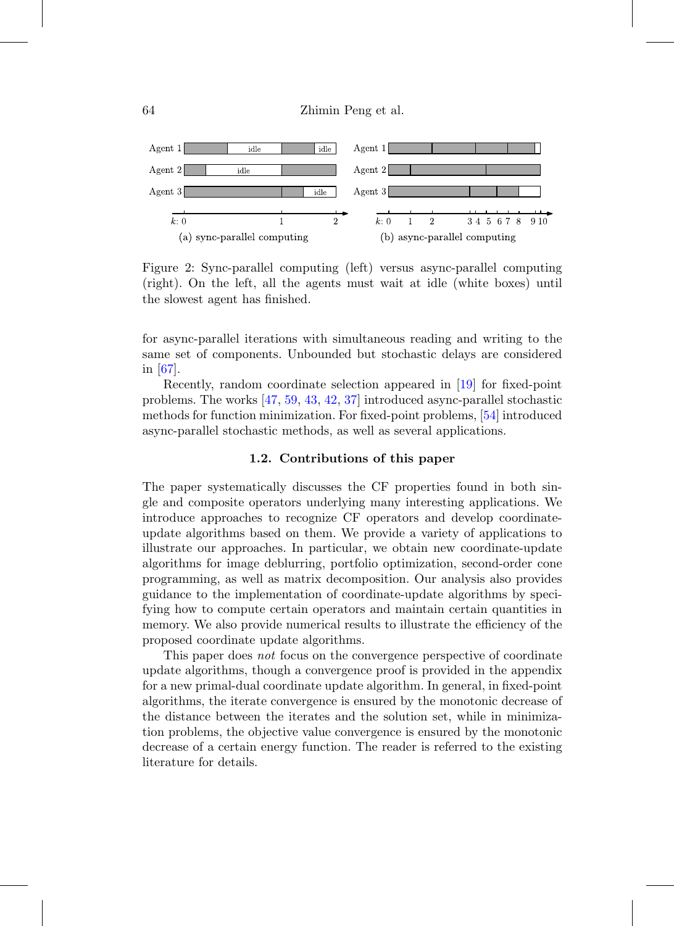

Figure 2: Sync-parallel computing (left) versus async-parallel computing (right). On the left, all the agents must wait at idle (white boxes) until the slowest agent has finished.

for async-parallel iterations with simultaneous reading and writing to the same set of components. Unbounded but stochastic delays are considered in [\[67](#page-60-7)].

Recently, random coordinate selection appeared in [\[19\]](#page-56-6) for fixed-point problems. The works [\[47](#page-58-4), [59](#page-59-6), [43](#page-58-5), [42](#page-57-6), [37](#page-57-7)] introduced async-parallel stochastic methods for function minimization. For fixed-point problems, [\[54\]](#page-59-4) introduced async-parallel stochastic methods, as well as several applications.

### **1.2. Contributions of this paper**

The paper systematically discusses the CF properties found in both single and composite operators underlying many interesting applications. We introduce approaches to recognize CF operators and develop coordinateupdate algorithms based on them. We provide a variety of applications to illustrate our approaches. In particular, we obtain new coordinate-update algorithms for image deblurring, portfolio optimization, second-order cone programming, as well as matrix decomposition. Our analysis also provides guidance to the implementation of coordinate-update algorithms by specifying how to compute certain operators and maintain certain quantities in memory. We also provide numerical results to illustrate the efficiency of the proposed coordinate update algorithms.

This paper does *not* focus on the convergence perspective of coordinate update algorithms, though a convergence proof is provided in the appendix for a new primal-dual coordinate update algorithm. In general, in fixed-point algorithms, the iterate convergence is ensured by the monotonic decrease of the distance between the iterates and the solution set, while in minimization problems, the objective value convergence is ensured by the monotonic decrease of a certain energy function. The reader is referred to the existing literature for details.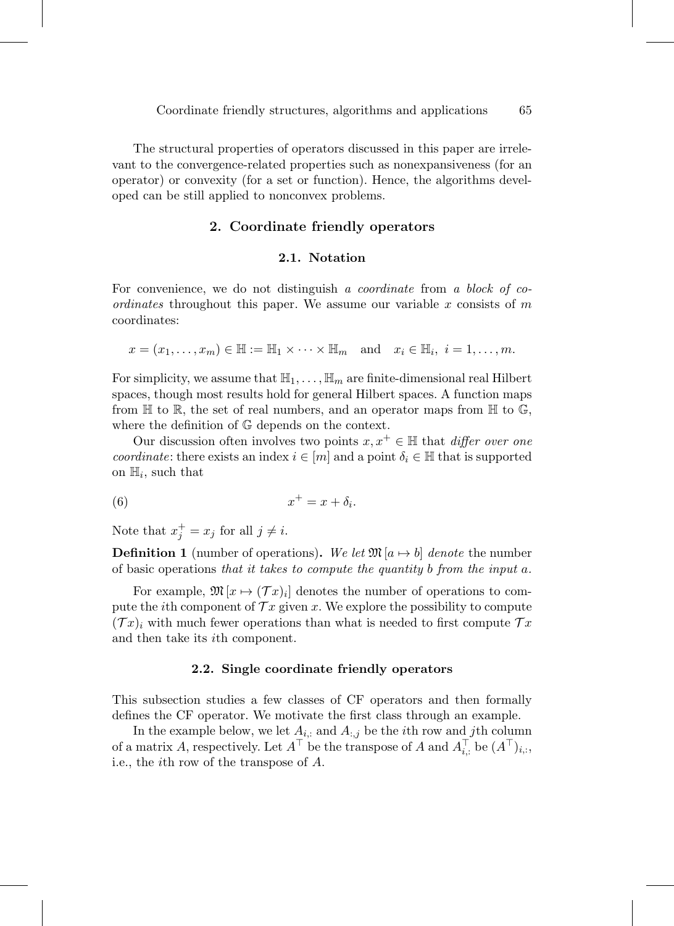<span id="page-8-0"></span>The structural properties of operators discussed in this paper are irrelevant to the convergence-related properties such as nonexpansiveness (for an operator) or convexity (for a set or function). Hence, the algorithms developed can be still applied to nonconvex problems.

### **2. Coordinate friendly operators**

### **2.1. Notation**

For convenience, we do not distinguish a *coordinate* from a block of co*ordinates* throughout this paper. We assume our variable x consists of  $m$ coordinates:

$$
x = (x_1, \ldots, x_m) \in \mathbb{H} := \mathbb{H}_1 \times \cdots \times \mathbb{H}_m
$$
 and  $x_i \in \mathbb{H}_i$ ,  $i = 1, \ldots, m$ .

For simplicity, we assume that  $\mathbb{H}_1,\ldots,\mathbb{H}_m$  are finite-dimensional real Hilbert spaces, though most results hold for general Hilbert spaces. A function maps from  $\mathbb H$  to  $\mathbb R$ , the set of real numbers, and an operator maps from  $\mathbb H$  to  $\mathbb G$ , where the definition of G depends on the context.

Our discussion often involves two points  $x, x^+ \in \mathbb{H}$  that *differ over one* coordinate: there exists an index  $i \in [m]$  and a point  $\delta_i \in \mathbb{H}$  that is supported on  $\mathbb{H}_i$ , such that

<span id="page-8-1"></span>
$$
(6) \t\t x^+ = x + \delta_i.
$$

Note that  $x_j^+ = x_j$  for all  $j \neq i$ .

**Definition 1** (number of operations). We let  $\mathfrak{M}[a \mapsto b]$  denote the number of basic operations that it takes to compute the quantity b from the input a.

For example,  $\mathfrak{M}[x \mapsto (\mathcal{T}x)_i]$  denotes the number of operations to compute the *i*th component of  $\mathcal{T} x$  given x. We explore the possibility to compute  $(\mathcal{T}x)_i$  with much fewer operations than what is needed to first compute  $\mathcal{T}x$ and then take its ith component.

#### **2.2. Single coordinate friendly operators**

This subsection studies a few classes of CF operators and then formally defines the CF operator. We motivate the first class through an example.

In the example below, we let  $A_{i,:}$  and  $A_{:,j}$  be the *i*th row and *j*th column of a matrix A, respectively. Let  $A^{\top}$  be the transpose of A and  $A_{i,:}^{\top}$  be  $(A^{\top})_{i,:}$ , i.e., the ith row of the transpose of A.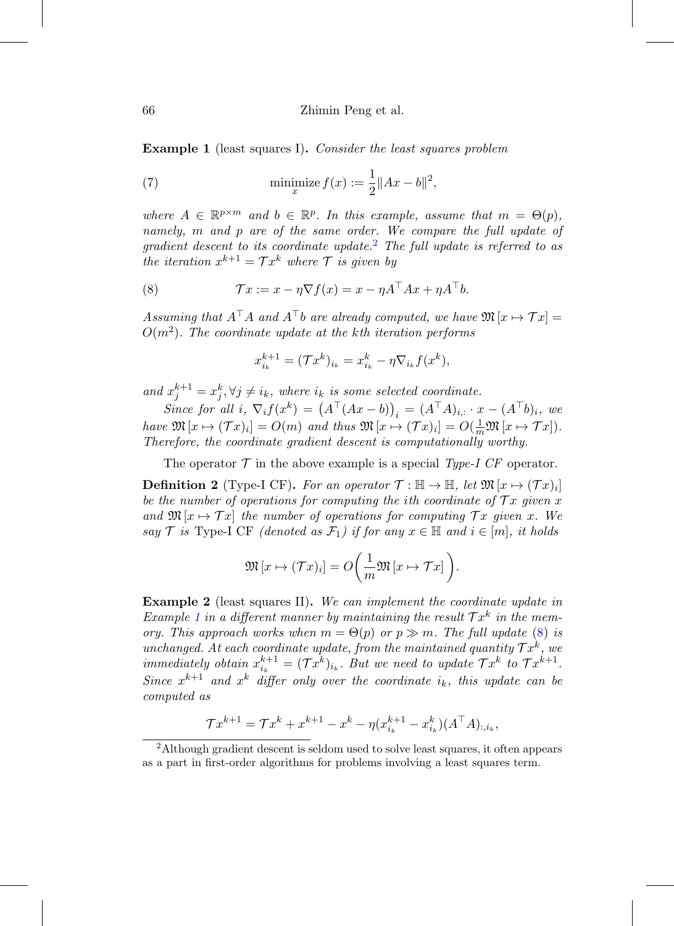<span id="page-9-1"></span>**Example 1** (least squares I). Consider the least squares problem

(7) 
$$
\min_{x} \text{imize } f(x) := \frac{1}{2} \|Ax - b\|^2,
$$

where  $A \in \mathbb{R}^{p \times m}$  and  $b \in \mathbb{R}^p$ . In this example, assume that  $m = \Theta(p)$ , namely, m and p are of the same order. We compare the full update of gradient descent to its coordinate update.<sup>[2](#page-9-0)</sup> The full update is referred to as the iteration  $x^{k+1} = \mathcal{T} x^k$  where  $\mathcal{T}$  is given by

(8) 
$$
\mathcal{T}x := x - \eta \nabla f(x) = x - \eta A^{\top} A x + \eta A^{\top} b.
$$

Assuming that  $A^{\top}A$  and  $A^{\top}b$  are already computed, we have  $\mathfrak{M}\left[x\mapsto \mathcal{T} x\right]=$  $O(m^2)$ . The coordinate update at the kth iteration performs

<span id="page-9-2"></span>
$$
x_{i_k}^{k+1} = (\mathcal{T}x^k)_{i_k} = x_{i_k}^k - \eta \nabla_{i_k} f(x^k),
$$

and  $x_j^{k+1} = x_j^k, \forall j \neq i_k$ , where  $i_k$  is some selected coordinate.

Since for all i,  $\nabla_i f(x^k) = (A^{\top} (Ax - b))_i = (A^{\top} A)_{i,:} \cdot x - (A^{\top} b)_i$ , we have  $\mathfrak{M}[x \mapsto (\mathcal{T}x)_i] = O(m)$  and thus  $\mathfrak{M}[x \mapsto (\mathcal{T}x)_i] = O(\frac{1}{m}\mathfrak{M}[x \mapsto \mathcal{T}x]).$ Therefore, the coordinate gradient descent is computationally worthy.

The operator  $\mathcal T$  in the above example is a special Type-I CF operator.

**Definition 2** (Type-I CF). For an operator  $\mathcal{T} : \mathbb{H} \to \mathbb{H}$ , let  $\mathfrak{M}[x \mapsto (\mathcal{T} x)_i]$ be the number of operations for computing the ith coordinate of  $\mathcal{T} x$  given x and  $\mathfrak{M}[x \mapsto \mathcal{T}x]$  the number of operations for computing  $\mathcal{T}x$  given x. We say T is Type-I CF (denoted as  $\mathcal{F}_1$ ) if for any  $x \in \mathbb{H}$  and  $i \in [m]$ , it holds

$$
\mathfrak{M}\left[x\mapsto(\mathcal{T}x)_i\right]=O\bigg(\frac{1}{m}\mathfrak{M}\left[x\mapsto\mathcal{T}x\right]\bigg).
$$

<span id="page-9-3"></span>**Example 2** (least squares II). We can implement the coordinate update in Example [1](#page-9-1) in a different manner by maintaining the result  $\mathcal{T} x^k$  in the memory. This approach works when  $m = \Theta(p)$  or  $p \gg m$ . The full update [\(8\)](#page-9-2) is unchanged. At each coordinate update, from the maintained quantity  $\mathcal{T} x^k$ , we immediately obtain  $x_{i_k}^{k+1} = (\mathcal{T} x^k)_{i_k}$ . But we need to update  $\mathcal{T} x^k$  to  $\mathcal{T} x^{k+1}$ . Since  $x^{k+1}$  and  $x^k$  differ only over the coordinate  $i_k$ , this update can be computed as

$$
\mathcal{T}x^{k+1} = \mathcal{T}x^k + x^{k+1} - x^k - \eta(x_{i_k}^{k+1} - x_{i_k}^k)(A^{\top}A)_{:,i_k},
$$

<span id="page-9-0"></span><sup>2</sup>Although gradient descent is seldom used to solve least squares, it often appears as a part in first-order algorithms for problems involving a least squares term.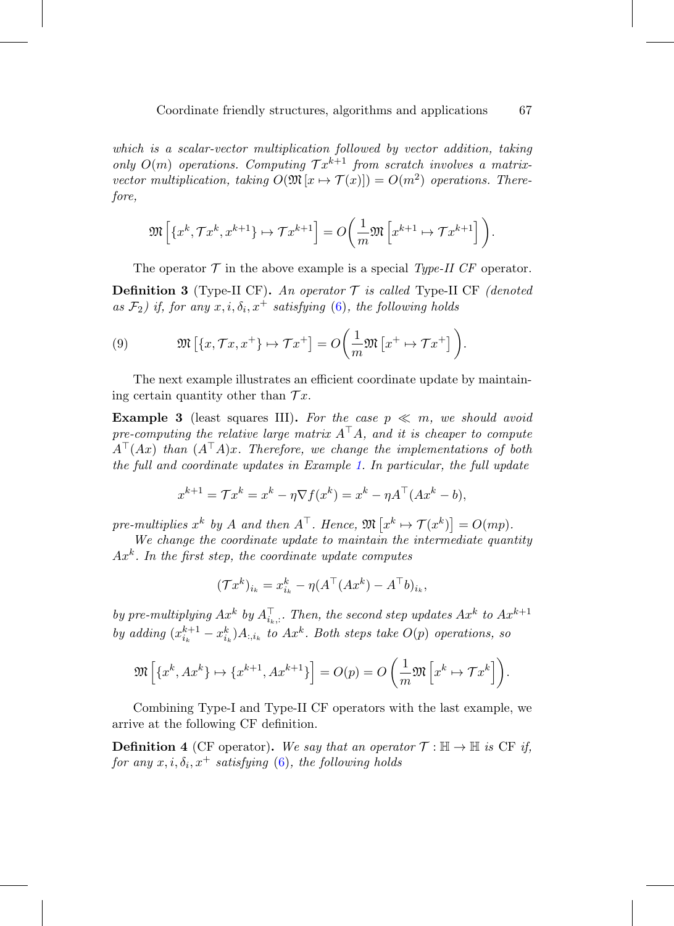which is a scalar-vector multiplication followed by vector addition, taking only  $O(m)$  operations. Computing  $\mathcal{T} x^{k+1}$  from scratch involves a matrixvector multiplication, taking  $O(\mathfrak{M}\left[x \mapsto \mathcal{T}(x)\right]) = O(m^2)$  operations. Therefore,

$$
\mathfrak{M}\left[\left\{x^k, \mathcal{T}x^k, x^{k+1}\right\} \mapsto \mathcal{T}x^{k+1}\right] = O\left(\frac{1}{m}\mathfrak{M}\left[x^{k+1} \mapsto \mathcal{T}x^{k+1}\right]\right).
$$

The operator  $\mathcal T$  in the above example is a special Type-II CF operator.

**Definition 3** (Type-II CF). An operator  $\mathcal T$  is called Type-II CF (denoted as  $\mathcal{F}_2$ ) if, for any  $x, i, \delta_i, x^+$  satisfying [\(6\)](#page-8-1), the following holds

<span id="page-10-0"></span>(9) 
$$
\mathfrak{M}\left[\left\{x,\mathcal{T}x,x^+\right\}\mapsto \mathcal{T}x^+\right]=O\left(\frac{1}{m}\mathfrak{M}\left[x^+\mapsto \mathcal{T}x^+\right]\right).
$$

The next example illustrates an efficient coordinate update by maintaining certain quantity other than  $\mathcal{T} x$ .

**Example 3** (least squares III). For the case  $p \ll m$ , we should avoid pre-computing the relative large matrix  $A^{\top}A$ , and it is cheaper to compute  $A^{\top}(Ax)$  than  $(A^{\top}A)x$ . Therefore, we change the implementations of both the full and coordinate updates in Example [1.](#page-9-1) In particular, the full update

$$
x^{k+1} = \mathcal{T}x^k = x^k - \eta \nabla f(x^k) = x^k - \eta A^{\top} (Ax^k - b),
$$

pre-multiplies  $x^k$  by A and then  $A^{\top}$ . Hence,  $\mathfrak{M}\left[x^k \mapsto \mathcal{T}(x^k)\right] = O(mp)$ .

We change the coordinate update to maintain the intermediate quantity  $Ax<sup>k</sup>$ . In the first step, the coordinate update computes

$$
(\mathcal{T}x^k)_{i_k} = x_{i_k}^k - \eta (A^\top (Ax^k) - A^\top b)_{i_k},
$$

by pre-multiplying  $Ax^k$  by  $A_{i_k,:}^{\top}$ . Then, the second step updates  $Ax^k$  to  $Ax^{k+1}$ by adding  $(x_{i_k}^{k+1} - x_{i_k}^k)A_{:,i_k}$  to  $Ax^k$ . Both steps take  $O(p)$  operations, so

$$
\mathfrak{M}\left[\left\{x^k, Ax^k\right\} \mapsto \left\{x^{k+1}, Ax^{k+1}\right\}\right] = O(p) = O\left(\frac{1}{m}\mathfrak{M}\left[x^k \mapsto \mathcal{T}x^k\right]\right).
$$

Combining Type-I and Type-II CF operators with the last example, we arrive at the following CF definition.

**Definition 4** (CF operator). We say that an operator  $\mathcal{T} : \mathbb{H} \to \mathbb{H}$  is CF if, for any  $x, i, \delta_i, x^+$  satisfying [\(6\)](#page-8-1), the following holds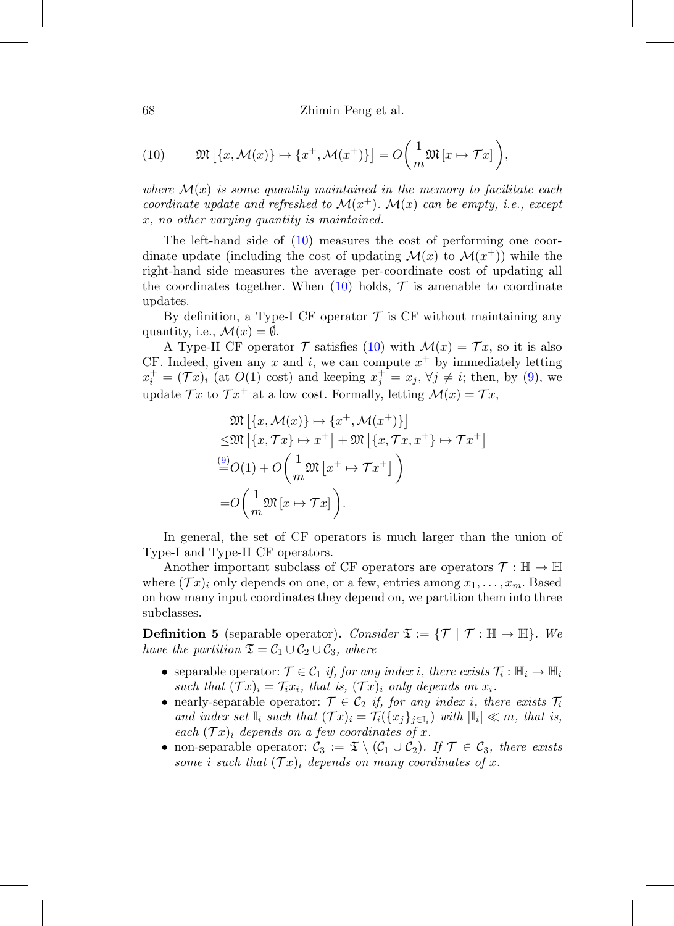68 Zhimin Peng et al.

<span id="page-11-0"></span>(10) 
$$
\mathfrak{M}\left[\left\{x,\mathcal{M}(x)\right\}\mapsto\left\{x^+,\mathcal{M}(x^+)\right\}\right]=O\left(\frac{1}{m}\mathfrak{M}\left[x\mapsto\mathcal{T}x\right]\right),
$$

where  $\mathcal{M}(x)$  is some quantity maintained in the memory to facilitate each coordinate update and refreshed to  $\mathcal{M}(x^+)$ .  $\mathcal{M}(x)$  can be empty, i.e., except x, no other varying quantity is maintained.

The left-hand side of [\(10\)](#page-11-0) measures the cost of performing one coordinate update (including the cost of updating  $\mathcal{M}(x)$  to  $\mathcal{M}(x^+)$ ) while the right-hand side measures the average per-coordinate cost of updating all the coordinates together. When  $(10)$  holds,  $\mathcal T$  is amenable to coordinate updates.

By definition, a Type-I CF operator  $\mathcal T$  is CF without maintaining any quantity, i.e.,  $\mathcal{M}(x) = \emptyset$ .

A Type-II CF operator  $\mathcal T$  satisfies [\(10\)](#page-11-0) with  $\mathcal M(x) = \mathcal Tx$ , so it is also CF. Indeed, given any x and i, we can compute  $x^+$  by immediately letting  $x_i^+ = (\mathcal{T}x)_i$  (at  $O(1)$  cost) and keeping  $x_j^+ = x_j$ ,  $\forall j \neq i$ ; then, by [\(9\)](#page-10-0), we update  $\mathcal{T}x$  to  $\mathcal{T}x^+$  at a low cost. Formally, letting  $\mathcal{M}(x) = \mathcal{T}x$ ,

$$
\mathfrak{M}\left[\{x,\mathcal{M}(x)\}\mapsto\{x^+,\mathcal{M}(x^+)\}\right] \n\leq \mathfrak{M}\left[\{x,\mathcal{T}x\}\mapsto x^+\right] + \mathfrak{M}\left[\{x,\mathcal{T}x,x^+\}\mapsto \mathcal{T}x^+\right] \n\stackrel{(9)}{=} O(1) + O\left(\frac{1}{m}\mathfrak{M}\left[x^+\mapsto \mathcal{T}x^+\right]\right) \n= O\left(\frac{1}{m}\mathfrak{M}\left[x\mapsto \mathcal{T}x\right]\right).
$$

In general, the set of CF operators is much larger than the union of Type-I and Type-II CF operators.

Another important subclass of CF operators are operators  $\mathcal{T} : \mathbb{H} \to \mathbb{H}$ where  $(\mathcal{T}x)_i$  only depends on one, or a few, entries among  $x_1, \ldots, x_m$ . Based on how many input coordinates they depend on, we partition them into three subclasses.

**Definition 5** (separable operator). Consider  $\mathfrak{T} := \{ \mathcal{T} \mid \mathcal{T} : \mathbb{H} \to \mathbb{H} \}$ . We have the partition  $\mathfrak{T} = \mathcal{C}_1 \cup \mathcal{C}_2 \cup \mathcal{C}_3$ , where

- separable operator:  $\mathcal{T} \in \mathcal{C}_1$  if, for any index i, there exists  $\mathcal{T}_i : \mathbb{H}_i \to \mathbb{H}_i$ such that  $(\mathcal{T} x)_i = \mathcal{T}_i x_i$ , that is,  $(\mathcal{T} x)_i$  only depends on  $x_i$ .
- nearly-separable operator:  $\mathcal{T} \in \mathcal{C}_2$  if, for any index i, there exists  $\mathcal{T}_i$ and index set  $\mathbb{I}_i$  such that  $(\mathcal{T} x)_i = \mathcal{T}_i({x_i}_{i \in \mathbb{I}_i})$  with  $|\mathbb{I}_i| \ll m$ , that is, each  $(\mathcal{T} x)_i$  depends on a few coordinates of x.
- non-separable operator:  $C_3 := \mathfrak{T} \setminus (C_1 \cup C_2)$ . If  $\mathcal{T} \in C_3$ , there exists some i such that  $(\mathcal{T} x)_i$  depends on many coordinates of x.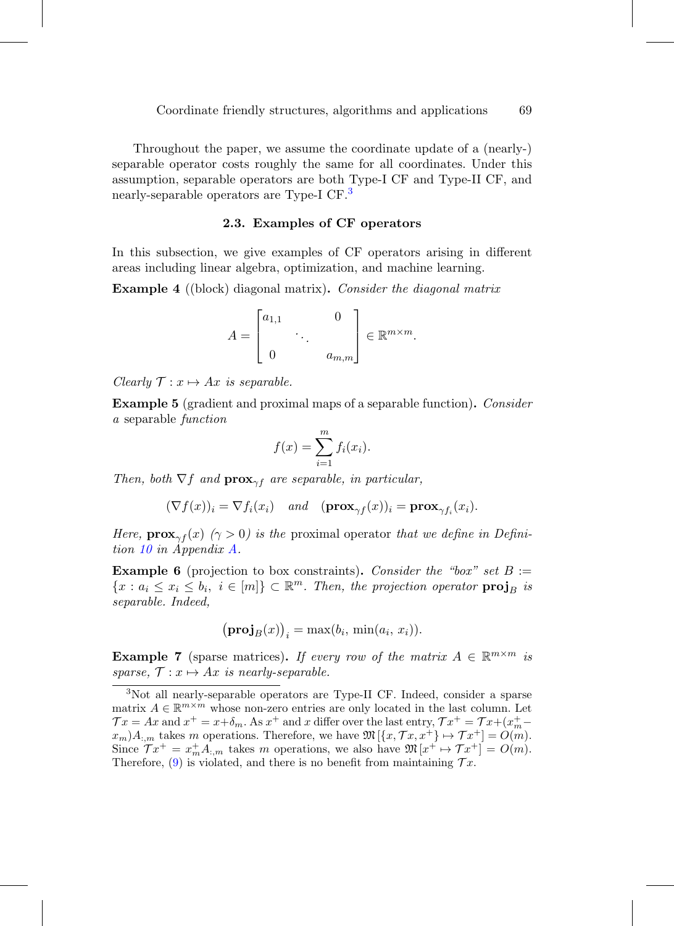Throughout the paper, we assume the coordinate update of a (nearly-) separable operator costs roughly the same for all coordinates. Under this assumption, separable operators are both Type-I CF and Type-II CF, and nearly-separable operators are Type-I CF.<sup>[3](#page-12-0)</sup>

#### **2.3. Examples of CF operators**

In this subsection, we give examples of CF operators arising in different areas including linear algebra, optimization, and machine learning.

**Example 4** ((block) diagonal matrix). Consider the diagonal matrix

$$
A = \begin{bmatrix} a_{1,1} & & 0 \\ & \ddots & \\ 0 & & a_{m,m} \end{bmatrix} \in \mathbb{R}^{m \times m}.
$$

Clearly  $\mathcal{T}: x \mapsto Ax$  is separable.

**Example 5** (gradient and proximal maps of a separable function)**.** Consider a separable function

$$
f(x) = \sum_{i=1}^{m} f_i(x_i).
$$

Then, both  $\nabla f$  and  $\mathbf{prox}_{\gamma f}$  are separable, in particular,

$$
(\nabla f(x))_i = \nabla f_i(x_i) \quad and \quad (\mathbf{prox}_{\gamma f}(x))_i = \mathbf{prox}_{\gamma f_i}(x_i).
$$

Here,  $\mathbf{prox}_{\gamma f}(x)$  ( $\gamma > 0$ ) is the proximal operator that we define in Definition [10](#page-46-0) in Appendix [A.](#page-0-1)

**Example 6** (projection to box constraints). Consider the "box" set  $B :=$  ${x : a_i \leq x_i \leq b_i, i \in [m]} \subset \mathbb{R}^m$ . Then, the projection operator  $\text{proj}_B$  is separable. Indeed,

$$
(\mathbf{proj}_B(x))_i = \max(b_i, \, \min(a_i, \, x_i)).
$$

**Example 7** (sparse matrices). If every row of the matrix  $A \in \mathbb{R}^{m \times m}$  is sparse,  $\mathcal{T}: x \mapsto Ax$  is nearly-separable.

<span id="page-12-0"></span><sup>3</sup>Not all nearly-separable operators are Type-II CF. Indeed, consider a sparse matrix  $A \in \mathbb{R}^{m \times m}$  whose non-zero entries are only located in the last column. Let  $\mathcal{T} x = Ax$  and  $x^+ = x + \delta_m$ . As  $x^+$  and x differ over the last entry,  $\mathcal{T} x^+ = \mathcal{T} x + (x^+_{m} - x^+_{m})$  $x_m$ , takes m operations. Therefore, we have  $\mathfrak{M}[\{x, \mathcal{T}x, x^+\} \mapsto \mathcal{T}x^+] = O(m)$ . Since  $\mathcal{T} x^+ = x^+_{m} A_{:,m}$  takes m operations, we also have  $\mathfrak{M} [x^+ \mapsto \mathcal{T} x^+] = O(m)$ . Therefore, [\(9\)](#page-10-0) is violated, and there is no benefit from maintaining  $\mathcal{T}x$ .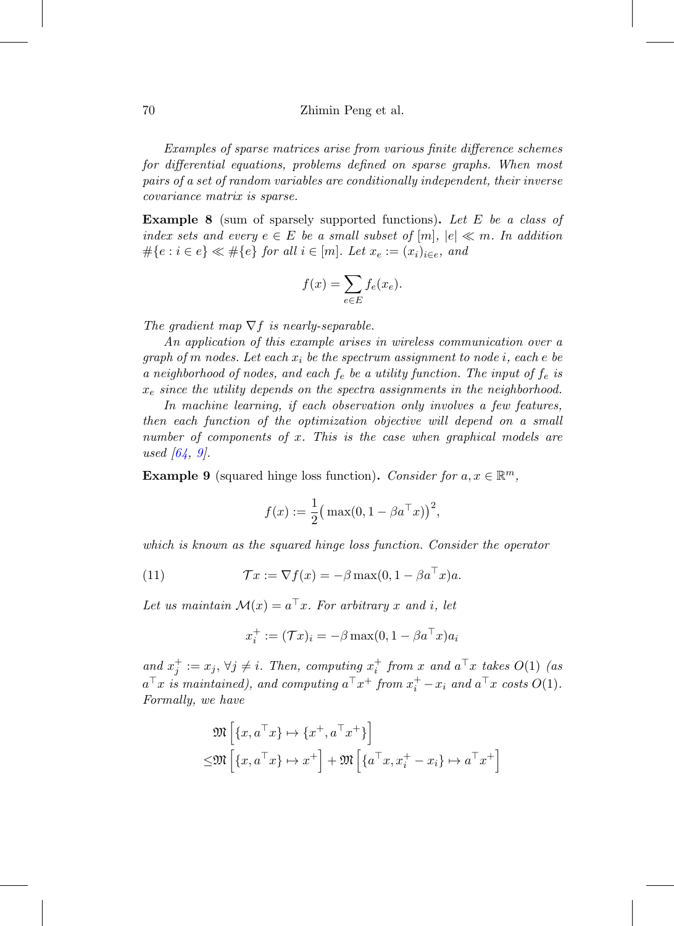#### 70 Zhimin Peng et al.

Examples of sparse matrices arise from various finite difference schemes for differential equations, problems defined on sparse graphs. When most pairs of a set of random variables are conditionally independent, their inverse covariance matrix is sparse.

**Example 8** (sum of sparsely supported functions)**.** Let E be a class of index sets and every  $e \in E$  be a small subset of  $[m], |e| \ll m$ . In addition  $\#\{e : i \in e\} \ll \#\{e\}$  for all  $i \in [m]$ . Let  $x_e := (x_i)_{i \in e}$ , and

$$
f(x) = \sum_{e \in E} f_e(x_e).
$$

The gradient map  $\nabla f$  is nearly-separable.

An application of this example arises in wireless communication over a graph of m nodes. Let each  $x_i$  be the spectrum assignment to node i, each e be a neighborhood of nodes, and each  $f_e$  be a utility function. The input of  $f_e$  is  $x_e$  since the utility depends on the spectra assignments in the neighborhood.

In machine learning, if each observation only involves a few features, then each function of the optimization objective will depend on a small number of components of x. This is the case when graphical models are used  $[64, 9]$  $[64, 9]$  $[64, 9]$  $[64, 9]$ .

<span id="page-13-1"></span>**Example 9** (squared hinge loss function). Consider for  $a, x \in \mathbb{R}^m$ ,

$$
f(x) := \frac{1}{2} (\max(0, 1 - \beta a^{\top} x))^2,
$$

which is known as the squared hinge loss function. Consider the operator

(11) 
$$
\mathcal{T}x := \nabla f(x) = -\beta \max(0, 1 - \beta a^{\top} x)a.
$$

Let us maintain  $\mathcal{M}(x) = a^{\top}x$ . For arbitrary x and i, let

<span id="page-13-0"></span>
$$
x_i^+ := (\mathcal{T} x)_i = -\beta \max(0, 1 - \beta a^\top x) a_i
$$

and  $x_j^+ := x_j$ ,  $\forall j \neq i$ . Then, computing  $x_i^+$  from x and  $a^{\top}x$  takes  $O(1)$  (as  $a^{\top}x$  is maintained), and computing  $a^{\top}x^{+}$  from  $x_{i}^{+}-x_{i}$  and  $a^{\top}x$  costs  $O(1)$ . Formally, we have

$$
\mathfrak{M}\left[\{x, a^{\top}x\} \mapsto \{x^+, a^{\top}x^+\}\right] \leq \mathfrak{M}\left[\{x, a^{\top}x\} \mapsto x^+\right] + \mathfrak{M}\left[\{a^{\top}x, x_i^+ - x_i\} \mapsto a^{\top}x^+\right]
$$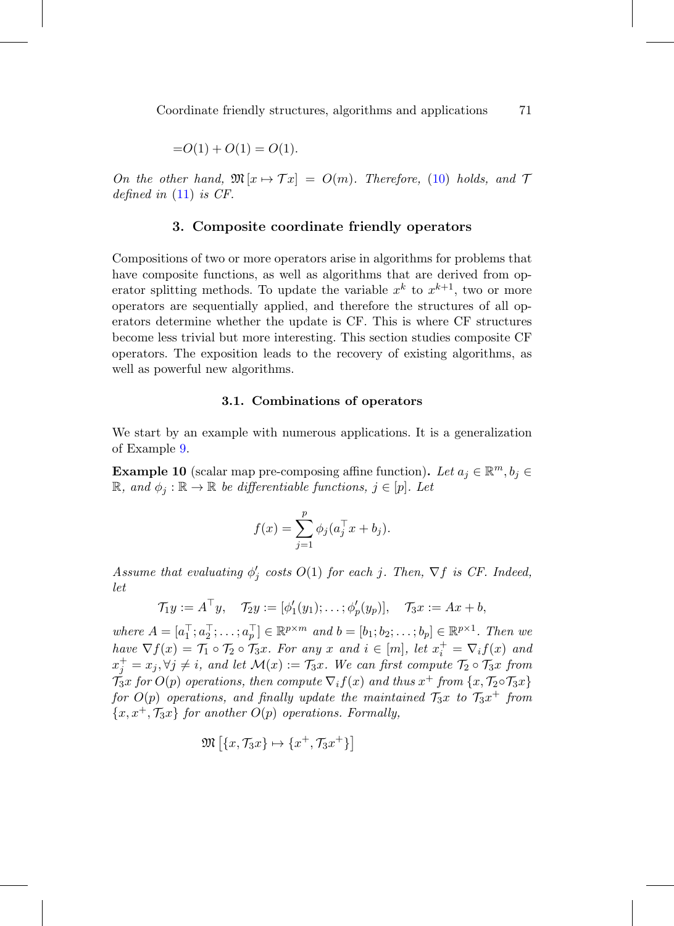$$
=O(1) + O(1) = O(1).
$$

<span id="page-14-0"></span>On the other hand,  $\mathfrak{M}[x \mapsto \mathcal{T}x] = O(m)$ . Therefore, [\(10\)](#page-11-0) holds, and  $\mathcal{T}$ defined in  $(11)$  is CF.

# **3. Composite coordinate friendly operators**

Compositions of two or more operators arise in algorithms for problems that have composite functions, as well as algorithms that are derived from operator splitting methods. To update the variable  $x^k$  to  $x^{k+1}$ , two or more operators are sequentially applied, and therefore the structures of all operators determine whether the update is CF. This is where CF structures become less trivial but more interesting. This section studies composite CF operators. The exposition leads to the recovery of existing algorithms, as well as powerful new algorithms.

#### **3.1. Combinations of operators**

<span id="page-14-2"></span>We start by an example with numerous applications. It is a generalization of Example [9.](#page-13-1)

<span id="page-14-1"></span>**Example 10** (scalar map pre-composing affine function). Let  $a_i \in \mathbb{R}^m$ ,  $b_i \in$  $\mathbb{R}$ , and  $\phi_i : \mathbb{R} \to \mathbb{R}$  be differentiable functions,  $j \in [p]$ . Let

$$
f(x) = \sum_{j=1}^{p} \phi_j (a_j^{\top} x + b_j).
$$

Assume that evaluating  $\phi'_j$  costs  $O(1)$  for each j. Then,  $\nabla f$  is CF. Indeed, let

$$
\mathcal{T}_1y:=A^\top y, \quad \mathcal{T}_2y:=[\phi_1'(y_1);\ldots;\phi_p'(y_p)], \quad \mathcal{T}_3x:=Ax+b,
$$

where  $A = [a_1^\top; a_2^\top; \dots; a_p^\top] \in \mathbb{R}^{p \times m}$  and  $b = [b_1; b_2; \dots; b_p] \in \mathbb{R}^{p \times 1}$ . Then we have  $\nabla f(x) = \mathcal{T}_1 \circ \mathcal{T}_2 \circ \mathcal{T}_3 x$ . For any x and  $i \in [m]$ , let  $x_i^+ = \nabla_i f(x)$  and  $x_j^+ = x_j, \forall j \neq i$ , and let  $\mathcal{M}(x) := \mathcal{T}_3x$ . We can first compute  $\mathcal{T}_2 \circ \mathcal{T}_3x$  from  $\mathcal{T}_3x$  for  $O(p)$  operations, then compute  $\nabla_i f(x)$  and thus  $x^+$  from  $\{x, \mathcal{T}_2 \circ \mathcal{T}_3x\}$ for  $O(p)$  operations, and finally update the maintained  $\mathcal{T}_3x$  to  $\mathcal{T}_3x^+$  from  ${x, x^+, \mathcal{T}_3x}$  for another  $O(p)$  operations. Formally,

$$
\mathfrak{M}\left[\{x,\mathcal{T}_3x\}\mapsto\{x^+,\mathcal{T}_3x^+\}\right]
$$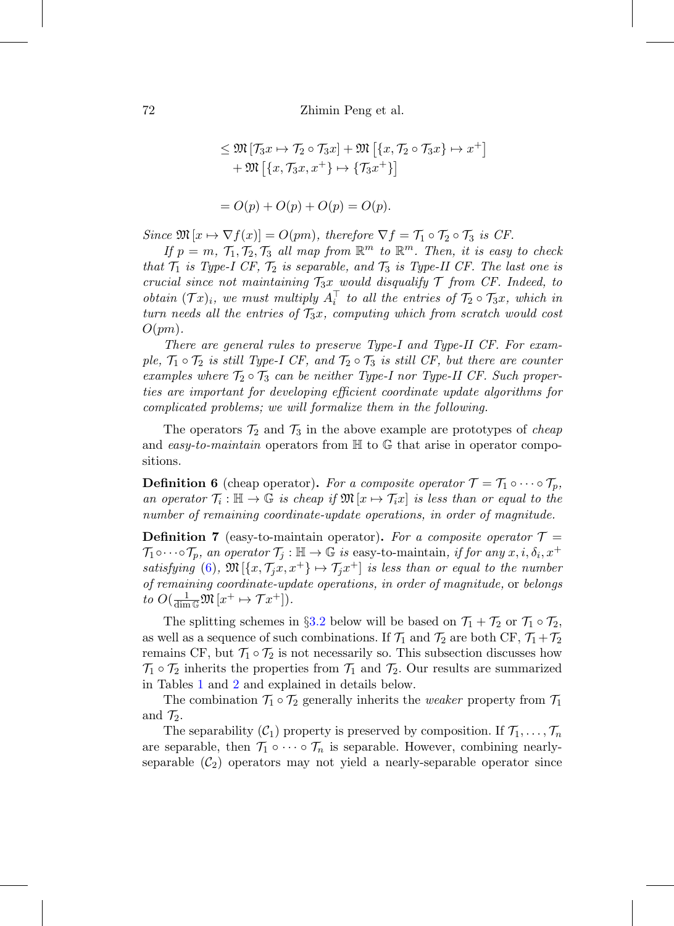72 Zhimin Peng et al.

$$
\leq \mathfrak{M}\left[\mathcal{T}_{3}x \mapsto \mathcal{T}_{2} \circ \mathcal{T}_{3}x\right] + \mathfrak{M}\left[\left\{x, \mathcal{T}_{2} \circ \mathcal{T}_{3}x\right\} \mapsto x^{+}\right] + \mathfrak{M}\left[\left\{x, \mathcal{T}_{3}x, x^{+}\right\} \mapsto \left\{\mathcal{T}_{3}x^{+}\right\}\right] = O(p) + O(p) + O(p) = O(p).
$$

Since  $\mathfrak{M}[x \mapsto \nabla f(x)] = O(pm)$ , therefore  $\nabla f = \mathcal{T}_1 \circ \mathcal{T}_2 \circ \mathcal{T}_3$  is CF.

If  $p = m, T_1, T_2, T_3$  all map from  $\mathbb{R}^m$  to  $\mathbb{R}^m$ . Then, it is easy to check that  $\mathcal{T}_1$  is Type-I CF,  $\mathcal{T}_2$  is separable, and  $\mathcal{T}_3$  is Type-II CF. The last one is crucial since not maintaining  $\mathcal{T}_3x$  would disqualify  $\mathcal T$  from CF. Indeed, to obtain  $(\mathcal{T}x)_i$ , we must multiply  $A_i^{\top}$  to all the entries of  $\mathcal{T}_2 \circ \mathcal{T}_3x$ , which in turn needs all the entries of  $\mathcal{T}_3x$ , computing which from scratch would cost  $O(pm)$ .

There are general rules to preserve Type-I and Type-II CF. For example,  $\mathcal{T}_1 \circ \mathcal{T}_2$  is still Type-I CF, and  $\mathcal{T}_2 \circ \mathcal{T}_3$  is still CF, but there are counter examples where  $\mathcal{T}_2 \circ \mathcal{T}_3$  can be neither Type-I nor Type-II CF. Such properties are important for developing efficient coordinate update algorithms for complicated problems; we will formalize them in the following.

The operators  $\mathcal{T}_2$  and  $\mathcal{T}_3$  in the above example are prototypes of *cheap* and easy-to-maintain operators from  $\mathbb H$  to  $\mathbb G$  that arise in operator compositions.

**Definition 6** (cheap operator). For a composite operator  $\mathcal{T} = \mathcal{T}_1 \circ \cdots \circ \mathcal{T}_p$ , an operator  $\mathcal{T}_i : \mathbb{H} \to \mathbb{G}$  is cheap if  $\mathfrak{M}[x \mapsto \mathcal{T}_i x]$  is less than or equal to the number of remaining coordinate-update operations, in order of magnitude.

**Definition 7** (easy-to-maintain operator). For a composite operator  $\mathcal{T} =$  $\mathcal{T}_1 \circ \cdots \circ \mathcal{T}_p$ , an operator  $\mathcal{T}_j : \mathbb{H} \to \mathbb{G}$  is easy-to-maintain, if for any  $x, i, \delta_i, x^+$ satisfying [\(6\)](#page-8-1),  $\mathfrak{M}[\{x, \mathcal{T}_i x, x^+\} \mapsto \mathcal{T}_i x^+]$  is less than or equal to the number of remaining coordinate-update operations, in order of magnitude, or belongs to  $O(\frac{1}{\dim \mathbb{G}} \mathfrak{M}[x^+ \mapsto \mathcal{T}x^+]).$ 

The splitting schemes in §[3.2](#page-17-0) below will be based on  $\mathcal{T}_1 + \mathcal{T}_2$  or  $\mathcal{T}_1 \circ \mathcal{T}_2$ , as well as a sequence of such combinations. If  $\mathcal{T}_1$  and  $\mathcal{T}_2$  are both CF,  $\mathcal{T}_1+\mathcal{T}_2$ remains CF, but  $\mathcal{T}_1 \circ \mathcal{T}_2$  is not necessarily so. This subsection discusses how  $\mathcal{T}_1 \circ \mathcal{T}_2$  inherits the properties from  $\mathcal{T}_1$  and  $\mathcal{T}_2$ . Our results are summarized in Tables [1](#page-16-0) and [2](#page-16-1) and explained in details below.

The combination  $\mathcal{T}_1 \circ \mathcal{T}_2$  generally inherits the *weaker* property from  $\mathcal{T}_1$ and  $\mathcal{T}_2$ .

The separability  $(C_1)$  property is preserved by composition. If  $\mathcal{T}_1,\ldots,\mathcal{T}_n$ are separable, then  $\mathcal{T}_1 \circ \cdots \circ \mathcal{T}_n$  is separable. However, combining nearlyseparable  $(\mathcal{C}_2)$  operators may not yield a nearly-separable operator since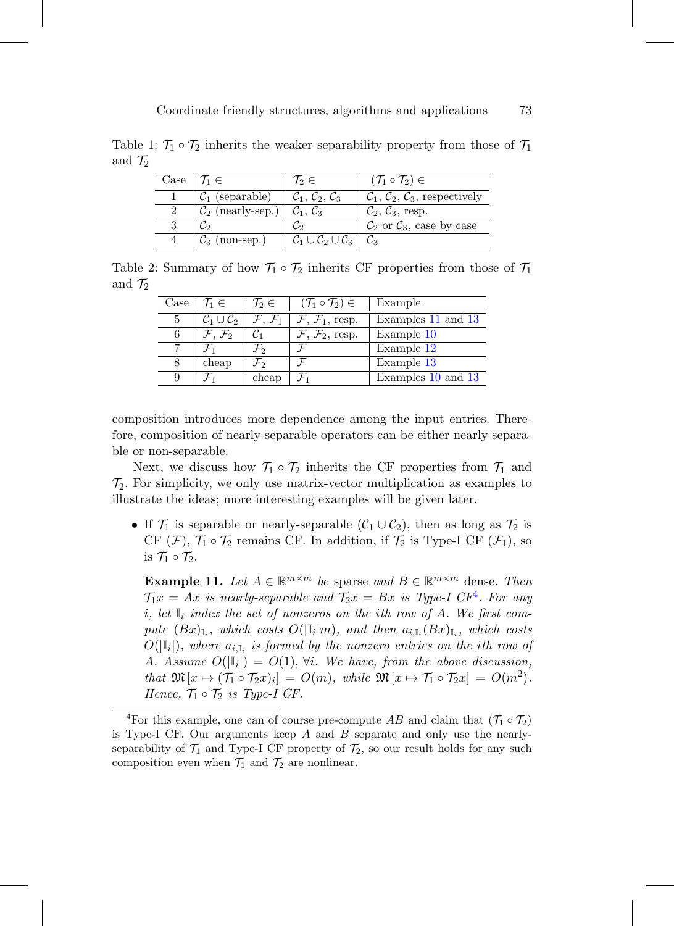Table 1:  $\mathcal{T}_1 \circ \mathcal{T}_2$  inherits the weaker separability property from those of  $\mathcal{T}_1$ and  $\mathcal{T}_2$ 

<span id="page-16-0"></span>

| Case $1'1_1 \in$                                             | $\gamma_2 \in$                                        | $(\mathcal{T}_1 \circ \mathcal{T}_2) \in$                    |
|--------------------------------------------------------------|-------------------------------------------------------|--------------------------------------------------------------|
| $\mathcal{C}_1$ (separable)                                  | $\mathcal{C}_1, \mathcal{C}_2, \mathcal{C}_3$         | $\mathcal{C}_1, \mathcal{C}_2, \mathcal{C}_3$ , respectively |
| $\mathcal{C}_2$ (nearly-sep.) $\mathcal{C}_1, \mathcal{C}_3$ |                                                       | $\mathcal{C}_2, \mathcal{C}_3$ , resp.                       |
|                                                              |                                                       | $\mathcal{C}_2$ or $\mathcal{C}_3$ , case by case            |
| $(non-sep.)$                                                 | $\mathcal{C}_1 \cup \mathcal{C}_2 \cup \mathcal{C}_3$ |                                                              |

Table 2: Summary of how  $\mathcal{T}_1 \circ \mathcal{T}_2$  inherits CF properties from those of  $\mathcal{T}_1$ and  $\mathcal{T}_2$ 

<span id="page-16-1"></span>

| Case | $\mathcal{T}_1 \in$                | $\mathcal{T}_2 \in$           | $(\mathcal{T}_1 \circ \mathcal{T}_2) \in$ | Example            |
|------|------------------------------------|-------------------------------|-------------------------------------------|--------------------|
|      | $\mathcal{C}_1 \cup \mathcal{C}_2$ | $\mathcal{F},\,\mathcal{F}_1$ | $\mathcal{F}, \mathcal{F}_1$ , resp.      | Examples 11 and 13 |
|      | $\mathcal{F},\,\mathcal{F}_2$      |                               | $\mathcal{F}, \mathcal{F}_2$ , resp.      | Example 10         |
|      |                                    | $\mathcal{F}_2$               |                                           | Example 12         |
|      | cheap                              | $\mathcal{F}_2$               |                                           | Example 13         |
| 9    |                                    | cheap                         |                                           | Examples 10 and 13 |

composition introduces more dependence among the input entries. Therefore, composition of nearly-separable operators can be either nearly-separable or non-separable.

Next, we discuss how  $\mathcal{T}_1 \circ \mathcal{T}_2$  inherits the CF properties from  $\mathcal{T}_1$  and  $\mathcal{T}_2$ . For simplicity, we only use matrix-vector multiplication as examples to illustrate the ideas; more interesting examples will be given later.

• If  $\mathcal{T}_1$  is separable or nearly-separable  $(\mathcal{C}_1 \cup \mathcal{C}_2)$ , then as long as  $\mathcal{T}_2$  is CF (F),  $\mathcal{T}_1 \circ \mathcal{T}_2$  remains CF. In addition, if  $\mathcal{T}_2$  is Type-I CF ( $\mathcal{F}_1$ ), so is  $\mathcal{T}_1 \circ \mathcal{T}_2$ .

<span id="page-16-2"></span>**Example 11.** Let  $A \in \mathbb{R}^{m \times m}$  be sparse and  $B \in \mathbb{R}^{m \times m}$  dense. Then  $\mathcal{T}_1 x = Ax$  is nearly-separable and  $\mathcal{T}_2 x = Bx$  is Type-I CF<sup>[4](#page-16-3)</sup>. For any i, let  $\mathbb{I}_i$  index the set of nonzeros on the ith row of A. We first compute  $(Bx)_{\mathbb{I}_i}$ , which costs  $O(|\mathbb{I}_i|m)$ , and then  $a_{i,\mathbb{I}_i}(Bx)_{\mathbb{I}_i}$ , which costs  $O(|\mathbb{I}_i|)$ , where  $a_{i,\mathbb{I}_i}$  is formed by the nonzero entries on the ith row of A. Assume  $O(|\mathbb{I}_i|) = O(1)$ ,  $\forall i$ . We have, from the above discussion, that  $\mathfrak{M}[x \mapsto (\mathcal{T}_1 \circ \mathcal{T}_2 x)_i] = O(m)$ , while  $\mathfrak{M}[x \mapsto \mathcal{T}_1 \circ \mathcal{T}_2 x] = O(m^2)$ . Hence,  $\mathcal{T}_1 \circ \mathcal{T}_2$  is Type-I CF.

<span id="page-16-3"></span><sup>&</sup>lt;sup>4</sup>For this example, one can of course pre-compute AB and claim that  $(\mathcal{T}_1 \circ \mathcal{T}_2)$ is Type-I CF. Our arguments keep  $A$  and  $B$  separate and only use the nearlyseparability of  $\mathcal{T}_1$  and Type-I CF property of  $\mathcal{T}_2$ , so our result holds for any such composition even when  $\mathcal{T}_1$  and  $\mathcal{T}_2$  are nonlinear.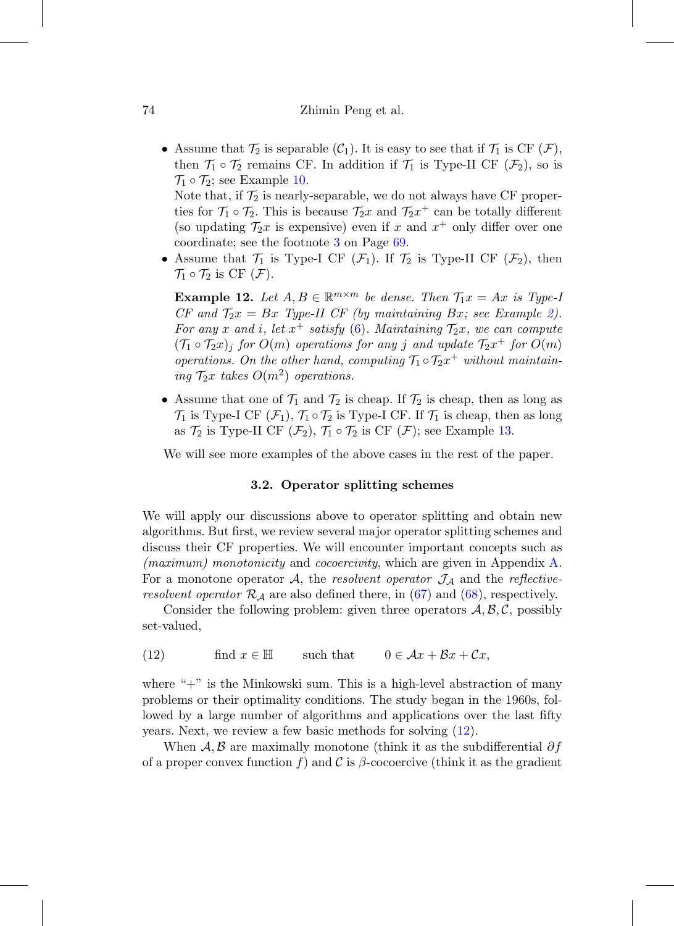• Assume that  $\mathcal{T}_2$  is separable  $(\mathcal{C}_1)$ . It is easy to see that if  $\mathcal{T}_1$  is CF  $(\mathcal{F})$ , then  $\mathcal{T}_1 \circ \mathcal{T}_2$  remains CF. In addition if  $\mathcal{T}_1$  is Type-II CF  $(\mathcal{F}_2)$ , so is  $\mathcal{T}_1 \circ \mathcal{T}_2$ ; see Example [10.](#page-14-1)

Note that, if  $\mathcal{T}_2$  is nearly-separable, we do not always have CF properties for  $\mathcal{T}_1 \circ \mathcal{T}_2$ . This is because  $\mathcal{T}_2 x$  and  $\mathcal{T}_2 x^+$  can be totally different (so updating  $\mathcal{T}_2 x$  is expensive) even if x and  $x^+$  only differ over one coordinate; see the footnote [3](#page-12-0) on Page [69.](#page-12-0)

• Assume that  $\mathcal{T}_1$  is Type-I CF  $(\mathcal{F}_1)$ . If  $\mathcal{T}_2$  is Type-II CF  $(\mathcal{F}_2)$ , then  $\mathcal{T}_1 \circ \mathcal{T}_2$  is CF  $(\mathcal{F})$ .

<span id="page-17-1"></span>**Example 12.** Let  $A, B \in \mathbb{R}^{m \times m}$  be dense. Then  $\mathcal{T}_1 x = Ax$  is Type-I CF and  $\mathcal{T}_2x = Bx$  Type-II CF (by maintaining Bx; see Example [2\)](#page-9-3). For any x and i, let  $x^+$  satisfy [\(6\)](#page-8-1). Maintaining  $\mathcal{T}_2x$ , we can compute  $(\mathcal{T}_1 \circ \mathcal{T}_2 x)_i$  for  $O(m)$  operations for any j and update  $\mathcal{T}_2 x^+$  for  $O(m)$ operations. On the other hand, computing  $\mathcal{T}_1 \circ \mathcal{T}_2 x^+$  without maintaining  $\mathcal{T}_2$ x takes  $O(m^2)$  operations.

• Assume that one of  $\mathcal{T}_1$  and  $\mathcal{T}_2$  is cheap. If  $\mathcal{T}_2$  is cheap, then as long as  $\mathcal{T}_1$  is Type-I CF  $(\mathcal{F}_1)$ ,  $\mathcal{T}_1 \circ \mathcal{T}_2$  is Type-I CF. If  $\mathcal{T}_1$  is cheap, then as long as  $\mathcal{T}_2$  is Type-II CF  $(\mathcal{F}_2)$ ,  $\mathcal{T}_1 \circ \mathcal{T}_2$  is CF  $(\mathcal{F})$ ; see Example [13.](#page-19-0)

<span id="page-17-0"></span>We will see more examples of the above cases in the rest of the paper.

# **3.2. Operator splitting schemes**

We will apply our discussions above to operator splitting and obtain new algorithms. But first, we review several major operator splitting schemes and discuss their CF properties. We will encounter important concepts such as (maximum) monotonicity and cocoercivity, which are given in Appendix [A.](#page-0-1) For a monotone operator A, the resolvent operator  $\mathcal{J}_\mathcal{A}$  and the reflectiveresolvent operator  $\mathcal{R}_\mathcal{A}$  are also defined there, in [\(67\)](#page-46-1) and [\(68\)](#page-46-2), respectively.

Consider the following problem: given three operators  $A, B, C$ , possibly set-valued,

<span id="page-17-2"></span>(12) find  $x \in \mathbb{H}$  such that  $0 \in \mathcal{A}x + \mathcal{B}x + \mathcal{C}x$ ,

where " $+$ " is the Minkowski sum. This is a high-level abstraction of many problems or their optimality conditions. The study began in the 1960s, followed by a large number of algorithms and applications over the last fifty years. Next, we review a few basic methods for solving [\(12\)](#page-17-2).

When A, B are maximally monotone (think it as the subdifferential  $\partial f$ of a proper convex function f) and C is  $\beta$ -cocoercive (think it as the gradient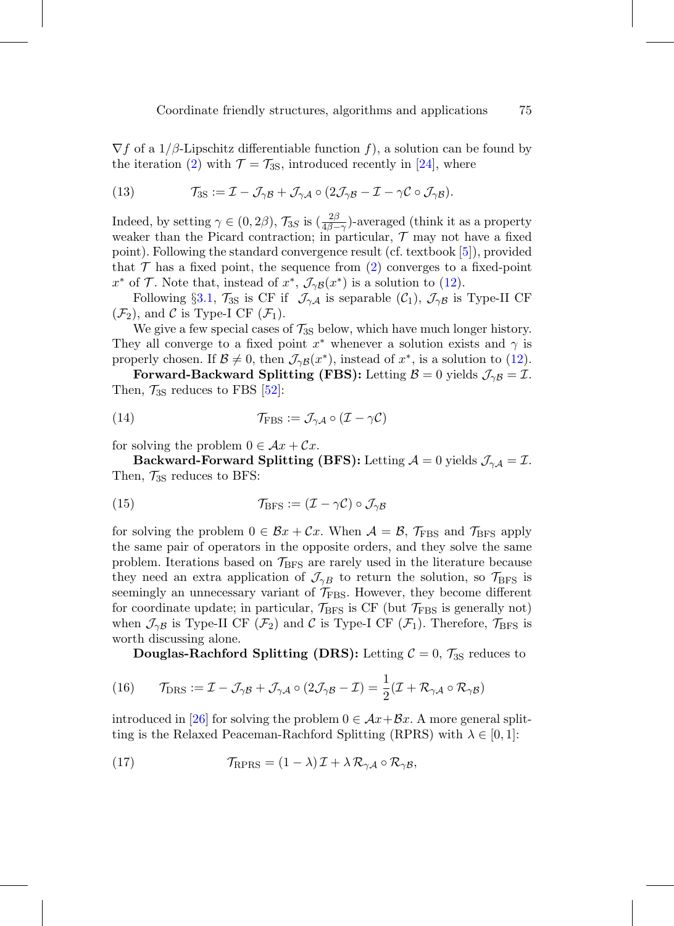$\nabla f$  of a 1/ $\beta$ -Lipschitz differentiable function f), a solution can be found by the iteration [\(2\)](#page-2-0) with  $\mathcal{T} = \mathcal{T}_{3S}$ , introduced recently in [\[24](#page-56-7)], where

<span id="page-18-3"></span>(13) 
$$
\mathcal{T}_{3S} := \mathcal{I} - \mathcal{J}_{\gamma \mathcal{B}} + \mathcal{J}_{\gamma \mathcal{A}} \circ (2\mathcal{J}_{\gamma \mathcal{B}} - \mathcal{I} - \gamma \mathcal{C} \circ \mathcal{J}_{\gamma \mathcal{B}}).
$$

Indeed, by setting  $\gamma \in (0, 2\beta)$ ,  $\mathcal{T}_{3S}$  is  $\left(\frac{2\beta}{4\beta-\gamma}\right)$ -averaged (think it as a property weaker than the Picard contraction; in particular,  $\mathcal T$  may not have a fixed point). Following the standard convergence result (cf. textbook [\[5](#page-54-5)]), provided that  $\mathcal T$  has a fixed point, the sequence from [\(2\)](#page-2-0) converges to a fixed-point  $x^*$  of  $\mathcal T$ . Note that, instead of  $x^*$ ,  $\mathcal J_{\gamma\beta}(x^*)$  is a solution to [\(12\)](#page-17-2).

Following §[3.1,](#page-14-2)  $\mathcal{T}_{3S}$  is CF if  $\mathcal{J}_{\gamma A}$  is separable  $(\mathcal{C}_1)$ ,  $\mathcal{J}_{\gamma B}$  is Type-II CF  $(\mathcal{F}_2)$ , and C is Type-I CF  $(\mathcal{F}_1)$ .

We give a few special cases of  $\mathcal{T}_{3S}$  below, which have much longer history. They all converge to a fixed point  $x^*$  whenever a solution exists and  $\gamma$  is properly chosen. If  $\mathcal{B} \neq 0$ , then  $\mathcal{J}_{\gamma\beta}(x^*)$ , instead of  $x^*$ , is a solution to [\(12\)](#page-17-2).

**Forward-Backward Splitting (FBS):** Letting  $\mathcal{B} = 0$  yields  $\mathcal{J}_{\gamma\beta} = \mathcal{I}$ . Then,  $\mathcal{T}_{3S}$  reduces to FBS [\[52](#page-58-6)]:

<span id="page-18-0"></span>(14) 
$$
\mathcal{T}_{\text{FBS}} := \mathcal{J}_{\gamma A} \circ (\mathcal{I} - \gamma \mathcal{C})
$$

for solving the problem  $0 \in \mathcal{A}x + \mathcal{C}x$ .

**Backward-Forward Splitting (BFS):** Letting  $\mathcal{A} = 0$  yields  $\mathcal{J}_{\gamma\mathcal{A}} = \mathcal{I}$ . Then,  $\mathcal{T}_{3S}$  reduces to BFS:

<span id="page-18-1"></span>(15) 
$$
\mathcal{T}_{\rm BFS} := (\mathcal{I} - \gamma \mathcal{C}) \circ \mathcal{J}_{\gamma \mathcal{B}}
$$

for solving the problem  $0 \in \mathcal{B}x + \mathcal{C}x$ . When  $\mathcal{A} = \mathcal{B}$ ,  $\mathcal{T}_{\text{FBS}}$  and  $\mathcal{T}_{\text{BFS}}$  apply the same pair of operators in the opposite orders, and they solve the same problem. Iterations based on  $\mathcal{T}_{BFS}$  are rarely used in the literature because they need an extra application of  $\mathcal{J}_{\gamma B}$  to return the solution, so  $\mathcal{T}_{BFS}$  is seemingly an unnecessary variant of  $\mathcal{T}_{\text{FBS}}$ . However, they become different for coordinate update; in particular,  $\mathcal{T}_{\rm BFS}$  is CF (but  $\mathcal{T}_{\rm FBS}$  is generally not) when  $\mathcal{J}_{\gamma\beta}$  is Type-II CF  $(\mathcal{F}_2)$  and C is Type-I CF  $(\mathcal{F}_1)$ . Therefore,  $\mathcal{T}_{\rm BFS}$  is worth discussing alone.

<span id="page-18-2"></span>**Douglas-Rachford Splitting (DRS):** Letting  $C = 0$ ,  $\mathcal{T}_{3S}$  reduces to

(16) 
$$
\mathcal{T}_{\text{DRS}} := \mathcal{I} - \mathcal{J}_{\gamma \mathcal{B}} + \mathcal{J}_{\gamma \mathcal{A}} \circ (2\mathcal{J}_{\gamma \mathcal{B}} - \mathcal{I}) = \frac{1}{2} (\mathcal{I} + \mathcal{R}_{\gamma \mathcal{A}} \circ \mathcal{R}_{\gamma \mathcal{B}})
$$

introduced in [\[26](#page-56-1)] for solving the problem  $0 \in \mathcal{A}x + \mathcal{B}x$ . A more general splitting is the Relaxed Peaceman-Rachford Splitting (RPRS) with  $\lambda \in [0,1]$ :

(17) 
$$
\mathcal{T}_{\text{RPRS}} = (1 - \lambda) \mathcal{I} + \lambda \mathcal{R}_{\gamma A} \circ \mathcal{R}_{\gamma B},
$$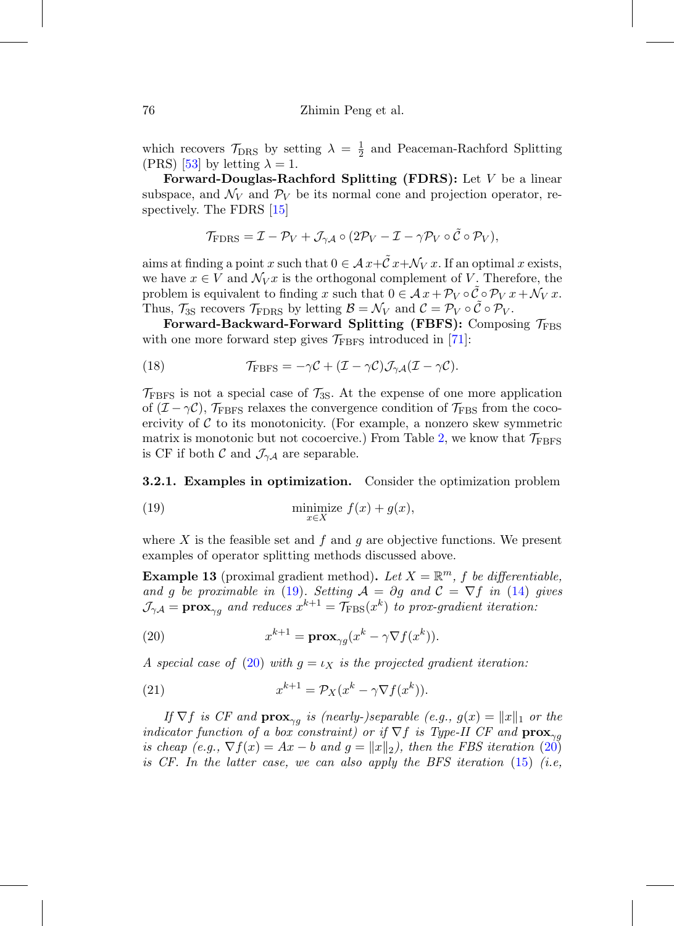which recovers  $\mathcal{T}_{\text{DRS}}$  by setting  $\lambda = \frac{1}{2}$  and Peaceman-Rachford Splitting (PRS) [\[53](#page-58-7)] by letting  $\lambda = 1$ .

**Forward-Douglas-Rachford Splitting (FDRS):** Let V be a linear subspace, and  $\mathcal{N}_V$  and  $\mathcal{P}_V$  be its normal cone and projection operator, respectively. The FDRS [\[15\]](#page-55-9)

$$
\mathcal{T}_{\text{FDRS}} = \mathcal{I} - \mathcal{P}_V + \mathcal{J}_{\gamma A} \circ (2\mathcal{P}_V - \mathcal{I} - \gamma \mathcal{P}_V \circ \tilde{\mathcal{C}} \circ \mathcal{P}_V),
$$

aims at finding a point x such that  $0 \in \mathcal{A} x + \tilde{C} x + \mathcal{N}_V x$ . If an optimal x exists, we have  $x \in V$  and  $\mathcal{N}_V x$  is the orthogonal complement of V. Therefore, the problem is equivalent to finding x such that  $0 \in \mathcal{A} x + \mathcal{P}_V \circ \mathcal{C} \circ \mathcal{P}_V x + \mathcal{N}_V x$ . Thus,  $\mathcal{T}_{3S}$  recovers  $\mathcal{T}_{\text{FDRS}}$  by letting  $\mathcal{B} = \mathcal{N}_V$  and  $\mathcal{C} = \mathcal{P}_V \circ \tilde{\mathcal{C}} \circ \mathcal{P}_V$ .

Forward-Backward-Forward Splitting (FBFS): Composing  $\mathcal{T}_{\text{FBS}}$ with one more forward step gives  $\mathcal{T}_{\text{FBFS}}$  introduced in [\[71\]](#page-60-8):

<span id="page-19-3"></span>(18) 
$$
\mathcal{T}_{\text{FBFS}} = -\gamma \mathcal{C} + (\mathcal{I} - \gamma \mathcal{C}) \mathcal{J}_{\gamma \mathcal{A}} (\mathcal{I} - \gamma \mathcal{C}).
$$

 $\mathcal{T}_{\text{FBFS}}$  is not a special case of  $\mathcal{T}_{3S}$ . At the expense of one more application of  $(\mathcal{I} - \gamma \mathcal{C})$ ,  $\mathcal{T}_{\text{FBFS}}$  relaxes the convergence condition of  $\mathcal{T}_{\text{FBS}}$  from the cocoercivity of  $C$  to its monotonicity. (For example, a nonzero skew symmetric matrix is monotonic but not cocoercive.) From Table [2,](#page-16-1) we know that  $\mathcal{T}_{\text{FBFS}}$ is CF if both  $\mathcal{C}$  and  $\mathcal{J}_{\gamma A}$  are separable.

**3.2.1. Examples in optimization.** Consider the optimization problem

<span id="page-19-1"></span>(19) 
$$
\min_{x \in X} \text{imize } f(x) + g(x),
$$

where X is the feasible set and f and g are objective functions. We present examples of operator splitting methods discussed above.

<span id="page-19-0"></span>**Example 13** (proximal gradient method). Let  $X = \mathbb{R}^m$ , f be differentiable, and g be proximable in [\(19\)](#page-19-1). Setting  $A = \partial g$  and  $C = \nabla f$  in [\(14\)](#page-18-0) gives  $\mathcal{J}_{\gamma A} = \mathbf{prox}_{\gamma g}$  and reduces  $x^{k+1} = \mathcal{T}_{\text{FBS}}(x^k)$  to prox-gradient iteration:

<span id="page-19-2"></span>(20) 
$$
x^{k+1} = \mathbf{prox}_{\gamma g}(x^k - \gamma \nabla f(x^k)).
$$

A special case of [\(20\)](#page-19-2) with  $g = \iota_X$  is the projected gradient iteration:

<span id="page-19-4"></span>(21) 
$$
x^{k+1} = \mathcal{P}_X(x^k - \gamma \nabla f(x^k)).
$$

If  $\nabla f$  is CF and  $\mathbf{prox}_{\gamma g}$  is (nearly-)separable (e.g.,  $g(x) = ||x||_1$  or the indicator function of a box constraint) or if  $\nabla f$  is Type-II CF and  $\mathbf{prox}_{\gamma q}$ is cheap (e.g.,  $\nabla f(x) = Ax - b$  and  $g = ||x||_2$ ), then the FBS iteration [\(20\)](#page-19-2) is CF. In the latter case, we can also apply the BFS iteration  $(15)$  (i.e,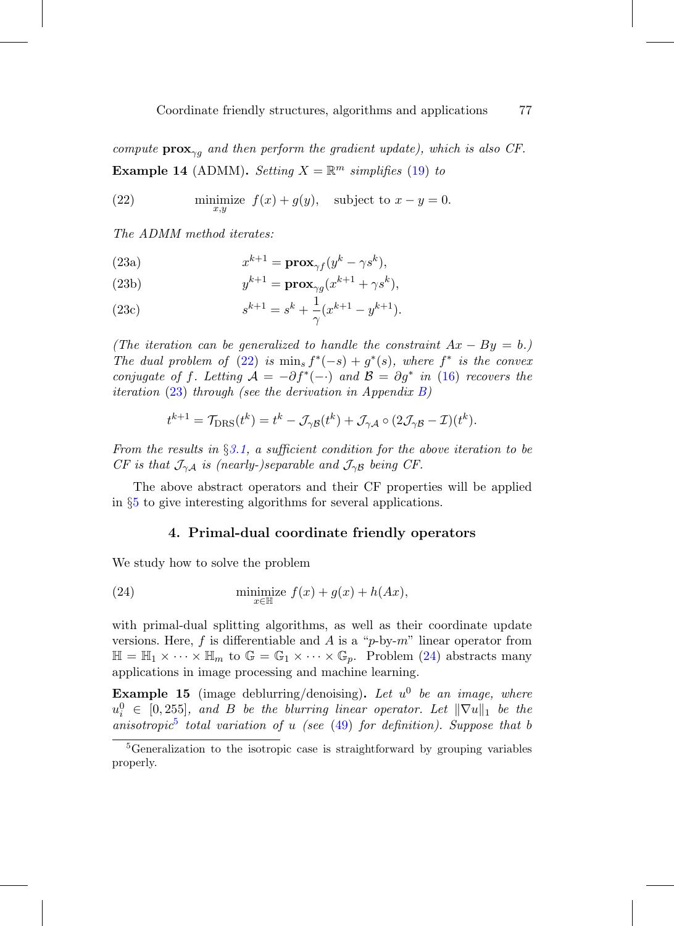compute  $\mathbf{prox}_{\gamma q}$  and then perform the gradient update), which is also CF. **Example 14** (ADMM). Setting  $X = \mathbb{R}^m$  simplifies [\(19\)](#page-19-1) to

<span id="page-20-1"></span>(22) minimize 
$$
f(x) + g(y)
$$
, subject to  $x - y = 0$ .

<span id="page-20-2"></span>The ADMM method iterates:

(23a) 
$$
x^{k+1} = \mathbf{prox}_{\gamma f}(y^k - \gamma s^k),
$$

(23b) 
$$
y^{k+1} = \mathbf{prox}_{\gamma g}(x^{k+1} + \gamma s^k),
$$

(23c) 
$$
s^{k+1} = s^k + \frac{1}{\gamma} (x^{k+1} - y^{k+1}).
$$

(The iteration can be generalized to handle the constraint  $Ax - By = b$ .) The dual problem of [\(22\)](#page-20-1) is min<sub>s</sub>  $f^*(-s) + g^*(s)$ , where  $f^*$  is the convex conjugate of f. Letting  $A = -\partial f^*(-)$  and  $B = \partial g^*$  in [\(16\)](#page-18-2) recovers the *iteration* [\(23\)](#page-20-2) through (see the derivation in Appendix [B\)](#page-8-0)

$$
t^{k+1} = \mathcal{T}_{\text{DRS}}(t^k) = t^k - \mathcal{J}_{\gamma \mathcal{B}}(t^k) + \mathcal{J}_{\gamma \mathcal{A}} \circ (2\mathcal{J}_{\gamma \mathcal{B}} - \mathcal{I})(t^k).
$$

From the results in  $\S 3.1$ , a sufficient condition for the above iteration to be CF is that  $\mathcal{J}_{\gamma A}$  is (nearly-)separable and  $\mathcal{J}_{\gamma B}$  being CF.

<span id="page-20-0"></span>The above abstract operators and their CF properties will be applied in §[5](#page-27-0) to give interesting algorithms for several applications.

### <span id="page-20-3"></span>**4. Primal-dual coordinate friendly operators**

We study how to solve the problem

(24) 
$$
\min_{x \in \mathbb{H}} \text{size } f(x) + g(x) + h(Ax),
$$

with primal-dual splitting algorithms, as well as their coordinate update versions. Here,  $f$  is differentiable and  $A$  is a "p-by-m" linear operator from  $\mathbb{H} = \mathbb{H}_1 \times \cdots \times \mathbb{H}_m$  to  $\mathbb{G} = \mathbb{G}_1 \times \cdots \times \mathbb{G}_p$ . Problem [\(24\)](#page-20-3) abstracts many applications in image processing and machine learning.

**Example 15** (image deblurring/denoising). Let  $u^0$  be an image, where  $u_i^0 \in [0, 255]$ , and B be the blurring linear operator. Let  $\|\nabla u\|_1$  be the anisotropic<sup>[5](#page-20-4)</sup> total variation of u (see  $(49)$  for definition). Suppose that b

<span id="page-20-4"></span><sup>&</sup>lt;sup>5</sup>Generalization to the isotropic case is straightforward by grouping variables properly.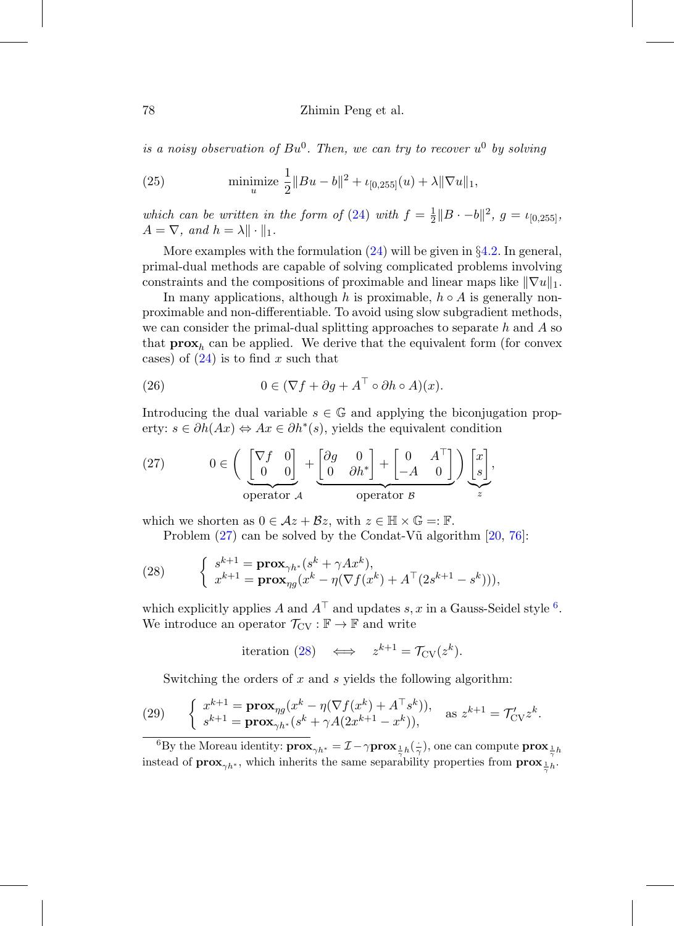#### 78 Zhimin Peng et al.

is a noisy observation of  $Bu^0$ . Then, we can try to recover  $u^0$  by solving

(25) minimize 
$$
\frac{1}{2} ||Bu - b||^2 + \iota_{[0,255]}(u) + \lambda ||\nabla u||_1
$$
,

which can be written in the form of [\(24\)](#page-20-3) with  $f = \frac{1}{2} ||B \cdot -b||^2$ ,  $g = \iota_{[0,255]}$ ,  $A = \nabla$ , and  $h = \lambda \|\cdot\|_1$ .

More examples with the formulation  $(24)$  will be given in  $\S 4.2$ . In general, primal-dual methods are capable of solving complicated problems involving constraints and the compositions of proximable and linear maps like  $\|\nabla u\|_1$ .

In many applications, although h is proximable,  $h \circ A$  is generally nonproximable and non-differentiable. To avoid using slow subgradient methods, we can consider the primal-dual splitting approaches to separate h and  $\tilde{A}$  so that  $\mathbf{prox}_h$  can be applied. We derive that the equivalent form (for convex cases) of  $(24)$  is to find x such that

(26) 
$$
0 \in (\nabla f + \partial g + A^{\top} \circ \partial h \circ A)(x).
$$

Introducing the dual variable  $s \in \mathbb{G}$  and applying the biconjugation property:  $s \in \partial h(Ax) \Leftrightarrow Ax \in \partial h^*(s)$ , yields the equivalent condition

<span id="page-21-0"></span>(27) 
$$
0 \in \left( \underbrace{\begin{bmatrix} \nabla f & 0 \\ 0 & 0 \end{bmatrix}}_{\text{operator } A} + \underbrace{\begin{bmatrix} \partial g & 0 \\ 0 & \partial h^* \end{bmatrix}}_{\text{operator } B} + \begin{bmatrix} 0 & A^\top \\ -A & 0 \end{bmatrix} \right) \underbrace{\begin{bmatrix} x \\ s \end{bmatrix}}_{z},
$$

which we shorten as  $0 \in \mathcal{A}z + \mathcal{B}z$ , with  $z \in \mathbb{H} \times \mathbb{G} = \mathbb{F}$ .

<span id="page-21-2"></span>Problem  $(27)$  can be solved by the Condat-V $\tilde{u}$  algorithm  $[20, 76]$  $[20, 76]$  $[20, 76]$ :

(28) 
$$
\begin{cases} s^{k+1} = \mathbf{prox}_{\gamma h^*}(s^k + \gamma Ax^k), \\ x^{k+1} = \mathbf{prox}_{\eta g}(x^k - \eta (\nabla f(x^k) + A^\top (2s^{k+1} - s^k))), \end{cases}
$$

which explicitly applies A and  $A^{\top}$  and updates s, x in a Gauss-Seidel style <sup>[6](#page-21-1)</sup>. We introduce an operator  $\mathcal{T}_{CV} : \mathbb{F} \to \mathbb{F}$  and write

$$
iteration (28) \iff z^{k+1} = \mathcal{T}_{CV}(z^k).
$$

<span id="page-21-3"></span>Switching the orders of  $x$  and  $s$  yields the following algorithm:

(29) 
$$
\begin{cases} x^{k+1} = \mathbf{prox}_{\eta g}(x^k - \eta (\nabla f(x^k) + A^{\top} s^k)), \\ s^{k+1} = \mathbf{prox}_{\gamma h^*}(s^k + \gamma A(2x^{k+1} - x^k)), \end{cases} \text{ as } z^{k+1} = \mathcal{T}'_{CV} z^k.
$$

<span id="page-21-1"></span><sup>6</sup>By the Moreau identity:  $\mathbf{prox}_{\gamma h^*} = \mathcal{I} - \gamma \mathbf{prox}_{\frac{1}{\gamma}h}(\frac{1}{\gamma})$ , one can compute  $\mathbf{prox}_{\frac{1}{\gamma}h}$ instead of  $\mathbf{prox}_{\gamma h^*}$ , which inherits the same separability properties from  $\mathbf{prox}_{\frac{1}{\gamma}h}$ .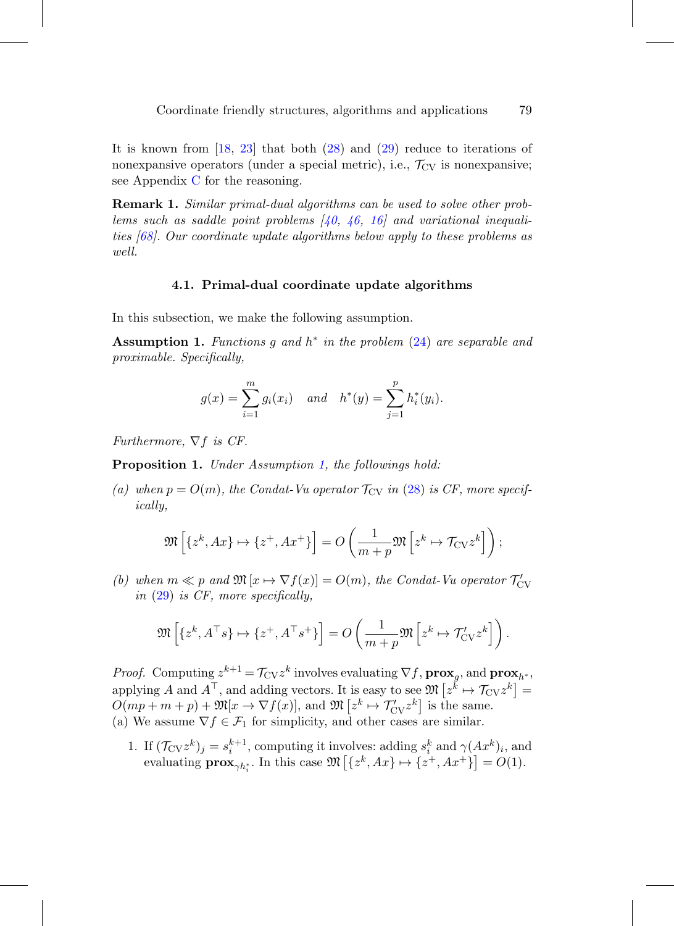It is known from  $[18, 23]$  $[18, 23]$  $[18, 23]$  that both  $(28)$  and  $(29)$  reduce to iterations of nonexpansive operators (under a special metric), i.e.,  $\mathcal{T}_{CV}$  is nonexpansive; see Appendix [C](#page-14-0) for the reasoning.

**Remark 1.** Similar primal-dual algorithms can be used to solve other problems such as saddle point problems  $(40, 46, 16)$  $(40, 46, 16)$  $(40, 46, 16)$  and variational inequalities [\[68](#page-60-10)]. Our coordinate update algorithms below apply to these problems as well.

#### **4.1. Primal-dual coordinate update algorithms**

<span id="page-22-1"></span>In this subsection, we make the following assumption.

<span id="page-22-0"></span>**Assumption 1.** Functions g and  $h^*$  in the problem  $(24)$  are separable and proximable. Specifically,

$$
g(x) = \sum_{i=1}^{m} g_i(x_i)
$$
 and  $h^*(y) = \sum_{j=1}^{p} h_i^*(y_i)$ .

Furthermore,  $\nabla f$  is CF.

**Proposition 1.** Under Assumption [1,](#page-22-0) the followings hold:

(a) when  $p = O(m)$ , the Condat-Vu operator  $\mathcal{T}_{CV}$  in [\(28\)](#page-21-2) is CF, more specifically,

$$
\mathfrak{M}\left[\left\{z^k, Ax\right\} \mapsto \left\{z^+, Ax^+\right\}\right] = O\left(\frac{1}{m+p} \mathfrak{M}\left[z^k \mapsto \mathcal{T}_{\text{CV}} z^k\right]\right);
$$

(b) when  $m \ll p$  and  $\mathfrak{M}[x \mapsto \nabla f(x)] = O(m)$ , the Condat-Vu operator  $\mathcal{T}_{\text{CV}}'$ in [\(29\)](#page-21-3) is CF, more specifically,

$$
\mathfrak{M}\left[\{z^k, A^\top s\} \mapsto \{z^+, A^\top s^+\}\right] = O\left(\frac{1}{m+p} \mathfrak{M}\left[z^k \mapsto \mathcal{T}'_{\text{CV}} z^k\right]\right).
$$

*Proof.* Computing  $z^{k+1} = \mathcal{T}_{CV}z^k$  involves evaluating  $\nabla f$ ,  $\mathbf{prox}_g$ , and  $\mathbf{prox}_{h^*}$ , applying A and  $A^{\top}$ , and adding vectors. It is easy to see  $\mathfrak{M}\left[z^k \mapsto \mathcal{T}_{CV}z^k\right] =$  $O(mp+m+p)+\mathfrak{M}[x\to \nabla f(x)],$  and  $\mathfrak{M}\left[z^k\mapsto \mathcal{T}'_{\text{CV}}z^k\right]$  is the same. (a) We assume  $\nabla f \in \mathcal{F}_1$  for simplicity, and other cases are similar.

1. If  $(\mathcal{T}_{\text{CV}}z^k)_j = s_i^{k+1}$ , computing it involves: adding  $s_i^k$  and  $\gamma(Ax^k)_i$ , and evaluating  $\mathbf{prox}_{\gamma h_i^*}$ . In this case  $\mathfrak{M}\left[\{z^k, Ax\} \mapsto \{z^+, Ax^+\}\right] = O(1)$ .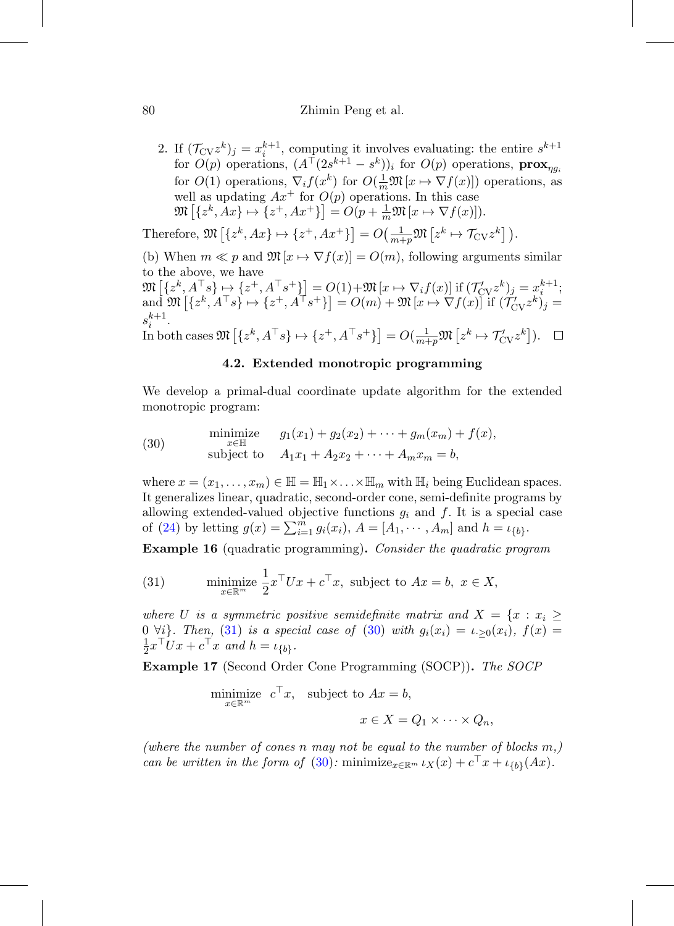#### 80 Zhimin Peng et al.

2. If  $(\mathcal{T}_{CV}z^k)_j = x_i^{k+1}$ , computing it involves evaluating: the entire  $s^{k+1}$ for  $O(p)$  operations,  $(A^{\top}(2s^{k+1}-s^k))_i$  for  $O(p)$  operations,  $\mathbf{prox}_{\eta g_i}$ for  $O(1)$  operations,  $\nabla_i f(x^k)$  for  $O(\frac{1}{m}\mathfrak{M}[x \mapsto \nabla f(x)])$  operations, as well as updating  $Ax^+$  for  $O(p)$  operations. In this case  $\mathfrak{M}\left[\left\{z^k, Ax\right\} \mapsto \left\{z^+, Ax^+\right\}\right] = O(p + \frac{1}{m}\mathfrak{M}\left[x \mapsto \nabla f(x)\right]).$ 

Therefore,  $\mathfrak{M}\left[\left\{z^k, Ax\right\} \mapsto \left\{z^+, Ax^+\right\}\right] = O\left(\frac{1}{m+p} \mathfrak{M}\left[z^k \mapsto \mathcal{T}_{\text{CV}} z^k\right]\right).$ 

(b) When  $m \ll p$  and  $\mathfrak{M}[x \mapsto \nabla f(x)] = O(m)$ , following arguments similar to the above, we have  $k+1$ 

$$
\mathfrak{M}\left[\{z^k, A^\top s\} \mapsto \{z^+, A^\top s^+\}\right] = O(1) + \mathfrak{M}\left[x \mapsto \nabla_i f(x)\right] \text{ if } (\mathcal{T}'_{\text{CV}} z^k)_j = x_i^{k+1};
$$
  
and 
$$
\mathfrak{M}\left[\{z^k, A^\top s\} \mapsto \{z^+, A^\top s^+\}\right] = O(m) + \mathfrak{M}\left[x \mapsto \nabla f(x)\right] \text{ if } (\mathcal{T}'_{\text{CV}} z^k)_j = s_i^{k+1}.
$$

<span id="page-23-0"></span> $\text{In both cases } \mathfrak{M}\left[\{z^k, A^\top s\} \mapsto \{z^+, A^\top s^+\}\right] = O(\frac{1}{m+p} \mathfrak{M}\left[z^k \mapsto \mathcal{T}_{\text{CV}}' z^k\right]).$ 

# **4.2. Extended monotropic programming**

We develop a primal-dual coordinate update algorithm for the extended monotropic program:

<span id="page-23-2"></span>(30) 
$$
\begin{array}{ll}\text{minimize} & g_1(x_1) + g_2(x_2) + \cdots + g_m(x_m) + f(x),\\ \text{subject to} & A_1x_1 + A_2x_2 + \cdots + A_mx_m = b,\end{array}
$$

where  $x = (x_1, \ldots, x_m) \in \mathbb{H} = \mathbb{H}_1 \times \ldots \times \mathbb{H}_m$  with  $\mathbb{H}_i$  being Euclidean spaces. It generalizes linear, quadratic, second-order cone, semi-definite programs by allowing extended-valued objective functions  $g_i$  and f. It is a special case of [\(24\)](#page-20-3) by letting  $g(x) = \sum_{i=1}^{m} g_i(x_i)$ ,  $A = [A_1, \dots, A_m]$  and  $h = \iota_{\{b\}}$ .

**Example 16** (quadratic programming)**.** Consider the quadratic program

<span id="page-23-1"></span>(31) minimize 
$$
\frac{1}{2}x^{\top}Ux + c^{\top}x
$$
, subject to  $Ax = b$ ,  $x \in X$ ,

where U is a symmetric positive semidefinite matrix and  $X = \{x : x_i \geq 1\}$ 0  $\forall i$ . Then, [\(31\)](#page-23-1) is a special case of [\(30\)](#page-23-2) with  $g_i(x_i) = \iota_{i>0}(x_i)$ ,  $f(x) =$  $\frac{1}{2}x^{\top}Ux + c^{\top}x$  and  $h = \iota_{\{b\}}$ .

**Example 17** (Second Order Cone Programming (SOCP))**.** The SOCP

minimize 
$$
c^{\top}x
$$
, subject to  $Ax = b$ ,  
\n $x \in X = Q_1 \times \cdots \times Q_n$ ,

(where the number of cones n may not be equal to the number of blocks  $m,$ ) can be written in the form of [\(30\)](#page-23-2): minimize<sub> $x \in \mathbb{R}^m$ </sub>  $\iota_X(x) + c^\top x + \iota_{\{b\}}(Ax)$ .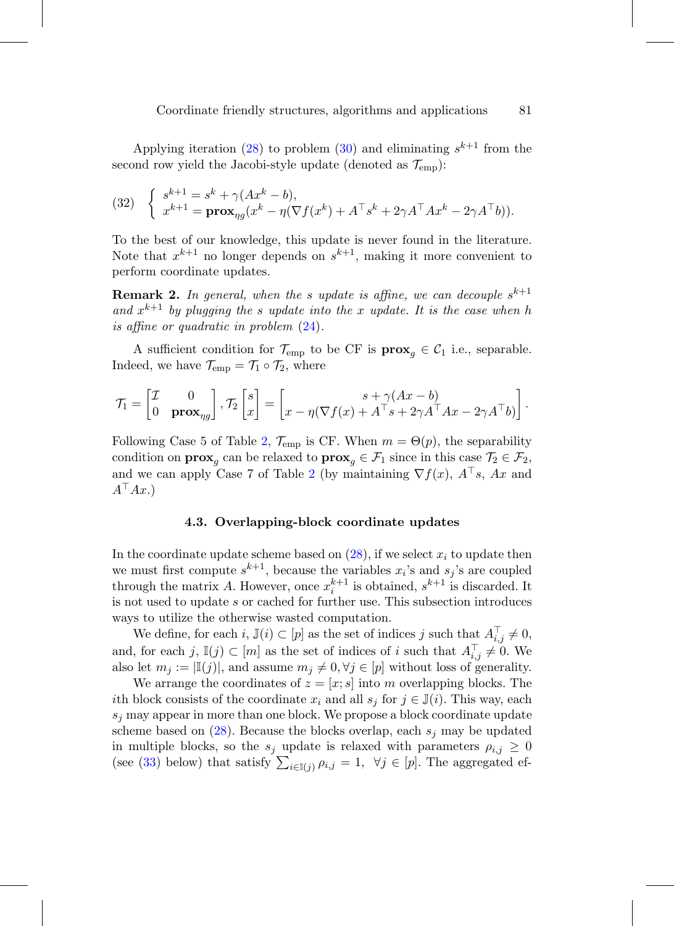Applying iteration [\(28\)](#page-21-2) to problem [\(30\)](#page-23-2) and eliminating  $s^{k+1}$  from the second row yield the Jacobi-style update (denoted as  $\mathcal{T}_{\text{emp}}$ ):

(32) 
$$
\begin{cases} s^{k+1} = s^k + \gamma(Ax^k - b), \\ x^{k+1} = \mathbf{prox}_{\eta g}(x^k - \eta(\nabla f(x^k) + A^\top s^k + 2\gamma A^\top A x^k - 2\gamma A^\top b)). \end{cases}
$$

To the best of our knowledge, this update is never found in the literature. Note that  $x^{k+1}$  no longer depends on  $s^{k+1}$ , making it more convenient to perform coordinate updates.

**Remark 2.** In general, when the s update is affine, we can decouple  $s^{k+1}$ and  $x^{k+1}$  by plugging the s update into the x update. It is the case when h is affine or quadratic in problem [\(24\)](#page-20-3).

A sufficient condition for  $\mathcal{T}_{emp}$  to be CF is  $\mathbf{prox}_{q} \in \mathcal{C}_1$  i.e., separable. Indeed, we have  $\mathcal{T}_{emp} = \mathcal{T}_1 \circ \mathcal{T}_2$ , where

$$
\mathcal{T}_1 = \begin{bmatrix} \mathcal{I} & 0 \\ 0 & \mathbf{prox}_{\eta g} \end{bmatrix}, \mathcal{T}_2 \begin{bmatrix} s \\ x \end{bmatrix} = \begin{bmatrix} s + \gamma (Ax - b) \\ x - \eta (\nabla f(x) + A^\top s + 2\gamma A^\top Ax - 2\gamma A^\top b) \end{bmatrix}.
$$

Following Case 5 of Table [2,](#page-16-1)  $\mathcal{T}_{\text{emp}}$  is CF. When  $m = \Theta(p)$ , the separability condition on **prox**<sub>g</sub> can be relaxed to **prox**<sub>g</sub>  $\in \mathcal{F}_1$  since in this case  $\mathcal{T}_2 \in \mathcal{F}_2$ , and we can apply Case 7 of Table [2](#page-16-1) (by maintaining  $\nabla f(x)$ ,  $A^{\top} s$ , Ax and  $A^{\top}Ax.$ 

#### **4.3. Overlapping-block coordinate updates**

<span id="page-24-0"></span>In the coordinate update scheme based on  $(28)$ , if we select  $x_i$  to update then we must first compute  $s^{k+1}$ , because the variables  $x_i$ 's and  $s_j$ 's are coupled through the matrix A. However, once  $x_i^{k+1}$  is obtained,  $s^{k+1}$  is discarded. It is not used to update s or cached for further use. This subsection introduces ways to utilize the otherwise wasted computation.

We define, for each  $i, \mathbb{J}(i) \subset [p]$  as the set of indices j such that  $A_{i,j}^{\top} \neq 0$ , and, for each  $j, \mathbb{I}(j) \subset [m]$  as the set of indices of i such that  $A_{i,j}^{\top} \neq 0$ . We also let  $m_j := |\mathbb{I}(j)|$ , and assume  $m_j \neq 0, \forall j \in [p]$  without loss of generality.

We arrange the coordinates of  $z = [x; s]$  into m overlapping blocks. The ith block consists of the coordinate  $x_i$  and all  $s_j$  for  $j \in \mathbb{J}(i)$ . This way, each  $s_j$  may appear in more than one block. We propose a block coordinate update scheme based on  $(28)$ . Because the blocks overlap, each  $s_j$  may be updated in multiple blocks, so the  $s_j$  update is relaxed with parameters  $\rho_{i,j} \geq 0$ (see [\(33\)](#page-25-0) below) that satisfy  $\sum_{i\in I(j)} \rho_{i,j} = 1$ ,  $\forall j \in [p]$ . The aggregated ef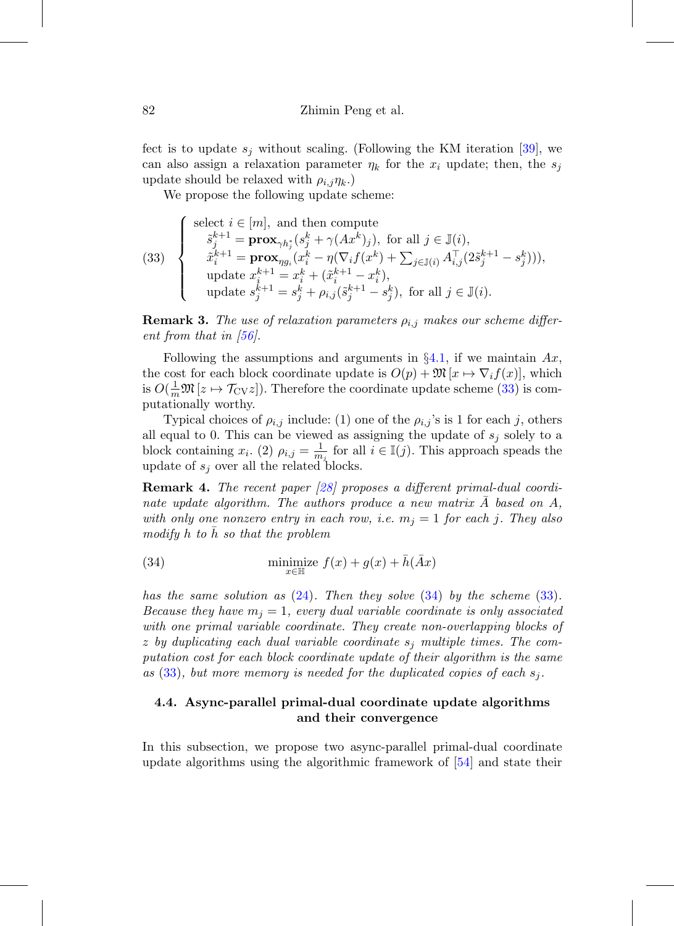fect is to update  $s_i$  without scaling. (Following the KM iteration [\[39](#page-57-9)], we can also assign a relaxation parameter  $\eta_k$  for the  $x_i$  update; then, the  $s_i$ update should be relaxed with  $\rho_{i,j}\eta_{k}$ .)

We propose the following update scheme:

<span id="page-25-0"></span>(33) 
$$
\begin{cases}\n\text{select } i \in [m], \text{ and then compute} \\
\tilde{s}_j^{k+1} = \mathbf{prox}_{\gamma h_j^*}(s_j^k + \gamma(Ax^k)_j), \text{ for all } j \in \mathbb{J}(i), \\
\tilde{x}_i^{k+1} = \mathbf{prox}_{\eta g_i}(x_i^k - \eta(\nabla_i f(x^k) + \sum_{j \in \mathbb{J}(i)} A_{i,j}^\top (2\tilde{s}_j^{k+1} - s_j^k))), \\
\text{update } x_i^{k+1} = x_i^k + (\tilde{x}_i^{k+1} - x_i^k), \\
\text{update } s_j^{k+1} = s_j^k + \rho_{i,j}(\tilde{s}_j^{k+1} - s_j^k), \text{ for all } j \in \mathbb{J}(i).\n\end{cases}
$$

**Remark 3.** The use of relaxation parameters  $\rho_{i,j}$  makes our scheme different from that in  $[56]$  $[56]$ .

Following the assumptions and arguments in  $\S 4.1$ , if we maintain  $Ax$ , the cost for each block coordinate update is  $O(p) + \mathfrak{M}\left[x \mapsto \nabla_i f(x)\right]$ , which is  $O(\frac{1}{m}\mathfrak{M}[z \mapsto \mathcal{T}_{CV}z])$ . Therefore the coordinate update scheme [\(33\)](#page-25-0) is computationally worthy.

Typical choices of  $\rho_{i,j}$  include: (1) one of the  $\rho_{i,j}$ 's is 1 for each j, others all equal to 0. This can be viewed as assigning the update of  $s_j$  solely to a block containing  $x_i$ . (2)  $\rho_{i,j} = \frac{1}{m_j}$  for all  $i \in \mathbb{I}(j)$ . This approach speads the update of  $s_i$  over all the related blocks.

**Remark 4.** The recent paper [\[28\]](#page-56-10) proposes a different primal-dual coordinate update algorithm. The authors produce a new matrix  $A$  based on  $A$ , with only one nonzero entry in each row, i.e.  $m_j = 1$  for each j. They also  $modify h$  to h so that the problem

<span id="page-25-1"></span>(34) 
$$
\underset{x \in \mathbb{H}}{\text{minimize}}\ f(x) + g(x) + \bar{h}(\bar{A}x)
$$

has the same solution as  $(24)$ . Then they solve  $(34)$  by the scheme  $(33)$ . Because they have  $m_i = 1$ , every dual variable coordinate is only associated with one primal variable coordinate. They create non-overlapping blocks of z by duplicating each dual variable coordinate  $s_j$  multiple times. The computation cost for each block coordinate update of their algorithm is the same as  $(33)$ , but more memory is needed for the duplicated copies of each  $s_i$ .

# **4.4. Async-parallel primal-dual coordinate update algorithms and their convergence**

In this subsection, we propose two async-parallel primal-dual coordinate update algorithms using the algorithmic framework of [\[54](#page-59-4)] and state their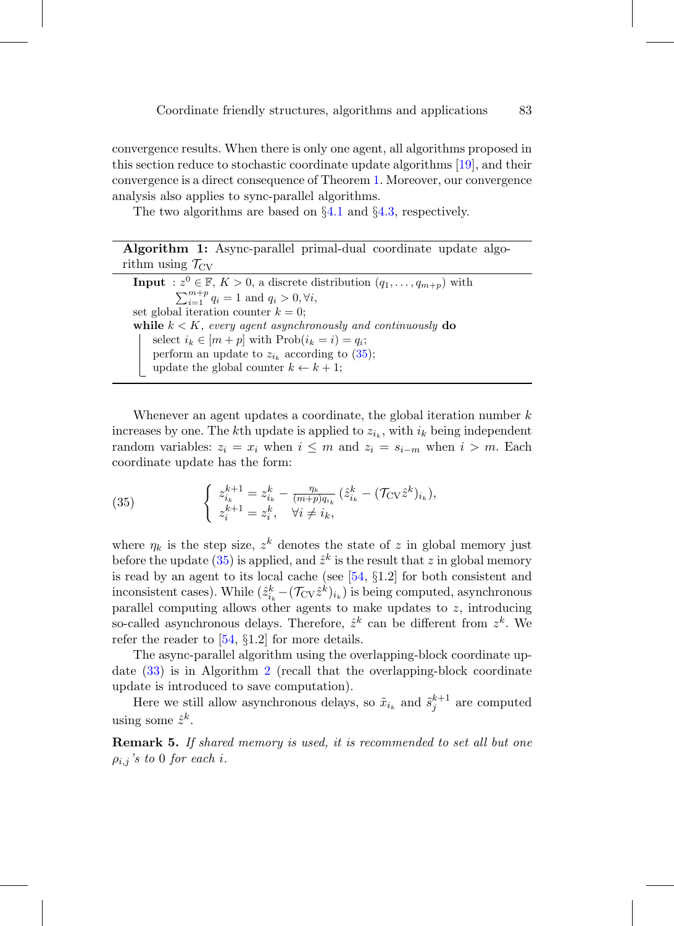convergence results. When there is only one agent, all algorithms proposed in this section reduce to stochastic coordinate update algorithms [\[19\]](#page-56-6), and their convergence is a direct consequence of Theorem [1.](#page-27-1) Moreover, our convergence analysis also applies to sync-parallel algorithms.

<span id="page-26-2"></span>The two algorithms are based on  $\S 4.1$  $\S 4.1$  and  $\S 4.3$ , respectively.

|                                | Algorithm 1: Async-parallel primal-dual coordinate update algo- |  |  |
|--------------------------------|-----------------------------------------------------------------|--|--|
| rithm using $\mathcal{T}_{CV}$ |                                                                 |  |  |

**Input** :  $z^0 \in \mathbb{F}$ ,  $K > 0$ , a discrete distribution  $(q_1, \ldots, q_{m+p})$  with  $\sum_{i=1}^{m+p} q_i = 1$  and  $q_i > 0, \forall i$ , set global iteration counter  $k = 0$ ; **while**  $k < K$ , every agent asynchronously and continuously **do** select  $i_k \in [m+p]$  with  $\text{Prob}(i_k = i) = q_i$ ; perform an update to  $z_{i_k}$  according to [\(35\)](#page-26-0); update the global counter  $k \leftarrow k + 1$ ;

Whenever an agent updates a coordinate, the global iteration number  $k$ increases by one. The kth update is applied to  $z_{i_k}$ , with  $i_k$  being independent random variables:  $z_i = x_i$  when  $i \leq m$  and  $z_i = s_{i-m}$  when  $i > m$ . Each coordinate update has the form:

<span id="page-26-0"></span>(35) 
$$
\begin{cases} z_{i_k}^{k+1} = z_{i_k}^k - \frac{\eta_k}{(m+p)q_{i_k}} (\hat{z}_{i_k}^k - (\mathcal{T}_{\text{CV}} \hat{z}_{i_k}^k), \\ z_i^{k+1} = z_i^k, \quad \forall i \neq i_k, \end{cases}
$$

where  $\eta_k$  is the step size,  $z^k$  denotes the state of z in global memory just before the update [\(35\)](#page-26-0) is applied, and  $\hat{z}^k$  is the result that z in global memory is read by an agent to its local cache (see  $[54, §1.2]$  $[54, §1.2]$  for both consistent and inconsistent cases). While  $(\hat{z}_{i_k}^k - (\mathcal{T}_{CV} \hat{z}^k)_{i_k})$  is being computed, asynchronous parallel computing allows other agents to make updates to  $z$ , introducing so-called asynchronous delays. Therefore,  $\hat{z}^k$  can be different from  $z^k$ . We refer the reader to [\[54](#page-59-4), §1.2] for more details.

The async-parallel algorithm using the overlapping-block coordinate update [\(33\)](#page-25-0) is in Algorithm [2](#page-26-1) (recall that the overlapping-block coordinate update is introduced to save computation).

<span id="page-26-1"></span>Here we still allow asynchronous delays, so  $\tilde{x}_{i_k}$  and  $\tilde{s}_j^{k+1}$  are computed using some  $\hat{z}^k$ .

**Remark 5.** If shared memory is used, it is recommended to set all but one  $\rho_{i,j}$ 's to 0 for each i.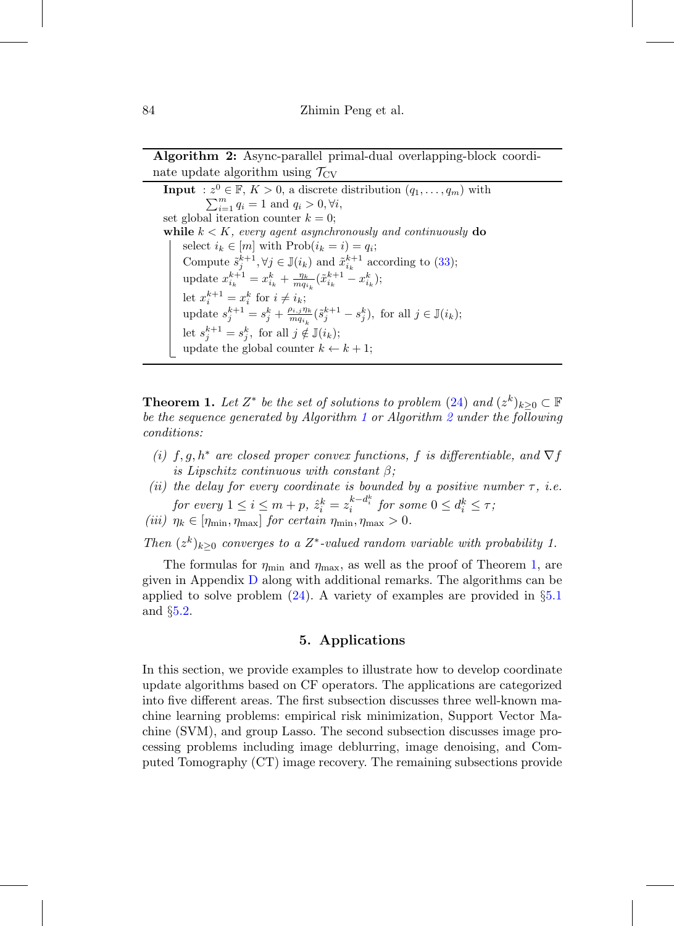**Algorithm 2:** Async-parallel primal-dual overlapping-block coordinate update algorithm using  $\mathcal{T}_{CV}$ 

**Input** :  $z^0 \in \mathbb{F}$ ,  $K > 0$ , a discrete distribution  $(q_1, \ldots, q_m)$  with  $\sum_{i=1}^{m} q_i = 1$  and  $q_i > 0, \forall i$ , set global iteration counter  $k = 0$ ; **while**  $k < K$ , every agent asynchronously and continuously **do** select  $i_k \in [m]$  with  $\text{Prob}(i_k = i) = q_i;$ Compute  $\tilde{s}_j^{k+1}, \forall j \in \mathbb{J}(i_k)$  and  $\tilde{x}_{i_k}^{k+1}$  according to [\(33\)](#page-25-0); update  $x_{i_k}^{k+1} = x_{i_k}^k + \frac{\eta_k}{mq_{i_k}}(\tilde{x}_{i_k}^{k+1} - x_{i_k}^k);$ let  $x_i^{k+1} = x_i^k$  for  $i \neq i_k$ ; update  $s_j^{k+1} = s_j^k + \frac{\rho_{i,j}\eta_k}{m q_{i_k}} (\tilde{s}_j^{k+1} - s_j^k)$ , for all  $j \in \mathbb{J}(i_k)$ ; let  $s_j^{k+1} = s_j^k$ , for all  $j \notin \mathbb{J}(i_k)$ ; update the global counter  $k \leftarrow k + 1$ ;

<span id="page-27-1"></span>**Theorem 1.** Let  $Z^*$  be the set of solutions to problem [\(24\)](#page-20-3) and  $(z^k)_{k>0} \subset \mathbb{F}$ be the sequence generated by Algorithm [1](#page-26-2) or Algorithm [2](#page-26-1) under the following conditions:

- (i)  $f, g, h^*$  are closed proper convex functions, f is differentiable, and  $\nabla f$ is Lipschitz continuous with constant  $\beta$ ;
- (ii) the delay for every coordinate is bounded by a positive number  $\tau$ , i.e.  $\begin{aligned} \textit{for every } 1 \leq i \leq m + p, \ \hat{z}_i^k = z_i^{k - d_i^k} \ \textit{for some } 0 \leq d_i^k \leq \tau; \end{aligned}$
- (iii)  $\eta_k \in [\eta_{\min}, \eta_{\max}]$  for certain  $\eta_{\min}, \eta_{\max} > 0$ .

Then  $(z^k)_{k>0}$  converges to a  $Z^*$ -valued random variable with probability 1.

The formulas for  $\eta_{\text{min}}$  and  $\eta_{\text{max}}$ , as well as the proof of Theorem [1,](#page-27-1) are given in Appendix [D](#page-20-0) along with additional remarks. The algorithms can be applied to solve problem  $(24)$ . A variety of examples are provided in  $\S5.1$  $\S5.1$ and §[5.2.](#page-32-0)

# **5. Applications**

<span id="page-27-0"></span>In this section, we provide examples to illustrate how to develop coordinate update algorithms based on CF operators. The applications are categorized into five different areas. The first subsection discusses three well-known machine learning problems: empirical risk minimization, Support Vector Machine (SVM), and group Lasso. The second subsection discusses image processing problems including image deblurring, image denoising, and Computed Tomography (CT) image recovery. The remaining subsections provide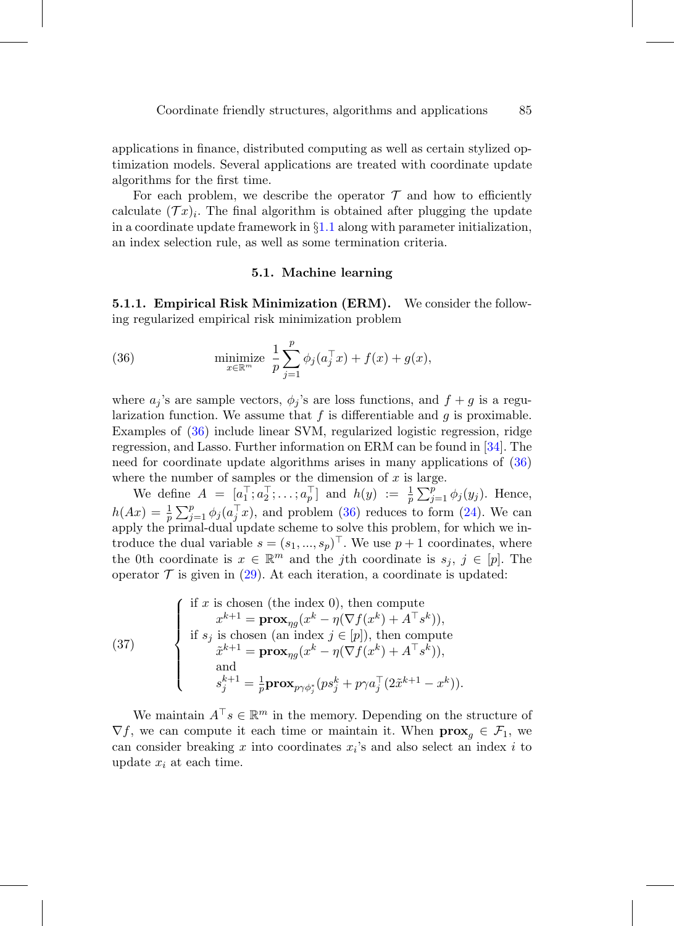applications in finance, distributed computing as well as certain stylized optimization models. Several applications are treated with coordinate update algorithms for the first time.

For each problem, we describe the operator  $\mathcal T$  and how to efficiently calculate  $(\mathcal{T} x)_i$ . The final algorithm is obtained after plugging the update in a coordinate update framework in  $\S1.1$  $\S1.1$  along with parameter initialization, an index selection rule, as well as some termination criteria.

#### <span id="page-28-1"></span>**5.1. Machine learning**

<span id="page-28-0"></span>**5.1.1. Empirical Risk Minimization (ERM).** We consider the following regularized empirical risk minimization problem

(36) 
$$
\text{minimize } \frac{1}{p} \sum_{j=1}^{p} \phi_j(a_j^\top x) + f(x) + g(x),
$$

where  $a_j$ 's are sample vectors,  $\phi_j$ 's are loss functions, and  $f + g$  is a regularization function. We assume that  $f$  is differentiable and  $g$  is proximable. Examples of [\(36\)](#page-28-1) include linear SVM, regularized logistic regression, ridge regression, and Lasso. Further information on ERM can be found in [\[34](#page-57-10)]. The need for coordinate update algorithms arises in many applications of [\(36\)](#page-28-1) where the number of samples or the dimension of  $x$  is large.

We define  $A = [a_1^\top, a_2^\top, \ldots, a_p^\top]$  and  $h(y) := \frac{1}{p} \sum_{j=1}^p \phi_j(y_j)$ . Hence,  $h(Ax) = \frac{1}{p} \sum_{j=1}^p \phi_j(a_j^\top x)$ , and problem [\(36\)](#page-28-1) reduces to form [\(24\)](#page-20-3). We can apply the primal-dual update scheme to solve this problem, for which we introduce the dual variable  $s = (s_1, ..., s_p)^\top$ . We use  $p + 1$  coordinates, where the 0th coordinate is  $x \in \mathbb{R}^m$  and the jth coordinate is  $s_j, j \in [p]$ . The operator  $\mathcal T$  is given in [\(29\)](#page-21-3). At each iteration, a coordinate is updated:

(37)   
\n
$$
\begin{cases}\n\text{if } x \text{ is chosen (the index 0), then compute} \\
x^{k+1} = \mathbf{prox}_{\eta g}(x^k - \eta(\nabla f(x^k) + A^\top s^k)), \\
\text{if } s_j \text{ is chosen (an index } j \in [p]), \text{ then compute} \\
\tilde{x}^{k+1} = \mathbf{prox}_{\eta g}(x^k - \eta(\nabla f(x^k) + A^\top s^k)), \\
\text{and} \\
s_j^{k+1} = \frac{1}{p} \mathbf{prox}_{p\gamma \phi_j^*}(ps_j^k + p\gamma a_j^\top (2\tilde{x}^{k+1} - x^k)).\n\end{cases}
$$

We maintain  $A^{\top} s \in \mathbb{R}^m$  in the memory. Depending on the structure of  $\nabla f$ , we can compute it each time or maintain it. When  $\mathbf{prox}_g \in \mathcal{F}_1$ , we can consider breaking x into coordinates  $x_i$ 's and also select an index i to update  $x_i$  at each time.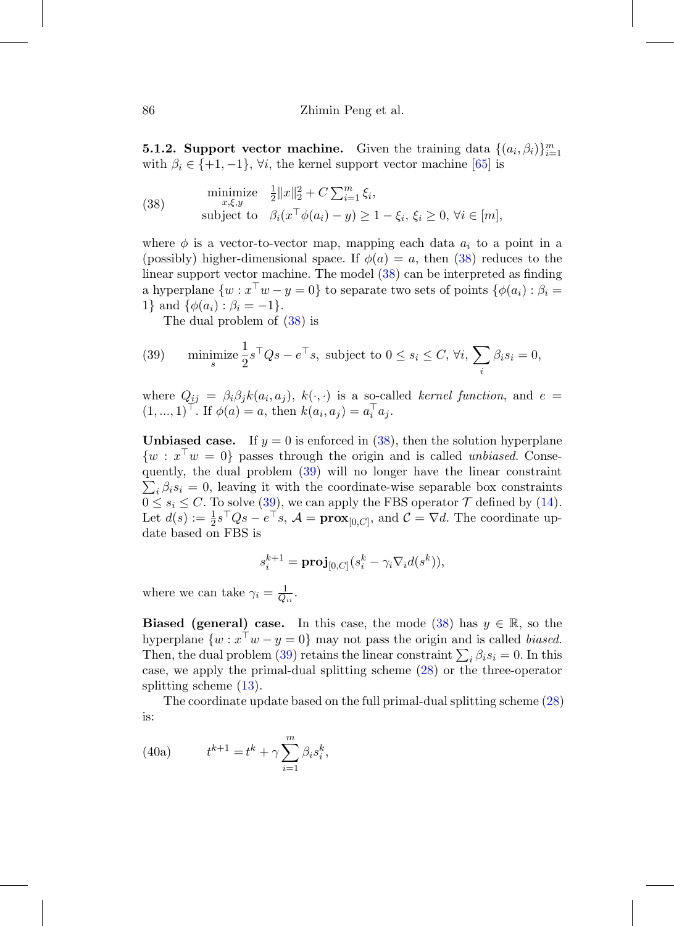**5.1.2. Support vector machine.** Given the training data  $\{(a_i, \beta_i)\}_{i=1}^m$ with  $\beta_i \in \{+1, -1\}$ ,  $\forall i$ , the kernel support vector machine [\[65\]](#page-59-9) is

<span id="page-29-0"></span>(38) 
$$
\begin{array}{ll}\text{minimize} & \frac{1}{2} \|x\|_2^2 + C \sum_{i=1}^m \xi_i, \\ \text{subject to} & \beta_i (x^\top \phi(a_i) - y) \ge 1 - \xi_i, \, \xi_i \ge 0, \, \forall i \in [m], \end{array}
$$

where  $\phi$  is a vector-to-vector map, mapping each data  $a_i$  to a point in a (possibly) higher-dimensional space. If  $\phi(a) = a$ , then [\(38\)](#page-29-0) reduces to the linear support vector machine. The model [\(38\)](#page-29-0) can be interpreted as finding a hyperplane  $\{w : x^{\top}w - y = 0\}$  to separate two sets of points  $\{\phi(a_i) : \beta_i =$ 1} and  $\{\phi(a_i) : \beta_i = -1\}.$ 

<span id="page-29-1"></span>The dual problem of [\(38\)](#page-29-0) is

(39) minimize 
$$
\frac{1}{2}s^{\top}Qs - e^{\top}s
$$
, subject to  $0 \le s_i \le C$ ,  $\forall i$ ,  $\sum_i \beta_i s_i = 0$ ,

where  $Q_{ij} = \beta_i \beta_j k(a_i, a_j)$ ,  $k(\cdot, \cdot)$  is a so-called kernel function, and  $e =$  $(1, ..., 1)^{\top}$ . If  $\phi(a) = a$ , then  $k(a_i, a_j) = a_i^{\top} a_j$ .

**Unbiased case.** If  $y = 0$  is enforced in  $(38)$ , then the solution hyperplane  $\{w : x^{\top}w = 0\}$  passes through the origin and is called *unbiased*. Consequently, the dual problem ( [39\)](#page-29-1) will no longer have the linear constraint  $\sum_i \beta_i s_i = 0$ , leaving it with the coordinate-wise separable box constraints  $0 \leq s_i \leq C$ . To solve [\(39\)](#page-29-1), we can apply the FBS operator  $\mathcal T$  defined by [\(14\)](#page-18-0). Let  $d(s) := \frac{1}{2}s^{\top}Qs - e^{\top}s$ ,  $\mathcal{A} = \mathbf{prox}_{[0,C]}$ , and  $\mathcal{C} = \nabla d$ . The coordinate update based on FBS is

$$
s_i^{k+1} = \mathbf{proj}_{[0,C]}(s_i^k - \gamma_i \nabla_i d(s^k)),
$$

where we can take  $\gamma_i = \frac{1}{Q_{ii}}$ .

**Biased (general) case.** In this case, the mode  $(38)$  has  $y \in \mathbb{R}$ , so the hyperplane  $\{w : x^{\top}w - y = 0\}$  may not pass the origin and is called biased. Then, the dual problem [\(39\)](#page-29-1) retains the linear constraint  $\sum_i \beta_i s_i = 0$ . In this case, we apply the primal-dual splitting scheme [\(28\)](#page-21-2) or the three-operator splitting scheme [\(13\)](#page-18-3).

<span id="page-29-3"></span>The coordinate update based on the full primal-dual splitting scheme [\(28\)](#page-21-2) is:

<span id="page-29-2"></span>(40a) 
$$
t^{k+1} = t^k + \gamma \sum_{i=1}^m \beta_i s_i^k,
$$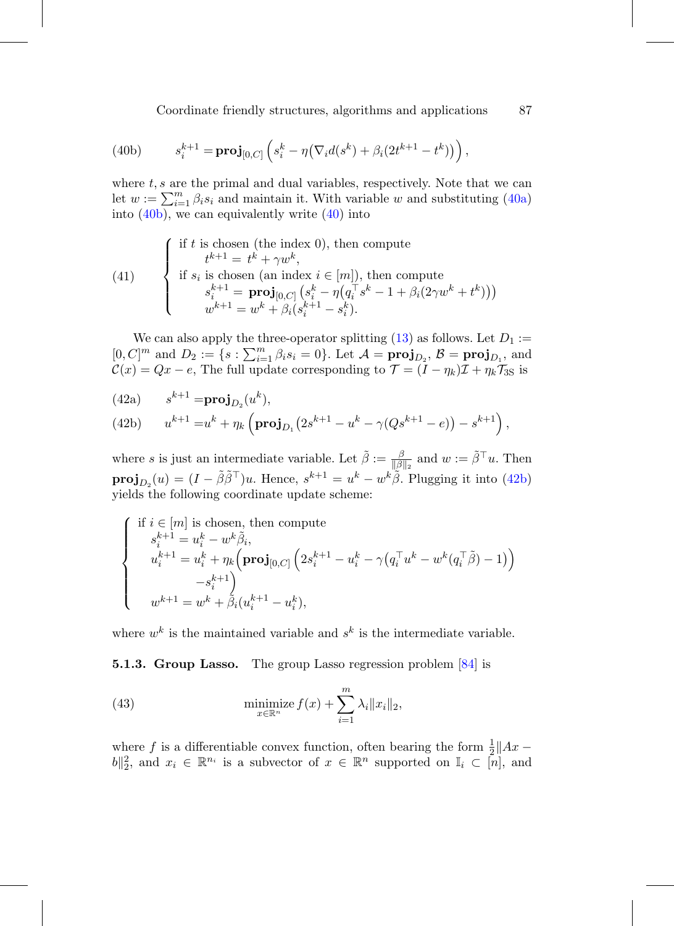Coordinate friendly structures, algorithms and applications 87

<span id="page-30-0"></span>(40b) 
$$
s_i^{k+1} = \mathbf{proj}_{[0,C]} \left( s_i^k - \eta (\nabla_i d(s^k) + \beta_i (2t^{k+1} - t^k)) \right),
$$

where  $t, s$  are the primal and dual variables, respectively. Note that we can let  $w := \sum_{i=1}^{m} \beta_i s_i$  and maintain it. With variable w and substituting [\(40a\)](#page-29-2) into  $(40b)$ , we can equivalently write  $(40)$  into

(41) 
$$
\begin{cases} \text{if } t \text{ is chosen (the index 0), then compute} \\ t^{k+1} = t^k + \gamma w^k, \\ \text{if } s_i \text{ is chosen (an index } i \in [m]), \text{ then compute} \\ s_i^{k+1} = \mathbf{proj}_{[0,C]} \left( s_i^k - \eta \left( q_i^{\top} s^k - 1 + \beta_i (2\gamma w^k + t^k) \right) \right) \\ w^{k+1} = w^k + \beta_i \left( s_i^{k+1} - s_i^k \right). \end{cases}
$$

We can also apply the three-operator splitting  $(13)$  as follows. Let  $D_1 :=$  $[0, C]^m$  and  $D_2 := \{s : \sum_{i=1}^m \beta_i s_i = 0\}$ . Let  $\mathcal{A} = \textbf{proj}_{D_2}, \mathcal{B} = \textbf{proj}_{D_1},$  and  $\mathcal{C}(x) = Qx - e$ , The full update corresponding to  $\mathcal{T} = (\tilde{I} - \eta_k)\mathcal{I} + \eta_k\mathcal{T}_{3S}$  is

(42a) 
$$
s^{k+1} = \mathbf{proj}_{D_2}(u^k),
$$

<span id="page-30-1"></span>(42b) 
$$
u^{k+1} = u^k + \eta_k \left( \mathbf{proj}_{D_1} \left( 2s^{k+1} - u^k - \gamma (Qs^{k+1} - e) \right) - s^{k+1} \right),
$$

where s is just an intermediate variable. Let  $\tilde{\beta} := \frac{\beta}{\|\beta\|_2}$  and  $w := \tilde{\beta}^\top u$ . Then  $\mathbf{proj}_{D_2}(u)=(I-\tilde{\beta}\tilde{\beta}^\top)u.$  Hence,  $s^{k+1}=u^k-w^k\tilde{\beta}.$  Plugging it into [\(42b\)](#page-30-1) yields the following coordinate update scheme:

$$
\label{eq:2} \left\{ \begin{array}{l} \mbox{if } i \in [m] \mbox{ is chosen, then compute} \\ s_i^{k+1} = u_i^k - w^k \tilde{\beta}_i, \\ u_i^{k+1} = u_i^k + \eta_k \Big(\mbox{proj}_{[0,C]} \left( 2 s_i^{k+1} - u_i^k - \gamma \big(q_i^\top u^k - w^k (q_i^\top \tilde{\beta}) - 1 \big) \right) \\ \qquad \qquad - s_i^{k+1} \Big) \\ w^{k+1} = w^k + \tilde{\beta}_i (u_i^{k+1} - u_i^k), \end{array} \right.
$$

where  $w^k$  is the maintained variable and  $s^k$  is the intermediate variable.

**5.1.3. Group Lasso.** The group Lasso regression problem [\[84](#page-61-7)] is

<span id="page-30-2"></span>(43) 
$$
\underset{x \in \mathbb{R}^n}{\text{minimize}} f(x) + \sum_{i=1}^m \lambda_i \|x_i\|_2,
$$

where f is a differentiable convex function, often bearing the form  $\frac{1}{2}||Ax ||b||_2^2$ , and  $x_i \in \mathbb{R}^{n_i}$  is a subvector of  $x \in \mathbb{R}^n$  supported on  $\mathbb{I}_i \subset [n]$ , and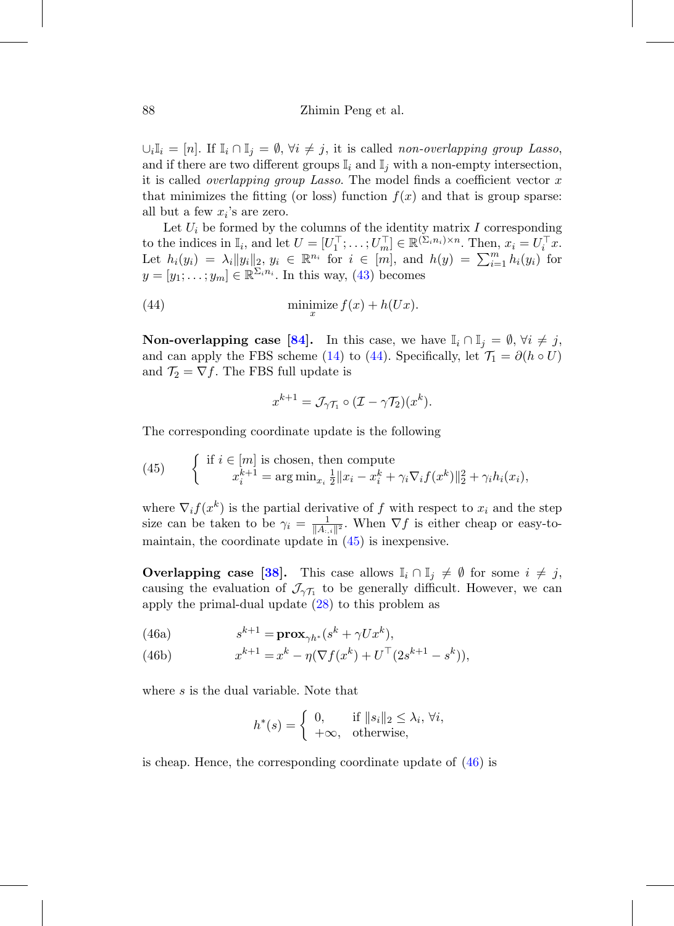$\bigcup_i \mathbb{I}_i = [n]$ . If  $\mathbb{I}_i \cap \mathbb{I}_j = \emptyset$ ,  $\forall i \neq j$ , it is called non-overlapping group Lasso, and if there are two different groups  $\mathbb{I}_i$  and  $\mathbb{I}_j$  with a non-empty intersection, it is called *overlapping group Lasso*. The model finds a coefficient vector  $x$ that minimizes the fitting (or loss) function  $f(x)$  and that is group sparse: all but a few  $x_i$ 's are zero.

Let  $U_i$  be formed by the columns of the identity matrix I corresponding to the indices in  $\mathbb{I}_i$ , and let  $U = [U_1^\top; \dots; U_m^\top] \in \mathbb{R}^{(\Sigma_i n_i) \times n}$ . Then,  $x_i = U_i^\top x$ . Let  $h_i(y_i) = \lambda_i ||y_i||_2, y_i \in \mathbb{R}^{n_i}$  for  $i \in [m]$ , and  $h(y) = \sum_{i=1}^m h_i(y_i)$  for  $y = [y_1; \ldots; y_m] \in \mathbb{R}^{\sum_i n_i}$ . In this way, [\(43\)](#page-30-2) becomes

(44) 
$$
\min_x z f(x) + h(Ux).
$$

**Non-overlapping case [\[84](#page-61-7)].** In this case, we have  $\mathbb{I}_i \cap \mathbb{I}_j = \emptyset$ ,  $\forall i \neq j$ , and can apply the FBS scheme [\(14\)](#page-18-0) to [\(44\)](#page-31-0). Specifically, let  $\mathcal{T}_1 = \partial(h \circ U)$ and  $\mathcal{T}_2 = \nabla f$ . The FBS full update is

<span id="page-31-0"></span>
$$
x^{k+1} = \mathcal{J}_{\gamma\mathcal{T}_1} \circ (\mathcal{I} - \gamma\mathcal{T}_2)(x^k).
$$

The corresponding coordinate update is the following

<span id="page-31-1"></span>(45) 
$$
\begin{cases} \text{if } i \in [m] \text{ is chosen, then compute} \\ x_i^{k+1} = \arg \min_{x_i} \frac{1}{2} ||x_i - x_i^k + \gamma_i \nabla_i f(x^k)||_2^2 + \gamma_i h_i(x_i), \end{cases}
$$

where  $\nabla_i f(x^k)$  is the partial derivative of f with respect to  $x_i$  and the step size can be taken to be  $\gamma_i = \frac{1}{\|A_{i,i}\|^2}$ . When  $\nabla f$  is either cheap or easy-tomaintain, the coordinate update in [\(45\)](#page-31-1) is inexpensive.

**Overlapping case [\[38\]](#page-57-11).** This case allows  $\mathbb{I}_i \cap \mathbb{I}_j \neq \emptyset$  for some  $i \neq j$ , causing the evaluation of  $\mathcal{J}_{\gamma\mathcal{T}_1}$  to be generally difficult. However, we can apply the primal-dual update [\(28\)](#page-21-2) to this problem as

(46a) 
$$
s^{k+1} = \mathbf{prox}_{\gamma h^*}(s^k + \gamma U x^k),
$$

(46b) 
$$
x^{k+1} = x^k - \eta (\nabla f(x^k) + U^{\top} (2s^{k+1} - s^k)),
$$

where s is the dual variable. Note that

<span id="page-31-2"></span>
$$
h^*(s) = \begin{cases} 0, & \text{if } \|s_i\|_2 \le \lambda_i, \ \forall i, \\ +\infty, & \text{otherwise,} \end{cases}
$$

is cheap. Hence, the corresponding coordinate update of [\(46\)](#page-31-2) is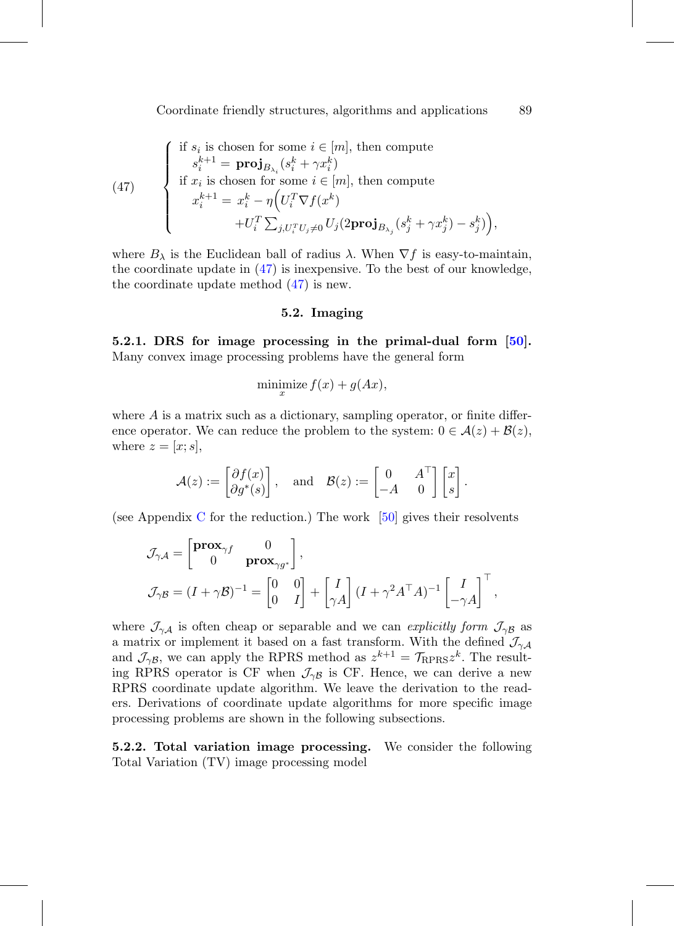<span id="page-32-1"></span>(47)   
\n
$$
\begin{cases}\n\text{if } s_i \text{ is chosen for some } i \in [m], \text{ then compute} \\
s_i^{k+1} = \mathbf{proj}_{B_{\lambda_i}}(s_i^k + \gamma x_i^k) \\
\text{if } x_i \text{ is chosen for some } i \in [m], \text{ then compute} \\
x_i^{k+1} = x_i^k - \eta \Big( U_i^T \nabla f(x^k) \\
&+ U_i^T \sum_{j, U_i^T U_j \neq 0} U_j (2 \mathbf{proj}_{B_{\lambda_j}}(s_j^k + \gamma x_j^k) - s_j^k) \Big),\n\end{cases}
$$

<span id="page-32-0"></span>where  $B_\lambda$  is the Euclidean ball of radius  $\lambda$ . When  $\nabla f$  is easy-to-maintain, the coordinate update in  $(47)$  is inexpensive. To the best of our knowledge, the coordinate update method [\(47\)](#page-32-1) is new.

# **5.2. Imaging**

**5.2.1. DRS for image processing in the primal-dual form [\[50\]](#page-58-9).** Many convex image processing problems have the general form

$$
\underset{x}{\text{minimize}} f(x) + g(Ax),
$$

where  $A$  is a matrix such as a dictionary, sampling operator, or finite difference operator. We can reduce the problem to the system:  $0 \in \mathcal{A}(z) + \mathcal{B}(z)$ , where  $z = [x; s]$ ,

$$
\mathcal{A}(z) := \begin{bmatrix} \partial f(x) \\ \partial g^*(s) \end{bmatrix}, \quad \text{and} \quad \mathcal{B}(z) := \begin{bmatrix} 0 & A^\top \\ -A & 0 \end{bmatrix} \begin{bmatrix} x \\ s \end{bmatrix}.
$$

(see Appendix [C](#page-14-0) for the reduction.) The work  $[50]$  $[50]$  gives their resolvents

$$
\mathcal{J}_{\gamma A} = \begin{bmatrix} \mathbf{prox}_{\gamma f} & 0 \\ 0 & \mathbf{prox}_{\gamma g^*} \end{bmatrix},
$$
  

$$
\mathcal{J}_{\gamma B} = (I + \gamma \mathcal{B})^{-1} = \begin{bmatrix} 0 & 0 \\ 0 & I \end{bmatrix} + \begin{bmatrix} I \\ \gamma A \end{bmatrix} (I + \gamma^2 A^\top A)^{-1} \begin{bmatrix} I \\ -\gamma A \end{bmatrix}^\top,
$$

where  $\mathcal{J}_{\gamma A}$  is often cheap or separable and we can explicitly form  $\mathcal{J}_{\gamma B}$  as a matrix or implement it based on a fast transform. With the defined  $\mathcal{J}_{\gamma A}$ and  $\mathcal{J}_{\gamma\beta}$ , we can apply the RPRS method as  $z^{k+1} = \mathcal{T}_{\text{RPRS}} z^k$ . The resulting RPRS operator is CF when  $\mathcal{J}_{\gamma\beta}$  is CF. Hence, we can derive a new RPRS coordinate update algorithm. We leave the derivation to the readers. Derivations of coordinate update algorithms for more specific image processing problems are shown in the following subsections.

**5.2.2. Total variation image processing.** We consider the following Total Variation (TV) image processing model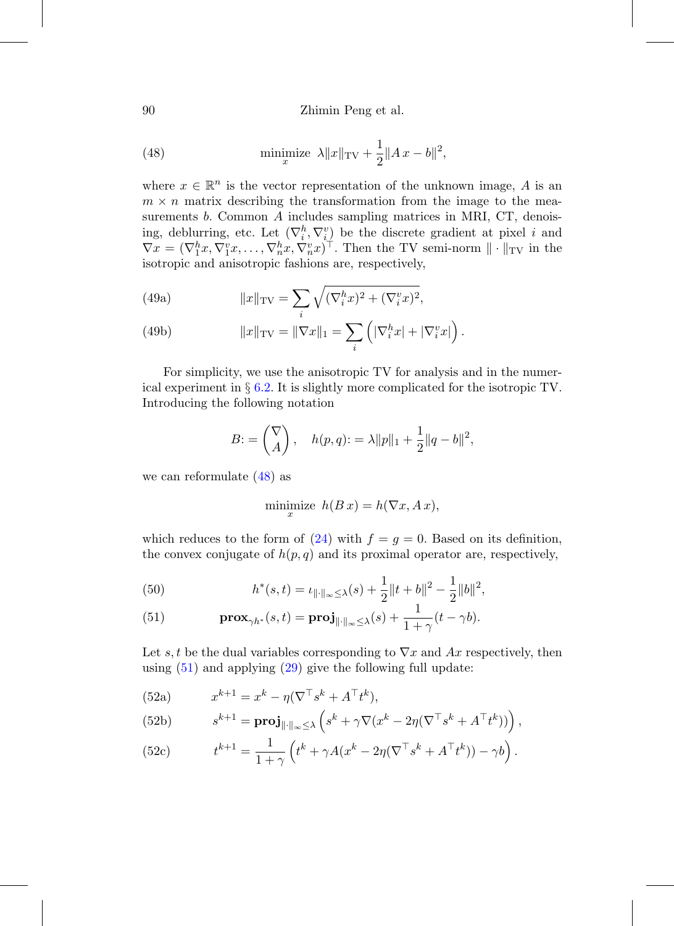90 Zhimin Peng et al.

<span id="page-33-1"></span>(48) 
$$
\min_{x} \|\bar{x}\|_{TV} + \frac{1}{2} \|A x - b\|^2,
$$

where  $x \in \mathbb{R}^n$  is the vector representation of the unknown image, A is an  $m \times n$  matrix describing the transformation from the image to the measurements b. Common A includes sampling matrices in MRI, CT, denoising, deblurring, etc. Let  $(\nabla_i^h, \nabla_i^v)$  be the discrete gradient at pixel i and  $\nabla x = (\nabla_1^h x, \nabla_1^v x, \dots, \nabla_n^h x, \nabla_n^v x)^\top$ . Then the TV semi-norm  $\|\cdot\|_{TV}$  in the isotropic and anisotropic fashions are, respectively,

(49a) 
$$
||x||_{\text{TV}} = \sum_{i} \sqrt{(\nabla_i^h x)^2 + (\nabla_i^v x)^2},
$$

(49b) 
$$
||x||_{\text{TV}} = ||\nabla x||_1 = \sum_i \left( |\nabla_i^h x| + |\nabla_i^v x| \right).
$$

For simplicity, we use the anisotropic TV for analysis and in the numerical experiment in § [6.2.](#page-41-0) It is slightly more complicated for the isotropic TV. Introducing the following notation

<span id="page-33-0"></span>
$$
B: = \binom{\nabla}{A}, \quad h(p,q): = \lambda ||p||_1 + \frac{1}{2} ||q - b||^2,
$$

we can reformulate [\(48\)](#page-33-1) as

<span id="page-33-3"></span>
$$
\underset{x}{\text{minimize}} \quad h(B \, x) = h(\nabla x, A \, x),
$$

which reduces to the form of  $(24)$  with  $f = g = 0$ . Based on its definition, the convex conjugate of  $h(p,q)$  and its proximal operator are, respectively,

(50) 
$$
h^*(s,t) = \iota_{\|\cdot\|_{\infty} \leq \lambda}(s) + \frac{1}{2} \|t+b\|^2 - \frac{1}{2} \|b\|^2,
$$

<span id="page-33-2"></span>(51) 
$$
\mathbf{prox}_{\gamma h^*}(s,t) = \mathbf{proj}_{\|\cdot\|_{\infty} \leq \lambda}(s) + \frac{1}{1+\gamma}(t-\gamma b).
$$

Let s, t be the dual variables corresponding to  $\nabla x$  and Ax respectively, then using  $(51)$  and applying  $(29)$  give the following full update:

(52a) 
$$
x^{k+1} = x^k - \eta (\nabla^{\top} s^k + A^{\top} t^k),
$$

(52b) 
$$
s^{k+1} = \mathbf{proj}_{\|\cdot\|_{\infty} \leq \lambda} \left( s^k + \gamma \nabla (x^k - 2\eta (\nabla^{\top} s^k + A^{\top} t^k)) \right),
$$

(52c) 
$$
t^{k+1} = \frac{1}{1+\gamma} \left( t^k + \gamma A (x^k - 2\eta (\nabla^{\top} s^k + A^{\top} t^k)) - \gamma b \right).
$$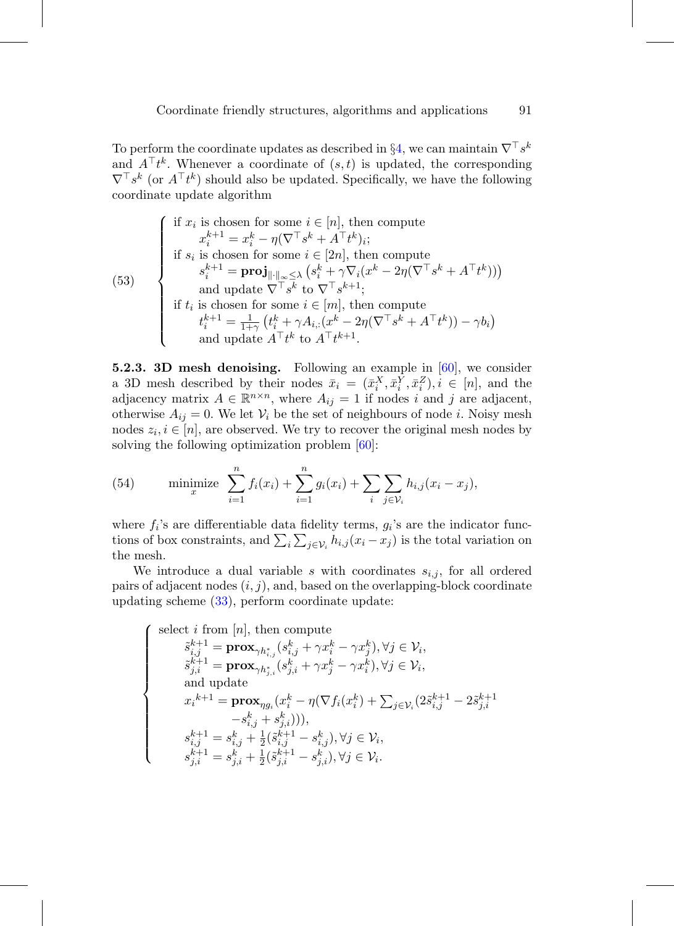To perform the coordinate updates as described in §[4,](#page-20-0) we can maintain  $\nabla^{\top} s^k$ and  $A^{\top}t^k$ . Whenever a coordinate of  $(s, t)$  is updated, the corresponding  $\nabla^{\top} s^k$  (or  $A^{\top} t^k$ ) should also be updated. Specifically, we have the following coordinate update algorithm

(53)   
\n
$$
\begin{cases}\n\text{if } x_i \text{ is chosen for some } i \in [n], \text{ then compute} \\
x_i^{k+1} = x_i^k - \eta(\nabla^\top s^k + A^\top t^k)_i; \\
\text{if } s_i \text{ is chosen for some } i \in [2n], \text{ then compute} \\
s_i^{k+1} = \text{proj}_{\|\cdot\|_{\infty} \leq \lambda} (s_i^k + \gamma \nabla_i (x^k - 2\eta(\nabla^\top s^k + A^\top t^k))) \\
\text{and update } \nabla^\top s^k \text{ to } \nabla^\top s^{k+1}; \\
\text{if } t_i \text{ is chosen for some } i \in [m], \text{ then compute} \\
t_i^{k+1} = \frac{1}{1+\gamma} (t_i^k + \gamma A_{i,:}(x^k - 2\eta(\nabla^\top s^k + A^\top t^k)) - \gamma b_i) \\
\text{and update } A^\top t^k \text{ to } A^\top t^{k+1}.\n\end{cases}
$$

**5.2.3. 3D mesh denoising.** Following an example in [\[60](#page-59-10)], we consider a 3D mesh described by their nodes  $\bar{x}_i = (\bar{x}_i^X, \bar{x}_i^Y, \bar{x}_i^Z), i \in [n]$ , and the adjacency matrix  $A \in \mathbb{R}^{n \times n}$ , where  $A_{ij} = 1$  if nodes i and j are adjacent, otherwise  $A_{ij} = 0$ . We let  $V_i$  be the set of neighbours of node *i*. Noisy mesh nodes  $z_i, i \in [n]$ , are observed. We try to recover the original mesh nodes by solving the following optimization problem [\[60](#page-59-10)]:

(54) minimize 
$$
\sum_{i=1}^{n} f_i(x_i) + \sum_{i=1}^{n} g_i(x_i) + \sum_{i} \sum_{j \in \mathcal{V}_i} h_{i,j}(x_i - x_j),
$$

where  $f_i$ 's are differentiable data fidelity terms,  $g_i$ 's are the indicator functions of box constraints, and  $\sum_i \sum_{j \in \mathcal{V}_i} h_{i,j}(x_i - x_j)$  is the total variation on the mesh.

We introduce a dual variable s with coordinates  $s_{i,j}$ , for all ordered pairs of adjacent nodes  $(i, j)$ , and, based on the overlapping-block coordinate updating scheme [\(33\)](#page-25-0), perform coordinate update:

<span id="page-34-0"></span>
$$
\left\{\begin{array}{c} \mbox{select $i$ from $[n]$, then compute}\\ \tilde{s}^{k+1}_{i,j} = \mathbf{prox}_{\gamma h^*_{i,j}}(s^k_{i,j} + \gamma x^k_i - \gamma x^k_j), \forall j \in \mathcal{V}_i, \\ \tilde{s}^{k+1}_{j,i} = \mathbf{prox}_{\gamma h^*_{j,i}}(s^k_{j,i} + \gamma x^k_j - \gamma x^k_i), \forall j \in \mathcal{V}_i, \\ \mbox{and update}\\ x_i^{k+1} = \mathbf{prox}_{\eta g_i}(x^k_i - \eta(\nabla f_i(x^k_i) + \sum_{j \in \mathcal{V}_i} (2\tilde{s}^{k+1}_{i,j} - 2\tilde{s}^{k+1}_{j,i} \\ -s^k_{i,j} + s^k_{j,i}))),\\ s^{k+1}_{i,j} = s^k_{i,j} + \frac{1}{2}(\tilde{s}^{k+1}_{i,j} - s^k_{i,j}), \forall j \in \mathcal{V}_i, \\ s^{k+1}_{j,i} = s^k_{j,i} + \frac{1}{2}(\tilde{s}^{k+1}_{j,i} - s^k_{j,i}), \forall j \in \mathcal{V}_i.\end{array}\right.
$$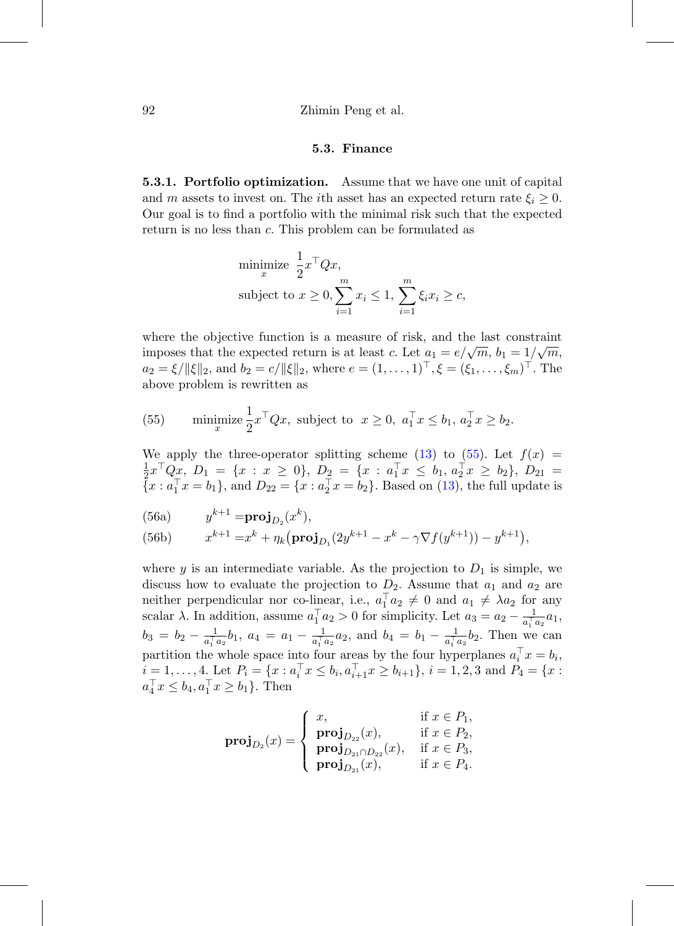#### 92 Zhimin Peng et al.

#### **5.3. Finance**

**5.3.1. Portfolio optimization.** Assume that we have one unit of capital and m assets to invest on. The *i*th asset has an expected return rate  $\xi_i \geq 0$ . Our goal is to find a portfolio with the minimal risk such that the expected return is no less than c. This problem can be formulated as

<span id="page-35-0"></span>minimize 
$$
\frac{1}{2}x^{\top}Qx
$$
,  
subject to  $x \ge 0$ ,  $\sum_{i=1}^{m} x_i \le 1$ ,  $\sum_{i=1}^{m} \xi_i x_i \ge c$ ,

where the objective function is a measure of risk, and the last constraint imposes that the expected return is at least c. Let  $a_1 = e/\sqrt{m}$ ,  $b_1 = 1/\sqrt{m}$ ,  $a_2 = \xi / ||\xi||_2$ , and  $b_2 = c / ||\xi||_2$ , where  $e = (1, \ldots, 1)^{\top}, \xi = (\xi_1, \ldots, \xi_m)^{\top}$ . The above problem is rewritten as

(55) minimize 
$$
\frac{1}{2}x^{\top}Qx
$$
, subject to  $x \ge 0$ ,  $a_1^{\top}x \le b_1$ ,  $a_2^{\top}x \ge b_2$ .

We apply the three-operator splitting scheme [\(13\)](#page-18-3) to [\(55\)](#page-34-0). Let  $f(x) =$  $\frac{1}{2}x^{\top}Q_{x}$ ,  $D_{1} = \{x : x \ge 0\}$ ,  $D_{2} = \{x : a_{1}^{\top}x \le b_{1}, a_{2}^{\top}x \ge b_{2}\}$ ,  $D_{21} =$  ${x : a_1^{\top} x = b_1},$  and  $D_{22} = {x : a_2^{\top} x = b_2}.$  Based on [\(13\)](#page-18-3), the full update is

(56a) 
$$
y^{k+1} = \mathbf{proj}_{D_2}(x^k),
$$

(56b) 
$$
x^{k+1} = x^k + \eta_k (\mathbf{proj}_{D_1}(2y^{k+1} - x^k - \gamma \nabla f(y^{k+1})) - y^{k+1}),
$$

where y is an intermediate variable. As the projection to  $D_1$  is simple, we discuss how to evaluate the projection to  $D_2$ . Assume that  $a_1$  and  $a_2$  are neither perpendicular nor co-linear, i.e.,  $a_1^\top a_2 \neq 0$  and  $a_1 \neq \lambda a_2$  for any scalar  $\lambda$ . In addition, assume  $a_1^\top a_2 > 0$  for simplicity. Let  $a_3 = a_2 - \frac{1}{a_1^\top a_2} a_1$ ,  $b_3 = b_2 - \frac{1}{a_1^{\top} a_2} b_1$ ,  $a_4 = a_1 - \frac{1}{a_1^{\top} a_2} a_2$ , and  $b_4 = b_1 - \frac{1}{a_1^{\top} a_2} b_2$ . Then we can partition the whole space into four areas by the four hyperplanes  $a_i^{\top} x = b_i$ ,  $i = 1, \ldots, 4$ . Let  $P_i = \{x : a_i^{\top} x \le b_i, a_{i+1}^{\top} x \ge b_{i+1}\}, i = 1, 2, 3 \text{ and } P_4 = \{x : a_i^{\top} x \le b_i, a_{i+1}^{\top} x \ge b_{i+1}\}$  $a_4^{\top} x \leq b_4, a_1^{\top} x \geq b_1$ . Then

$$
\textbf{proj}_{D_2}(x) = \begin{cases} x, & \text{if } x \in P_1, \\ \textbf{proj}_{D_{22}}(x), & \text{if } x \in P_2, \\ \textbf{proj}_{D_{21} \cap D_{22}}(x), & \text{if } x \in P_3, \\ \textbf{proj}_{D_{21}}(x), & \text{if } x \in P_4. \end{cases}
$$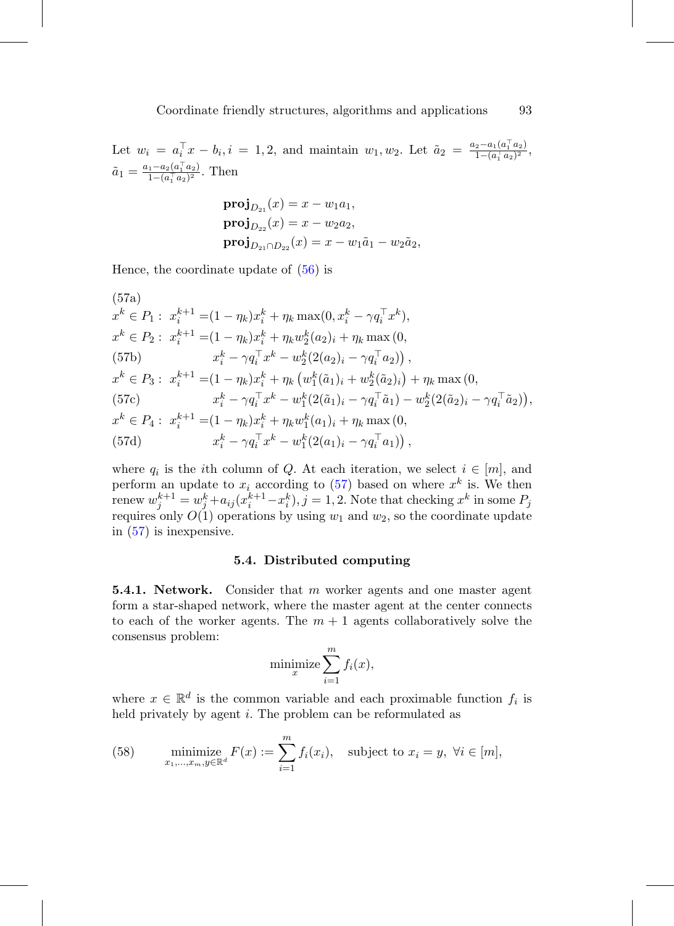Let  $w_i = a_i^{\top} x - b_i, i = 1, 2$ , and maintain  $w_1, w_2$ . Let  $\tilde{a}_2 = \frac{a_2 - a_1(a_1^{\top} a_2)}{1 - (a_1^{\top} a_2)^2}$  $\frac{2-a_1(a_1\ a_2)}{1-(a_1^\top a_2)^2},$  $\tilde{a}_1 = \frac{a_1 - a_2(a_1^\top a_2)}{1 - (a_1^\top a_2)^2}$  $\frac{1-a_2(a_1 \cdot a_2)}{1-(a_1^\top a_2)^2}$ . Then

<span id="page-36-0"></span>
$$
\begin{aligned} \n\mathbf{proj}_{D_{21}}(x) &= x - w_1 a_1, \\ \n\mathbf{proj}_{D_{22}}(x) &= x - w_2 a_2, \\ \n\mathbf{proj}_{D_{21} \cap D_{22}}(x) &= x - w_1 \tilde{a}_1 - w_2 \tilde{a}_2, \n\end{aligned}
$$

Hence, the coordinate update of  $(56)$  is

(57a)  
\n
$$
x^{k} \in P_{1}: x_{i}^{k+1} = (1 - \eta_{k})x_{i}^{k} + \eta_{k} \max(0, x_{i}^{k} - \gamma q_{i}^{\top} x^{k}),
$$
\n
$$
x^{k} \in P_{2}: x_{i}^{k+1} = (1 - \eta_{k})x_{i}^{k} + \eta_{k} w_{2}^{k}(a_{2})_{i} + \eta_{k} \max(0,
$$
\n(57b)  
\n
$$
x_{i}^{k} - \gamma q_{i}^{\top} x^{k} - w_{2}^{k}(2(a_{2})_{i} - \gamma q_{i}^{\top} a_{2})),
$$
\n
$$
x^{k} \in P_{3}: x_{i}^{k+1} = (1 - \eta_{k})x_{i}^{k} + \eta_{k} (w_{1}^{k}(\tilde{a}_{1})_{i} + w_{2}^{k}(\tilde{a}_{2})_{i}) + \eta_{k} \max(0,
$$
\n(57c)  
\n
$$
x_{i}^{k} - \gamma q_{i}^{\top} x^{k} - w_{1}^{k}(2(\tilde{a}_{1})_{i} - \gamma q_{i}^{\top} \tilde{a}_{1}) - w_{2}^{k}(2(\tilde{a}_{2})_{i} - \gamma q_{i}^{\top} \tilde{a}_{2})),
$$
\n
$$
x^{k} \in P_{4}: x_{i}^{k+1} = (1 - \eta_{k})x_{i}^{k} + \eta_{k} w_{1}^{k}(a_{1})_{i} + \eta_{k} \max(0,
$$
\n(57d)  
\n
$$
x_{i}^{k} - \gamma q_{i}^{\top} x^{k} - w_{1}^{k}(2(a_{1})_{i} - \gamma q_{i}^{\top} a_{1})),
$$

where  $q_i$  is the *i*th column of Q. At each iteration, we select  $i \in [m]$ , and perform an update to  $x_i$  according to [\(57\)](#page-36-0) based on where  $x^k$  is. We then renew  $w_j^{k+1} = w_j^k + a_{ij} (x_i^{k+1} - x_i^k), j = 1, 2$ . Note that checking  $x^k$  in some  $P_j$ requires only  $O(1)$  operations by using  $w_1$  and  $w_2$ , so the coordinate update in [\(57\)](#page-36-0) is inexpensive.

# **5.4. Distributed computing**

**5.4.1. Network.** Consider that m worker agents and one master agent form a star-shaped network, where the master agent at the center connects to each of the worker agents. The  $m + 1$  agents collaboratively solve the consensus problem:

$$
\text{minimize} \sum_{i=1}^{m} f_i(x),
$$

where  $x \in \mathbb{R}^d$  is the common variable and each proximable function  $f_i$  is held privately by agent *i*. The problem can be reformulated as

(58) minimize 
$$
F(x) := \sum_{i=1}^{m} f_i(x_i)
$$
, subject to  $x_i = y$ ,  $\forall i \in [m]$ ,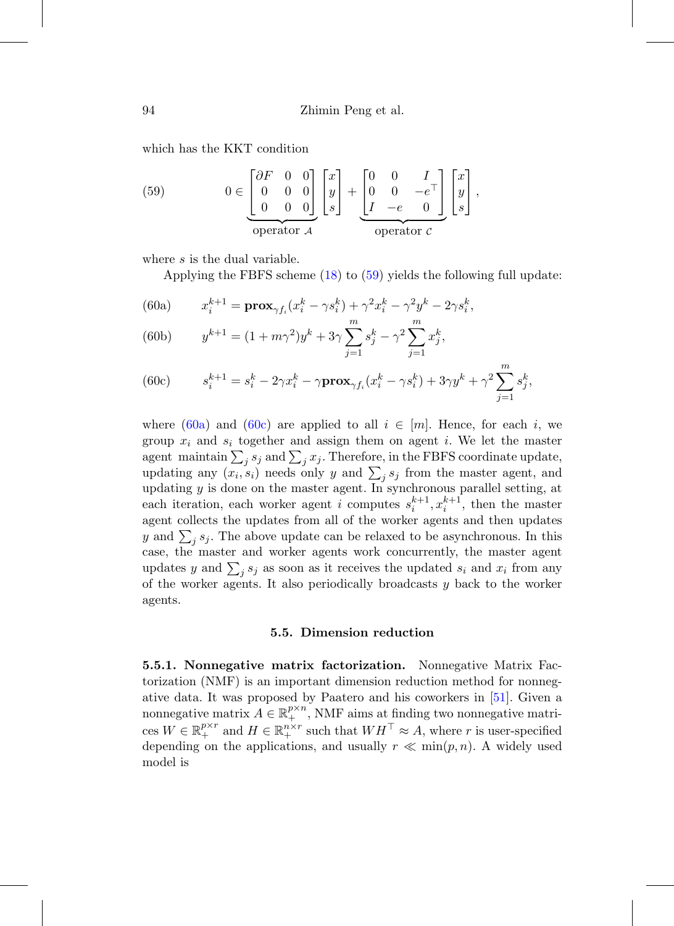which has the KKT condition

<span id="page-37-0"></span>(59) 
$$
0 \in \begin{bmatrix} \partial F & 0 & 0 \\ 0 & 0 & 0 \\ 0 & 0 & 0 \end{bmatrix} \begin{bmatrix} x \\ y \\ s \end{bmatrix} + \begin{bmatrix} 0 & 0 & I \\ 0 & 0 & -e^{\top} \\ I & -e & 0 \end{bmatrix} \begin{bmatrix} x \\ y \\ s \end{bmatrix},
$$
operator  $\mathcal{L}$ 

where s is the dual variable.

Applying the FBFS scheme [\(18\)](#page-19-3) to [\(59\)](#page-37-0) yields the following full update:

<span id="page-37-1"></span>(60a) 
$$
x_i^{k+1} = \mathbf{prox}_{\gamma f_i}(x_i^k - \gamma s_i^k) + \gamma^2 x_i^k - \gamma^2 y^k - 2\gamma s_i^k,
$$

(60b) 
$$
y^{k+1} = (1 + m\gamma^2)y^k + 3\gamma \sum_{j=1}^m s_j^k - \gamma^2 \sum_{j=1}^m x_j^k,
$$

<span id="page-37-2"></span>(60c) 
$$
s_i^{k+1} = s_i^k - 2\gamma x_i^k - \gamma \mathbf{prox}_{\gamma f_i}(x_i^k - \gamma s_i^k) + 3\gamma y^k + \gamma^2 \sum_{j=1}^m s_j^k,
$$

where [\(60a\)](#page-37-1) and [\(60c\)](#page-37-2) are applied to all  $i \in [m]$ . Hence, for each i, we group  $x_i$  and  $s_i$  together and assign them on agent i. We let the master agent maintain  $\sum_j s_j$  and  $\sum_j x_j$ . Therefore, in the FBFS coordinate update, updating any  $(x_i, s_i)$  needs only y and  $\sum_j s_j$  from the master agent, and updating  $y$  is done on the master agent. In synchronous parallel setting, at each iteration, each worker agent *i* computes  $s_i^{k+1}, x_i^{k+1}$ , then the master agent collects the updates from all of the worker agents and then updates y and  $\sum_j s_j$ . The above update can be relaxed to be asynchronous. In this case, the master and worker agents work concurrently, the master agent updates y and  $\sum_j s_j$  as soon as it receives the updated  $s_i$  and  $x_i$  from any of the worker agents. It also periodically broadcasts  $y$  back to the worker agents.

#### **5.5. Dimension reduction**

**5.5.1. Nonnegative matrix factorization.** Nonnegative Matrix Factorization (NMF) is an important dimension reduction method for nonnegative data. It was proposed by Paatero and his coworkers in [\[51](#page-58-10)]. Given a nonnegative matrix  $A \in \mathbb{R}_+^{p \times n}$ , NMF aims at finding two nonnegative matrices  $W \in \mathbb{R}^{p \times r}_+$  and  $H \in \mathbb{R}^{n \times r}_+$  such that  $WH^\top \approx A$ , where r is user-specified depending on the applications, and usually  $r \ll \min(p, n)$ . A widely used model is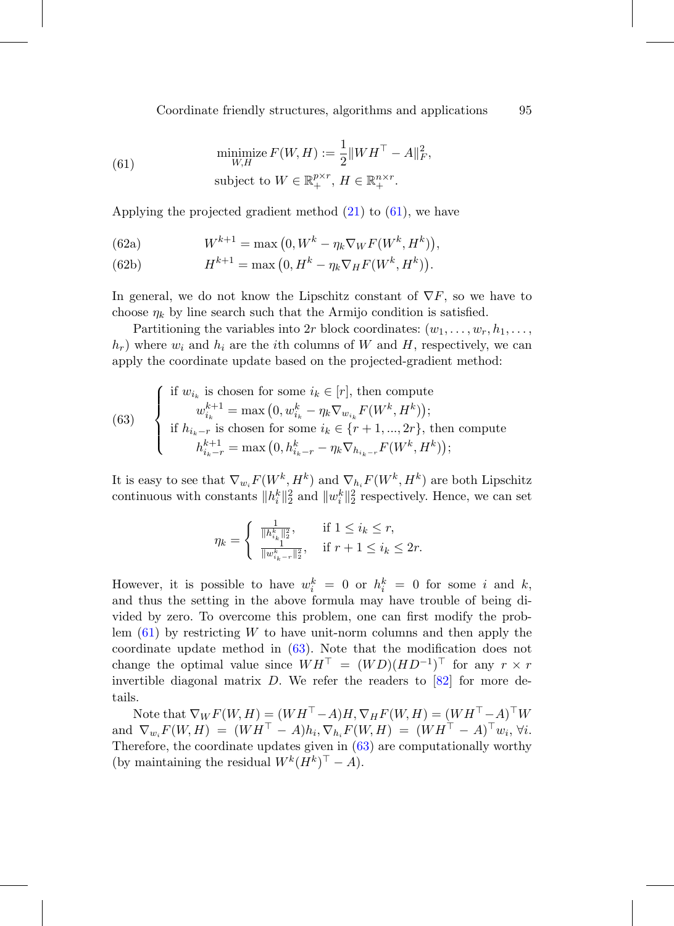<span id="page-38-0"></span>(61) 
$$
\begin{aligned}\n\text{minimize } F(W, H) &:= \frac{1}{2} \|W H^{\top} - A\|_F^2, \\
\text{subject to } W \in \mathbb{R}_+^{p \times r}, \ H \in \mathbb{R}_+^{n \times r}.\n\end{aligned}
$$

Applying the projected gradient method  $(21)$  to  $(61)$ , we have

(62a) 
$$
W^{k+1} = \max(0, W^k - \eta_k \nabla_W F(W^k, H^k)),
$$

(62b) 
$$
H^{k+1} = \max(0, H^k - \eta_k \nabla_H F(W^k, H^k)).
$$

In general, we do not know the Lipschitz constant of  $\nabla F$ , so we have to choose  $\eta_k$  by line search such that the Armijo condition is satisfied.

Partitioning the variables into 2r block coordinates:  $(w_1, \ldots, w_r, h_1, \ldots, h_r)$  $h_r$ ) where  $w_i$  and  $h_i$  are the *i*th columns of W and H, respectively, we can apply the coordinate update based on the projected-gradient method:

<span id="page-38-1"></span>(63) 
$$
\begin{cases}\n\text{if } w_{i_k} \text{ is chosen for some } i_k \in [r], \text{ then compute} \\
w_{i_k}^{k+1} = \max (0, w_{i_k}^k - \eta_k \nabla_{w_{i_k}} F(W^k, H^k)); \\
\text{if } h_{i_k - r} \text{ is chosen for some } i_k \in \{r+1, ..., 2r\}, \text{ then compute} \\
h_{i_k - r}^{k+1} = \max (0, h_{i_k - r}^k - \eta_k \nabla_{h_{i_k - r}} F(W^k, H^k));\n\end{cases}
$$

It is easy to see that  $\nabla_{w_i} F(W^k, H^k)$  and  $\nabla_{h_i} F(W^k, H^k)$  are both Lipschitz continuous with constants  $||h_i^k||_2^2$  and  $||w_i^k||_2^2$  respectively. Hence, we can set

$$
\eta_k = \begin{cases} \frac{1}{\|h_{i_k}^k\|_2^2}, & \text{if } 1 \le i_k \le r, \\ \frac{1}{\|w_{i_{k-r}}^k\|_2^2}, & \text{if } r+1 \le i_k \le 2r. \end{cases}
$$

However, it is possible to have  $w_i^k = 0$  or  $h_i^k = 0$  for some i and k, and thus the setting in the above formula may have trouble of being divided by zero. To overcome this problem, one can first modify the problem  $(61)$  by restricting W to have unit-norm columns and then apply the coordinate update method in [\(63\)](#page-38-1). Note that the modification does not change the optimal value since  $WH<sup>T</sup> = (WD)(HD<sup>-1</sup>)<sup>T</sup>$  for any  $r \times r$ invertible diagonal matrix  $D$ . We refer the readers to  $[82]$  for more details.

Note that  $\nabla_W F(W, H) = (W H^\top - A) H, \nabla_H F(W, H) = (W H^\top - A)^\top W$ and  $\nabla_{w_i} F(W, H) = (WH^{\top} - A)h_i, \nabla_{h_i} F(W, H) = (WH^{\top} - A)^{\top} w_i, \forall i.$ Therefore, the coordinate updates given in [\(63\)](#page-38-1) are computationally worthy (by maintaining the residual  $W^{k}(H^{k})^{\top} - A$ ).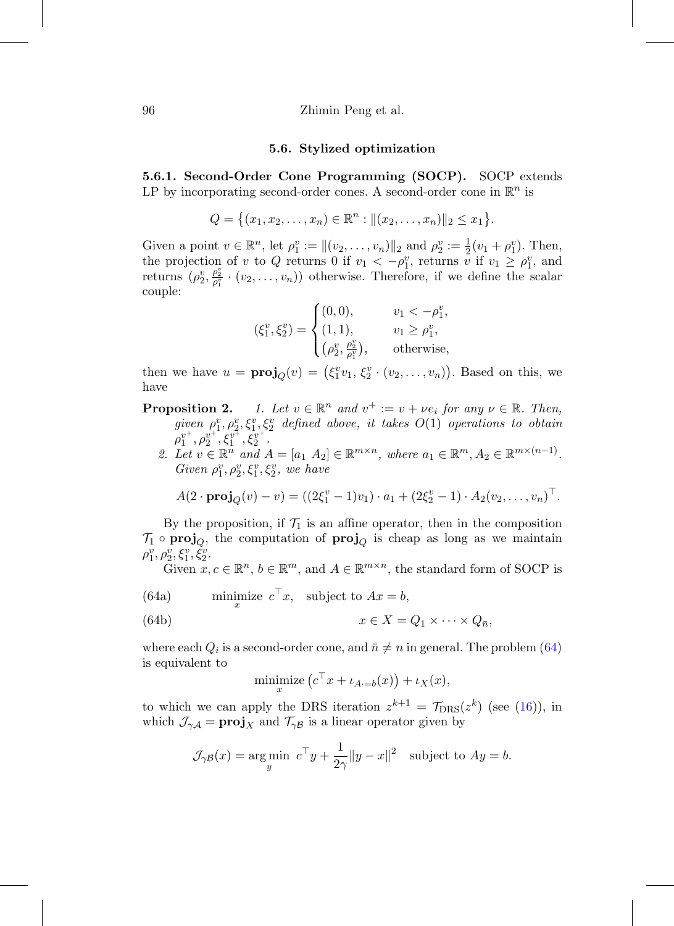#### **5.6. Stylized optimization**

**5.6.1. Second-Order Cone Programming (SOCP).** SOCP extends LP by incorporating second-order cones. A second-order cone in  $\mathbb{R}^n$  is

$$
Q = \{(x_1, x_2, \ldots, x_n) \in \mathbb{R}^n : ||(x_2, \ldots, x_n)||_2 \le x_1\}.
$$

Given a point  $v \in \mathbb{R}^n$ , let  $\rho_1^v := ||(v_2, \ldots, v_n)||_2$  and  $\rho_2^v := \frac{1}{2}(v_1 + \rho_1^v)$ . Then, the projection of v to Q returns 0 if  $v_1 < -\rho_1^v$ , returns v if  $v_1 \ge \rho_1^v$ , and returns  $(\rho_2^v, \frac{\rho_2^v}{\rho_1^v} \cdot (v_2, \ldots, v_n))$  otherwise. Therefore, if we define the scalar couple:

$$
(\xi_1^v, \xi_2^v) = \begin{cases} (0, 0), & v_1 < -\rho_1^v, \\ (1, 1), & v_1 \ge \rho_1^v, \\ (\rho_2^v, \frac{\rho_2^v}{\rho_1^v}), & \text{otherwise,} \end{cases}
$$

then we have  $u = \text{proj}_Q(v) = (\xi_1^v v_1, \xi_2^v \cdot (v_2, \dots, v_n))$ . Based on this, we have

**Proposition 2.** 1. Let  $v \in \mathbb{R}^n$  and  $v^+ := v + \nu e_i$  for any  $\nu \in \mathbb{R}$ . Then,  $given \rho_1^v, \rho_2^v, \xi_1^v, \xi_2^v$  defined above, it takes  $O(1)$  operations to obtain  $\rho_1^{v^+}, \rho_2^{v^+}, \xi_1^{v^+}, \xi_2^{v^+}.$ 

2. Let  $v \in \mathbb{R}^n$  and  $A = [a_1 \ A_2] \in \mathbb{R}^{m \times n}$ , where  $a_1 \in \mathbb{R}^m$ ,  $A_2 \in \mathbb{R}^{m \times (n-1)}$ . Given  $\rho_1^v, \rho_2^v, \xi_1^v, \xi_2^v$ , we have

$$
A(2 \cdot \mathbf{proj}_Q(v) - v) = ((2\xi_1^v - 1)v_1) \cdot a_1 + (2\xi_2^v - 1) \cdot A_2(v_2, \dots, v_n)^\top.
$$

By the proposition, if  $\mathcal{T}_1$  is an affine operator, then in the composition  $\mathcal{T}_1 \circ \mathbf{proj}_O$ , the computation of  $\mathbf{proj}_O$  is cheap as long as we maintain  $\rho_{1}^{v}, \rho_{2}^{v}, \xi_{1}^{v}, \check{\xi}_{2}^{v}.$ 

Given  $x, c \in \mathbb{R}^n$ ,  $b \in \mathbb{R}^m$ , and  $A \in \mathbb{R}^{m \times n}$ , the standard form of SOCP is

(64a) minimize  $c^{\top}x$ , subject to  $Ax = b$ ,

(64b) 
$$
x \in X = Q_1 \times \cdots \times Q_{\bar{n}},
$$

where each  $Q_i$  is a second-order cone, and  $\bar{n} \neq n$  in general. The problem [\(64\)](#page-39-0) is equivalent to

<span id="page-39-0"></span>
$$
\underset{x}{\text{minimize}} \left( c^{\top} x + \iota_{A=b}(x) \right) + \iota_X(x),
$$

to which we can apply the DRS iteration  $z^{k+1} = \mathcal{T}_{\text{DRS}}(z^k)$  (see [\(16\)](#page-18-2)), in which  $\mathcal{J}_{\gamma A} = \mathbf{proj}_X$  and  $\mathcal{T}_{\gamma B}$  is a linear operator given by

$$
\mathcal{J}_{\gamma\mathcal{B}}(x) = \underset{y}{\arg\min} \ c^{\top}y + \frac{1}{2\gamma} \|y - x\|^2 \text{ subject to } Ay = b.
$$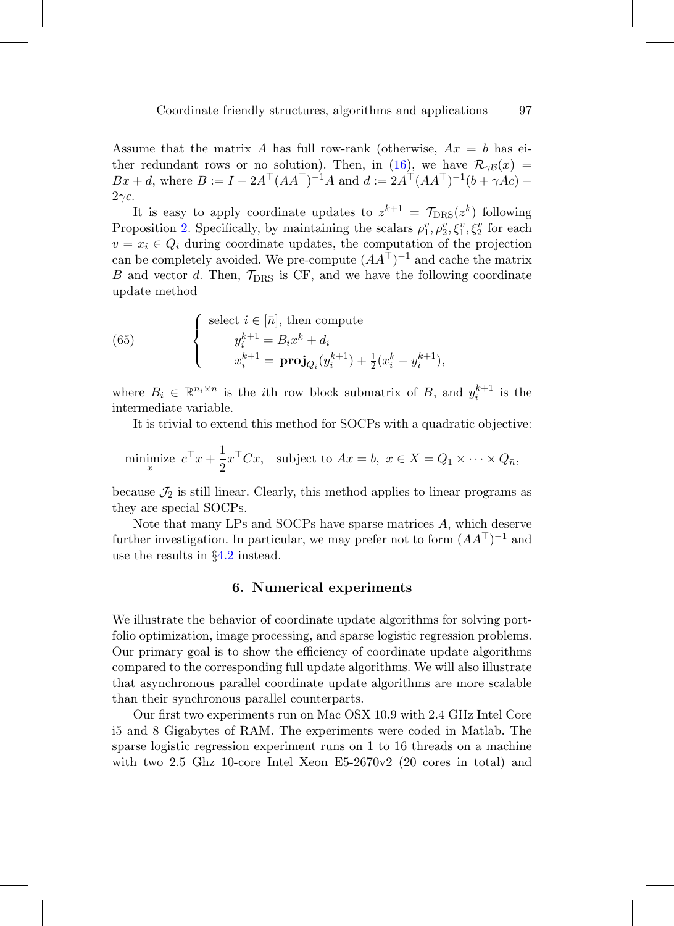Assume that the matrix A has full row-rank (otherwise,  $Ax = b$  has ei-ther redundant rows or no solution). Then, in [\(16\)](#page-18-2), we have  $\mathcal{R}_{\gamma\beta}(x)$  =  $Bx + d$ , where  $B := I - 2A^{\top} (AA^{\top})^{-1} A$  and  $d := 2A^{\top} (AA^{\top})^{-1} (b + \gamma Ac) 2\gamma c$ .

It is easy to apply coordinate updates to  $z^{k+1} = \mathcal{T}_{\text{DRS}}(z^k)$  following Proposition 2. Specifically, by maintaining the scalars  $\rho_1^v, \rho_2^v, \xi_1^v, \xi_2^v$  for each  $v = x_i \in Q_i$  during coordinate updates, the computation of the projection can be completely avoided. We pre-compute  $(AA^{\top})^{-1}$  and cache the matrix B and vector d. Then,  $\mathcal{T}_{\text{DRS}}$  is CF, and we have the following coordinate update method

(65) 
$$
\begin{cases} \text{select } i \in [\bar{n}], \text{ then compute} \\ y_i^{k+1} = B_i x^k + d_i \\ x_i^{k+1} = \mathbf{proj}_{Q_i}(y_i^{k+1}) + \frac{1}{2}(x_i^k - y_i^{k+1}), \end{cases}
$$

where  $B_i \in \mathbb{R}^{n_i \times n}$  is the *i*th row block submatrix of B, and  $y_i^{k+1}$  is the intermediate variable.

It is trivial to extend this method for SOCPs with a quadratic objective:

minimize 
$$
c^{\top} x + \frac{1}{2} x^{\top} C x
$$
, subject to  $Ax = b$ ,  $x \in X = Q_1 \times \cdots \times Q_{\bar{n}}$ ,

because  $\mathcal{J}_2$  is still linear. Clearly, this method applies to linear programs as they are special SOCPs.

<span id="page-40-0"></span>Note that many LPs and SOCPs have sparse matrices A, which deserve further investigation. In particular, we may prefer not to form  $(AA^{\top})^{-1}$  and use the results in §[4.2](#page-23-0) instead.

# **6. Numerical experiments**

We illustrate the behavior of coordinate update algorithms for solving portfolio optimization, image processing, and sparse logistic regression problems. Our primary goal is to show the efficiency of coordinate update algorithms compared to the corresponding full update algorithms. We will also illustrate that asynchronous parallel coordinate update algorithms are more scalable than their synchronous parallel counterparts.

Our first two experiments run on Mac OSX 10.9 with 2.4 GHz Intel Core i5 and 8 Gigabytes of RAM. The experiments were coded in Matlab. The sparse logistic regression experiment runs on 1 to 16 threads on a machine with two 2.5 Ghz 10-core Intel Xeon E5-2670v2 (20 cores in total) and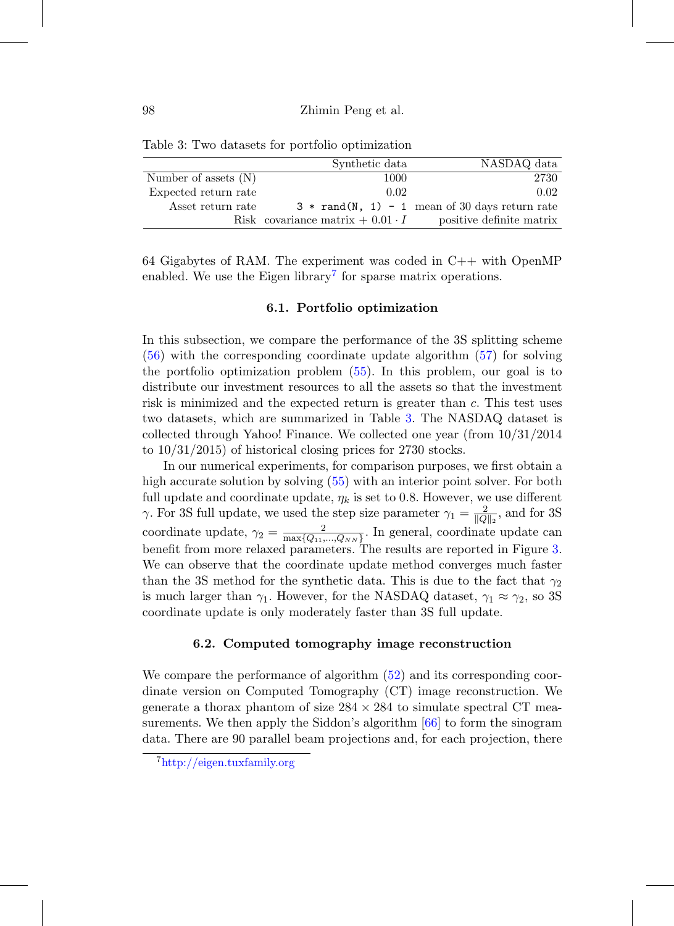<span id="page-41-2"></span>

|                        | Synthetic data                            | NASDAQ data                                      |
|------------------------|-------------------------------------------|--------------------------------------------------|
| Number of assets $(N)$ | 1000                                      | 2730                                             |
| Expected return rate   | 0.02                                      | 0.02                                             |
| Asset return rate      |                                           | $3 * rand(N, 1) - 1$ mean of 30 days return rate |
|                        | Risk covariance matrix $+$ 0.01 $\cdot$ I | positive definite matrix                         |

Table 3: Two datasets for portfolio optimization

64 Gigabytes of RAM. The experiment was coded in C++ with OpenMP enabled. We use the Eigen library<sup>[7](#page-41-1)</sup> for sparse matrix operations.

### **6.1. Portfolio optimization**

In this subsection, we compare the performance of the 3S splitting scheme [\(56\)](#page-35-0) with the corresponding coordinate update algorithm [\(57\)](#page-36-0) for solving the portfolio optimization problem [\(55\)](#page-34-0). In this problem, our goal is to distribute our investment resources to all the assets so that the investment risk is minimized and the expected return is greater than c. This test uses two datasets, which are summarized in Table [3.](#page-41-2) The NASDAQ dataset is collected through Yahoo! Finance. We collected one year (from 10/31/2014 to 10/31/2015) of historical closing prices for 2730 stocks.

In our numerical experiments, for comparison purposes, we first obtain a high accurate solution by solving [\(55\)](#page-34-0) with an interior point solver. For both full update and coordinate update,  $\eta_k$  is set to 0.8. However, we use different  $\gamma$ . For 3S full update, we used the step size parameter  $\gamma_1 = \frac{2}{\|Q\|_2}$ , and for 3S coordinate update,  $\gamma_2 = \frac{2}{\max\{Q_{11},...,Q_{NN}\}}$ . In general, coordinate update can benefit from more relaxed parameters. The results are reported in Figure [3.](#page-42-0) We can observe that the coordinate update method converges much faster than the 3S method for the synthetic data. This is due to the fact that  $\gamma_2$ is much larger than  $\gamma_1$ . However, for the NASDAQ dataset,  $\gamma_1 \approx \gamma_2$ , so 3S coordinate update is only moderately faster than 3S full update.

#### **6.2. Computed tomography image reconstruction**

<span id="page-41-0"></span>We compare the performance of algorithm [\(52\)](#page-33-3) and its corresponding coordinate version on Computed Tomography (CT) image reconstruction. We generate a thorax phantom of size  $284 \times 284$  to simulate spectral CT measurements. We then apply the Siddon's algorithm [\[66\]](#page-60-11) to form the sinogram data. There are 90 parallel beam projections and, for each projection, there

<span id="page-41-1"></span><sup>7</sup><http://eigen.tuxfamily.org>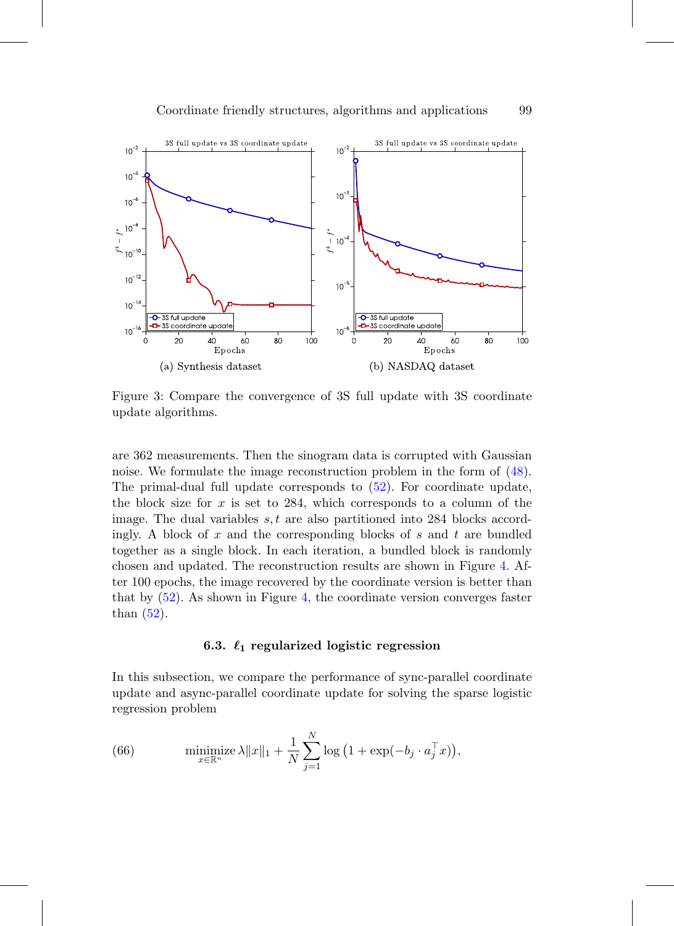

<span id="page-42-0"></span>Figure 3: Compare the convergence of 3S full update with 3S coordinate update algorithms.

are 362 measurements. Then the sinogram data is corrupted with Gaussian noise. We formulate the image reconstruction problem in the form of [\(48\)](#page-33-1). The primal-dual full update corresponds to [\(52\)](#page-33-3). For coordinate update, the block size for  $x$  is set to 284, which corresponds to a column of the image. The dual variables  $s, t$  are also partitioned into 284 blocks accordingly. A block of  $x$  and the corresponding blocks of  $s$  and  $t$  are bundled together as a single block. In each iteration, a bundled block is randomly chosen and updated. The reconstruction results are shown in Figure [4.](#page-43-0) After 100 epochs, the image recovered by the coordinate version is better than that by [\(52\)](#page-33-3). As shown in Figure [4,](#page-43-0) the coordinate version converges faster than  $(52)$ .

# $6.3.$   $\ell_1$  regularized logistic regression

In this subsection, we compare the performance of sync-parallel coordinate update and async-parallel coordinate update for solving the sparse logistic regression problem

<span id="page-42-1"></span>(66) 
$$
\underset{x \in \mathbb{R}^n}{\text{minimize}} \lambda \|x\|_1 + \frac{1}{N} \sum_{j=1}^N \log \left(1 + \exp(-b_j \cdot a_j^\top x)\right),
$$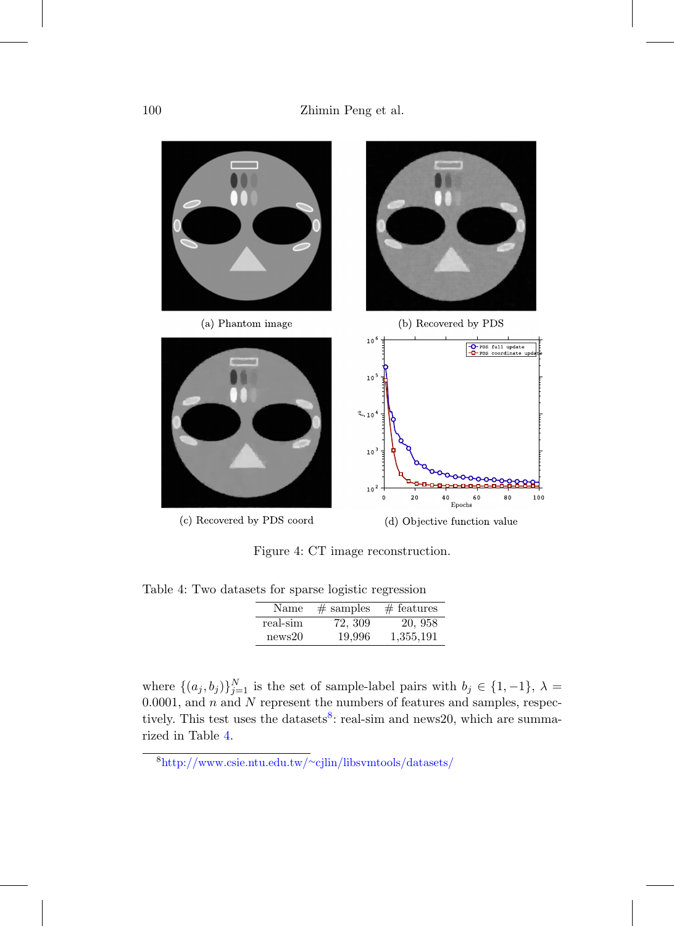

<span id="page-43-0"></span>Figure 4: CT image reconstruction.

<span id="page-43-2"></span>Table 4: Two datasets for sparse logistic regression

| Name     | $#$ samples | $#$ features |
|----------|-------------|--------------|
| real-sim | 72, 309     | 20, 958      |
| news20   | 19,996      | 1,355,191    |

where  $\{(a_j, b_j)\}_{j=1}^N$  is the set of sample-label pairs with  $b_j \in \{1, -1\}, \lambda =$ 0.0001, and  $n$  and  $N$  represent the numbers of features and samples, respec-tively. This test uses the datasets<sup>[8](#page-43-1)</sup>: real-sim and news20, which are summarized in Table [4.](#page-43-2)

<span id="page-43-1"></span><sup>8</sup>[http://www.csie.ntu.edu.tw/](http://www.csie.ntu.edu.tw/~cjlin/libsvmtools/datasets/)∼cjlin/libsvmtools/datasets/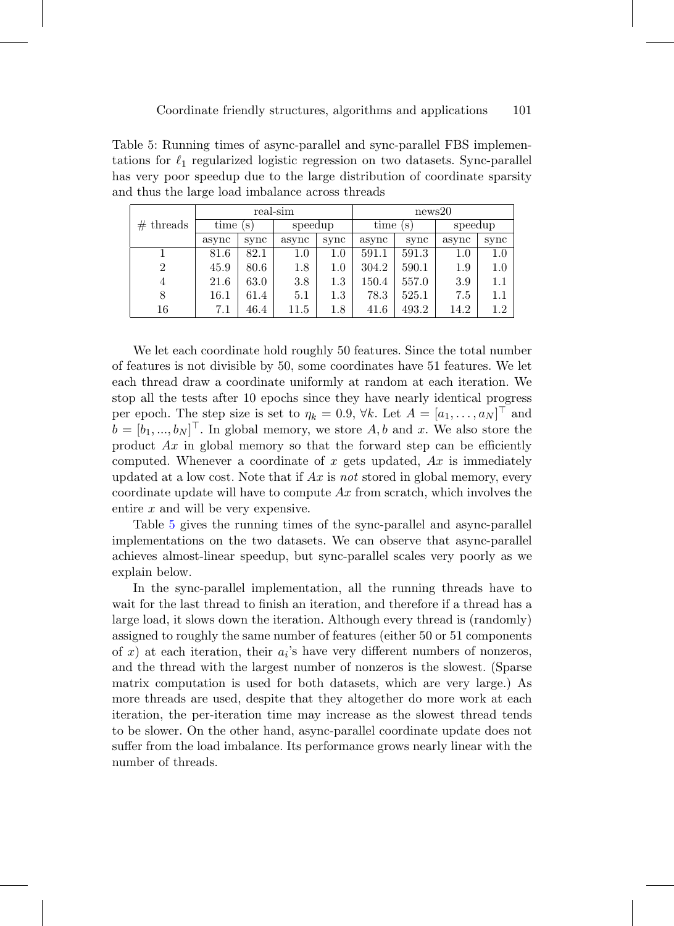<span id="page-44-0"></span>Table 5: Running times of async-parallel and sync-parallel FBS implementations for  $\ell_1$  regularized logistic regression on two datasets. Sync-parallel has very poor speedup due to the large distribution of coordinate sparsity and thus the large load imbalance across threads

|                | real-sim |      |         | news20  |             |       |         |         |
|----------------|----------|------|---------|---------|-------------|-------|---------|---------|
| $#$ threads    | time (s) |      | speedup |         | time<br>(S) |       | speedup |         |
|                | async    | sync | async   | sync    | async       | sync  | async   | sync    |
|                | 81.6     | 82.1 | $1.0\,$ | $1.0\,$ | 591.1       | 591.3 | 1.0     | $1.0\,$ |
| $\overline{2}$ | 45.9     | 80.6 | 1.8     | 1.0     | 304.2       | 590.1 | 1.9     | $1.0\,$ |
| 4              | 21.6     | 63.0 | 3.8     | $1.3\,$ | 150.4       | 557.0 | 3.9     | $1.1\,$ |
| 8              | 16.1     | 61.4 | 5.1     | $1.3\,$ | 78.3        | 525.1 | 7.5     | $1.1\,$ |
| 16             | 7.1      | 46.4 | 11.5    | 1.8     | 41.6        | 493.2 | 14.2    | $1.2\,$ |

We let each coordinate hold roughly 50 features. Since the total number of features is not divisible by 50, some coordinates have 51 features. We let each thread draw a coordinate uniformly at random at each iteration. We stop all the tests after 10 epochs since they have nearly identical progress per epoch. The step size is set to  $\eta_k = 0.9$ ,  $\forall k$ . Let  $A = [a_1, \ldots, a_N]^\top$  and  $b = [b_1, ..., b_N]^\top$ . In global memory, we store A, b and x. We also store the product  $Ax$  in global memory so that the forward step can be efficiently computed. Whenever a coordinate of x gets updated,  $Ax$  is immediately updated at a low cost. Note that if  $Ax$  is not stored in global memory, every coordinate update will have to compute  $Ax$  from scratch, which involves the entire x and will be very expensive.

Table [5](#page-44-0) gives the running times of the sync-parallel and async-parallel implementations on the two datasets. We can observe that async-parallel achieves almost-linear speedup, but sync-parallel scales very poorly as we explain below.

In the sync-parallel implementation, all the running threads have to wait for the last thread to finish an iteration, and therefore if a thread has a large load, it slows down the iteration. Although every thread is (randomly) assigned to roughly the same number of features (either 50 or 51 components of x) at each iteration, their  $a_i$ 's have very different numbers of nonzeros, and the thread with the largest number of nonzeros is the slowest. (Sparse matrix computation is used for both datasets, which are very large.) As more threads are used, despite that they altogether do more work at each iteration, the per-iteration time may increase as the slowest thread tends to be slower. On the other hand, async-parallel coordinate update does not suffer from the load imbalance. Its performance grows nearly linear with the number of threads.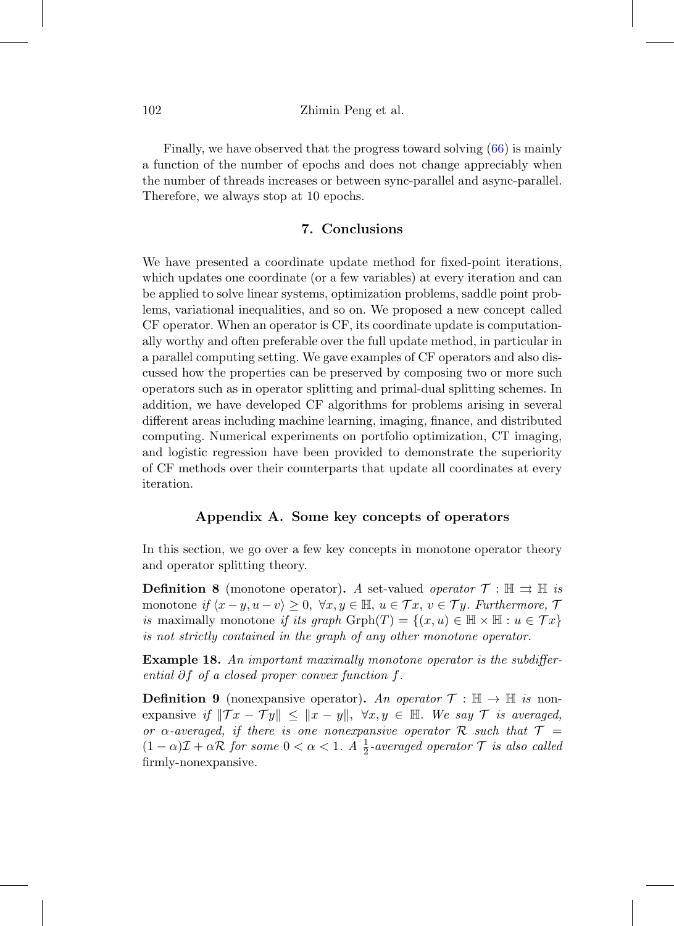### 102 Zhimin Peng et al.

Finally, we have observed that the progress toward solving [\(66\)](#page-42-1) is mainly a function of the number of epochs and does not change appreciably when the number of threads increases or between sync-parallel and async-parallel. Therefore, we always stop at 10 epochs.

# **7. Conclusions**

We have presented a coordinate update method for fixed-point iterations, which updates one coordinate (or a few variables) at every iteration and can be applied to solve linear systems, optimization problems, saddle point problems, variational inequalities, and so on. We proposed a new concept called CF operator. When an operator is CF, its coordinate update is computationally worthy and often preferable over the full update method, in particular in a parallel computing setting. We gave examples of CF operators and also discussed how the properties can be preserved by composing two or more such operators such as in operator splitting and primal-dual splitting schemes. In addition, we have developed CF algorithms for problems arising in several different areas including machine learning, imaging, finance, and distributed computing. Numerical experiments on portfolio optimization, CT imaging, and logistic regression have been provided to demonstrate the superiority of CF methods over their counterparts that update all coordinates at every iteration.

# **Appendix A. Some key concepts of operators**

In this section, we go over a few key concepts in monotone operator theory and operator splitting theory.

**Definition 8** (monotone operator)**.** A set-valued *operator*  $\mathcal{T}$  :  $\mathbb{H} \implies \mathbb{H}$  is monotone if  $\langle x-y,u-v\rangle \geq 0, \ \forall x,y \in \mathbb{H}, u \in \mathcal{T}x, v \in \mathcal{T}y$ . Furthermore,  $\mathcal{T}$ is maximally monotone if its graph  $\mathrm{Grph}(T) = \{(x, u) \in \mathbb{H} \times \mathbb{H} : u \in \mathcal{T}x\}$ is not strictly contained in the graph of any other monotone operator.

**Example 18.** An important maximally monotone operator is the subdifferential  $\partial f$  of a closed proper convex function f.

**Definition 9** (nonexpansive operator)**.** An operator  $\mathcal{T} : \mathbb{H} \to \mathbb{H}$  is nonexpansive if  $||Tx - Ty|| \le ||x - y||$ ,  $\forall x, y \in \mathbb{H}$ . We say T is averaged, or  $\alpha$ -averaged, if there is one nonexpansive operator R such that  $\mathcal{T} =$  $(1 - \alpha)\mathcal{I} + \alpha \mathcal{R}$  for some  $0 < \alpha < 1$ . A  $\frac{1}{2}$ -averaged operator  $\mathcal{T}$  is also called firmly-nonexpansive.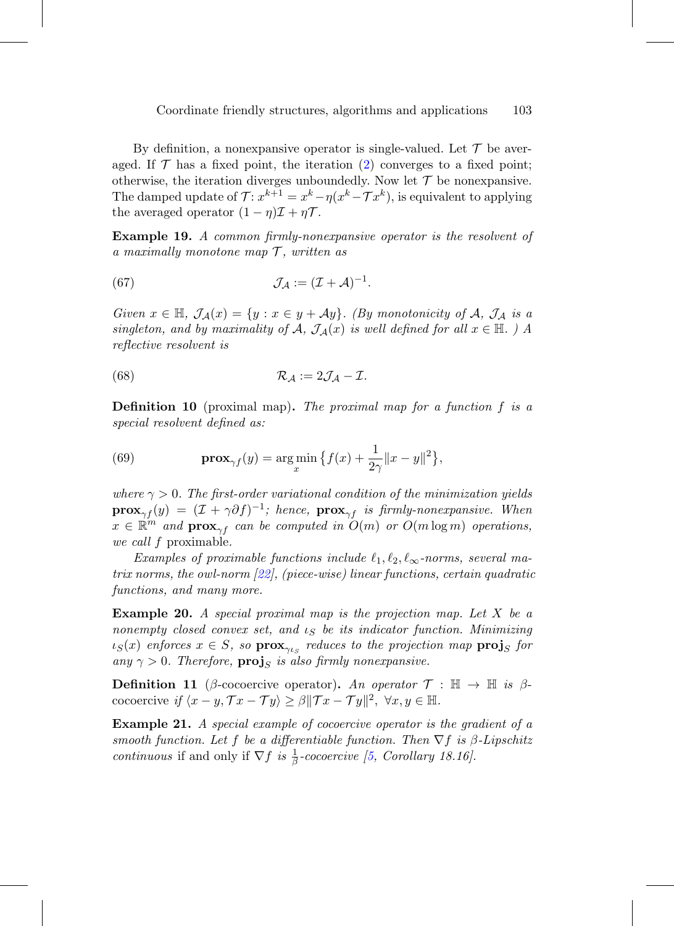By definition, a nonexpansive operator is single-valued. Let  $\mathcal T$  be averaged. If  $\mathcal T$  has a fixed point, the iteration [\(2\)](#page-2-0) converges to a fixed point; otherwise, the iteration diverges unboundedly. Now let  $\mathcal T$  be nonexpansive. The damped update of  $\mathcal{T}$ :  $x^{k+1} = x^k - \eta(x^k - \mathcal{T}x^k)$ , is equivalent to applying the averaged operator  $(1 - \eta)\mathcal{I} + \eta\mathcal{T}$ .

**Example 19.** A common firmly-nonexpansive operator is the resolvent of a maximally monotone map  $\mathcal{T}$ , written as

<span id="page-46-1"></span>(67) 
$$
\mathcal{J}_{\mathcal{A}} := (\mathcal{I} + \mathcal{A})^{-1}.
$$

Given  $x \in \mathbb{H}$ ,  $\mathcal{J}_{\mathcal{A}}(x) = \{y : x \in y + \mathcal{A}y\}$ . (By monotonicity of A,  $\mathcal{J}_{\mathcal{A}}$  is a singleton, and by maximality of A,  $\mathcal{J}_{\mathcal{A}}(x)$  is well defined for all  $x \in \mathbb{H}$ .) A reflective resolvent is

<span id="page-46-2"></span>(68) 
$$
\mathcal{R}_{\mathcal{A}} := 2\mathcal{J}_{\mathcal{A}} - \mathcal{I}.
$$

<span id="page-46-0"></span>**Definition 10** (proximal map)**.** The proximal map for a function f is a special resolvent defined as:

(69) 
$$
\mathbf{prox}_{\gamma f}(y) = \argmin_x \left\{ f(x) + \frac{1}{2\gamma} ||x - y||^2 \right\},\,
$$

where  $\gamma > 0$ . The first-order variational condition of the minimization yields **prox**<sub>γf</sub>(y) =  $(\mathcal{I} + \gamma \partial f)^{-1}$ ; hence, **prox**<sub>γf</sub> is firmly-nonexpansive. When  $x \in \mathbb{R}^m$  and  $\mathbf{prox}_{\gamma f}$  can be computed in  $O(m)$  or  $O(m \log m)$  operations, we call f proximable.

Examples of proximable functions include  $\ell_1, \ell_2, \ell_\infty$ -norms, several matrix norms, the owl-norm [\[22\]](#page-56-11), (piece-wise) linear functions, certain quadratic functions, and many more.

**Example 20.** A special proximal map is the projection map. Let X be a nonempty closed convex set, and  $\iota_S$  be its indicator function. Minimizing  $\iota_S(x)$  enforces  $x \in S$ , so **prox**<sub> $\gamma_{\iota_S}$  reduces to the projection map **proj**<sub>S</sub> for</sub> any  $\gamma > 0$ . Therefore, **proj**<sub>S</sub> is also firmly nonexpansive.

**Definition 11** (β-cocoercive operator). An operator  $\mathcal{T}$  :  $\mathbb{H} \to \mathbb{H}$  is βcocoercive if  $\langle x-y, \mathcal{T}x-\mathcal{T}y \rangle \geq \beta ||\mathcal{T}x-\mathcal{T}y||^2, \ \forall x, y \in \mathbb{H}$ .

**Example 21.** A special example of cocoercive operator is the gradient of a smooth function. Let f be a differentiable function. Then  $\nabla f$  is  $\beta$ -Lipschitz continuous if and only if  $\nabla f$  is  $\frac{1}{\beta}$ -cocoercive [\[5,](#page-54-5) Corollary 18.16].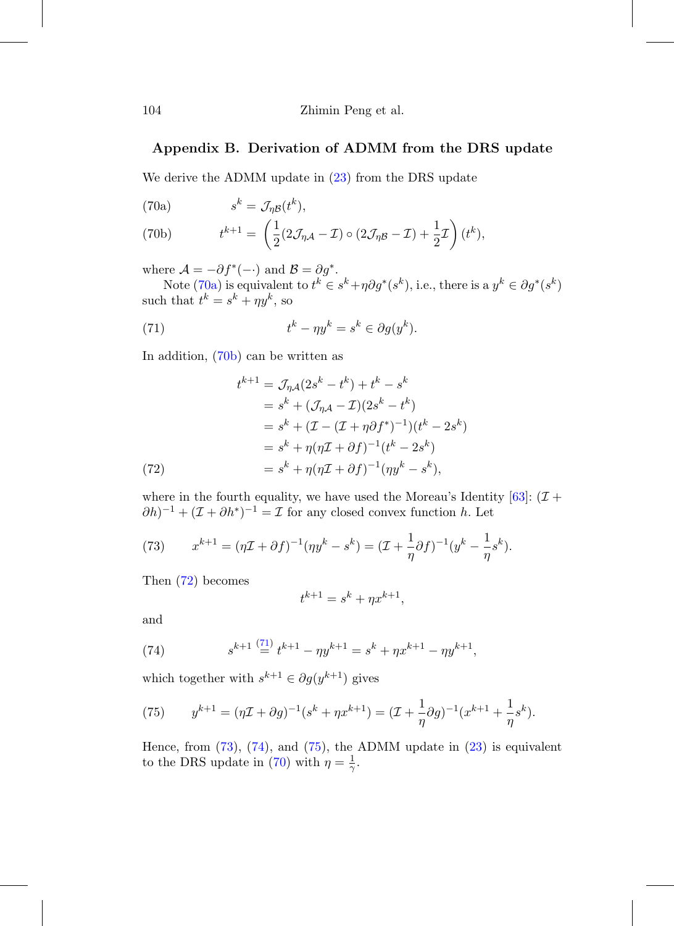# <span id="page-47-7"></span>**Appendix B. Derivation of ADMM from the DRS update**

We derive the ADMM update in  $(23)$  from the DRS update

<span id="page-47-0"></span>(70a)  $s^k = \mathcal{J}_{\eta \mathcal{B}}(t^k),$ 

<span id="page-47-1"></span>(70b) 
$$
t^{k+1} = \left(\frac{1}{2}(2\mathcal{J}_{\eta\mathcal{A}} - \mathcal{I}) \circ (2\mathcal{J}_{\eta\mathcal{B}} - \mathcal{I}) + \frac{1}{2}\mathcal{I}\right)(t^k),
$$

where  $\mathcal{A} = -\partial f^*(-)$  and  $\mathcal{B} = \partial g^*$ .

Note [\(70a\)](#page-47-0) is equivalent to  $t^k \in s^k + \eta \partial g^*(s^k)$ , i.e., there is a  $y^k \in \partial g^*(s^k)$ such that  $t^k = s^k + \eta y^k$ , so

<span id="page-47-3"></span>(71) 
$$
t^k - \eta y^k = s^k \in \partial g(y^k).
$$

In addition, [\(70b\)](#page-47-1) can be written as

(72) 
$$
t^{k+1} = \mathcal{J}_{\eta A}(2s^k - t^k) + t^k - s^k
$$

$$
= s^k + (\mathcal{J}_{\eta A} - \mathcal{I})(2s^k - t^k)
$$

$$
= s^k + (\mathcal{I} - (\mathcal{I} + \eta \partial f^*)^{-1})(t^k - 2s^k)
$$

$$
= s^k + \eta(\eta \mathcal{I} + \partial f)^{-1}(t^k - 2s^k)
$$

$$
= s^k + \eta(\eta \mathcal{I} + \partial f)^{-1}(\eta y^k - s^k),
$$

<span id="page-47-2"></span>where in the fourth equality, we have used the Moreau's Identity  $[63]$ :  $(\mathcal{I} +$  $(\partial h)^{-1} + (\mathcal{I} + \partial h^*)^{-1} = \mathcal{I}$  for any closed convex function h. Let

<span id="page-47-4"></span>(73) 
$$
x^{k+1} = (\eta \mathcal{I} + \partial f)^{-1} (\eta y^k - s^k) = (\mathcal{I} + \frac{1}{\eta} \partial f)^{-1} (y^k - \frac{1}{\eta} s^k).
$$

Then [\(72\)](#page-47-2) becomes

$$
t^{k+1} = s^k + \eta x^{k+1},
$$

and

<span id="page-47-5"></span>(74) 
$$
s^{k+1} \stackrel{(71)}{=} t^{k+1} - \eta y^{k+1} = s^k + \eta x^{k+1} - \eta y^{k+1},
$$

which together with  $s^{k+1} \in \partial g(y^{k+1})$  gives

<span id="page-47-6"></span>(75) 
$$
y^{k+1} = (\eta \mathcal{I} + \partial g)^{-1} (s^k + \eta x^{k+1}) = (\mathcal{I} + \frac{1}{\eta} \partial g)^{-1} (x^{k+1} + \frac{1}{\eta} s^k).
$$

Hence, from  $(73)$ ,  $(74)$ , and  $(75)$ , the ADMM update in  $(23)$  is equivalent to the DRS update in [\(70\)](#page-47-7) with  $\eta = \frac{1}{\gamma}$ .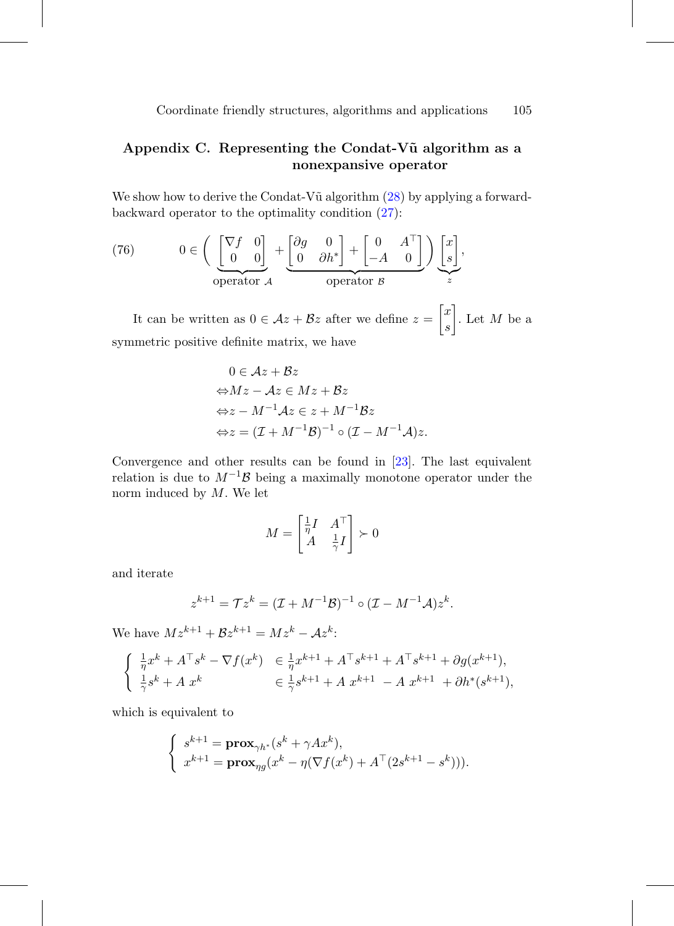# **Appendix C. Representing the Condat-V˜u algorithm as a nonexpansive operator**

We show how to derive the Condat-V $\tilde{u}$  algorithm  $(28)$  by applying a forwardbackward operator to the optimality condition [\(27\)](#page-21-0):

(76) 
$$
0 \in \left( \underbrace{\begin{bmatrix} \nabla f & 0 \\ 0 & 0 \end{bmatrix}}_{\text{operator } A} + \underbrace{\begin{bmatrix} \partial g & 0 \\ 0 & \partial h^* \end{bmatrix}}_{\text{operator } B} + \begin{bmatrix} 0 & A^\top \\ -A & 0 \end{bmatrix} \right) \underbrace{\begin{bmatrix} x \\ s \end{bmatrix}}_{z},
$$

It can be written as  $0 \in \mathcal{A}z + \mathcal{B}z$  after we define  $z =$  $\lceil x \rceil$ s 1 . Let  $M$  be a symmetric positive definite matrix, we have

$$
0 \in \mathcal{A}z + \mathcal{B}z
$$
  
\n
$$
\Leftrightarrow Mz - \mathcal{A}z \in Mz + \mathcal{B}z
$$
  
\n
$$
\Leftrightarrow z - M^{-1}\mathcal{A}z \in z + M^{-1}\mathcal{B}z
$$
  
\n
$$
\Leftrightarrow z = (\mathcal{I} + M^{-1}\mathcal{B})^{-1} \circ (\mathcal{I} - M^{-1}\mathcal{A})z.
$$

Convergence and other results can be found in [\[23\]](#page-56-9). The last equivalent relation is due to  $M^{-1}\mathcal{B}$  being a maximally monotone operator under the norm induced by  $M$ . We let

$$
M = \begin{bmatrix} \frac{1}{\eta} I & A^{\top} \\ A & \frac{1}{\gamma} I \end{bmatrix} \succ 0
$$

and iterate

$$
z^{k+1} = \mathcal{T} z^k = (\mathcal{I} + M^{-1} \mathcal{B})^{-1} \circ (\mathcal{I} - M^{-1} \mathcal{A}) z^k.
$$

We have  $Mz^{k+1} + \mathcal{B}z^{k+1} = Mz^k - \mathcal{A}z^k$ :

$$
\begin{cases} \frac{1}{\eta}x^{k} + A^{\top}s^{k} - \nabla f(x^{k}) & \in \frac{1}{\eta}x^{k+1} + A^{\top}s^{k+1} + A^{\top}s^{k+1} + \partial g(x^{k+1}), \\ \frac{1}{\gamma}s^{k} + A x^{k} & \in \frac{1}{\gamma}s^{k+1} + A x^{k+1} - A x^{k+1} + \partial h^{*}(s^{k+1}), \end{cases}
$$

which is equivalent to

$$
\begin{cases}\ns^{k+1} = \mathbf{prox}_{\gamma h^*}(s^k + \gamma Ax^k), \\
x^{k+1} = \mathbf{prox}_{\eta g}(x^k - \eta (\nabla f(x^k) + A^\top (2s^{k+1} - s^k))).\n\end{cases}
$$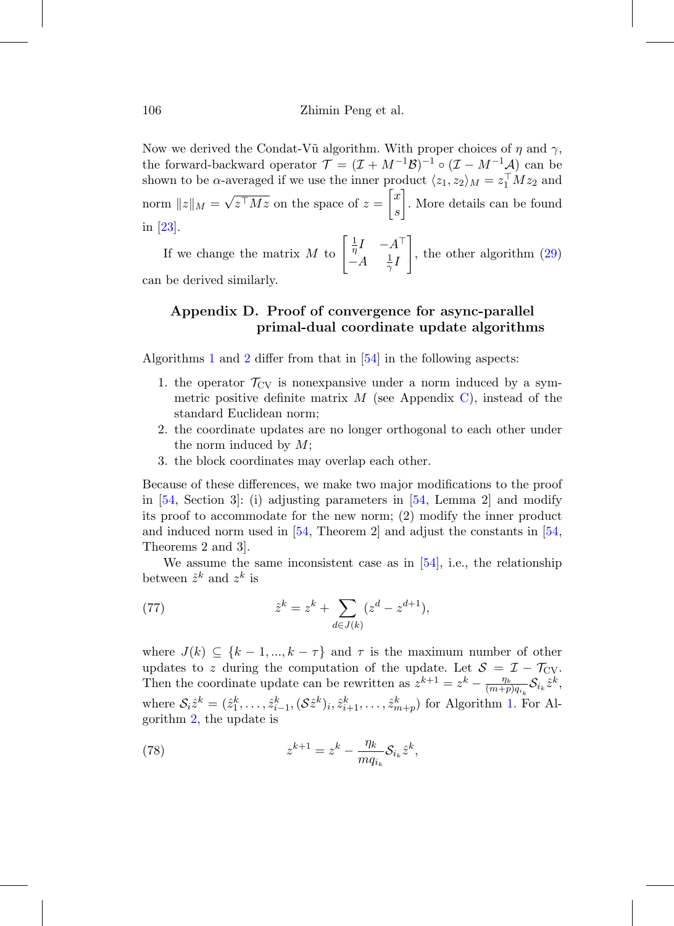Now we derived the Condat-V $\tilde{u}$  algorithm. With proper choices of  $\eta$  and  $\gamma$ , the forward-backward operator  $\mathcal{T} = (\mathcal{I} + M^{-1}\mathcal{B})^{-1}$  o  $(\mathcal{I} - M^{-1}\mathcal{A})$  can be shown to be  $\alpha$ -averaged if we use the inner product  $\langle z_1, z_2 \rangle_M = z_1^{\top} M z_2$  and norm  $||z||_M = \sqrt{z^{\top} M z}$  on the space of  $z =$  $\lceil x \rceil$ s 1 . More details can be found in [\[23](#page-56-9)].

If we change the matrix M to  $\begin{bmatrix} \frac{1}{\eta}I & -A^{\top} \\ A & 1 \end{bmatrix}$  $-A = \frac{1}{\gamma}I$ 1 , the other algorithm [\(29\)](#page-21-3) can be derived similarly.

# **Appendix D. Proof of convergence for async-parallel primal-dual coordinate update algorithms**

Algorithms [1](#page-26-2) and [2](#page-26-1) differ from that in [\[54](#page-59-4)] in the following aspects:

- 1. the operator  $\mathcal{T}_{CV}$  is nonexpansive under a norm induced by a symmetric positive definite matrix  $M$  (see Appendix [C\)](#page-14-0), instead of the standard Euclidean norm;
- 2. the coordinate updates are no longer orthogonal to each other under the norm induced by M;
- 3. the block coordinates may overlap each other.

Because of these differences, we make two major modifications to the proof in [\[54](#page-59-4), Section 3]: (i) adjusting parameters in [\[54,](#page-59-4) Lemma 2] and modify its proof to accommodate for the new norm; (2) modify the inner product and induced norm used in  $[54,$  Theorem 2 and adjust the constants in  $[54,$  $[54,$ Theorems 2 and 3].

We assume the same inconsistent case as in  $[54]$ , i.e., the relationship between  $\hat{z}^k$  and  $z^k$  is

(77) 
$$
\hat{z}^k = z^k + \sum_{d \in J(k)} (z^d - z^{d+1}),
$$

where  $J(k) \subseteq \{k-1, ..., k-\tau\}$  and  $\tau$  is the maximum number of other updates to z during the computation of the update. Let  $S = \mathcal{I} - \mathcal{T}_{CV}$ . Then the coordinate update can be rewritten as  $z^{k+1} = z^k - \frac{\eta_k}{(m+p)q_{i_k}} \mathcal{S}_{i_k} \hat{z}^k$ , where  $S_i \hat{z}^k = (\hat{z}_1^k, \ldots, \hat{z}_{i-1}^k, (\mathcal{S}\hat{z}^k)_i, \hat{z}_{i+1}^k, \ldots, \hat{z}_{m+p}^k)$  for Algorithm [1.](#page-26-2) For Algorithm [2,](#page-26-1) the update is

<span id="page-49-0"></span>(78) 
$$
z^{k+1} = z^k - \frac{\eta_k}{m q_{i_k}} \mathcal{S}_{i_k} \hat{z}^k,
$$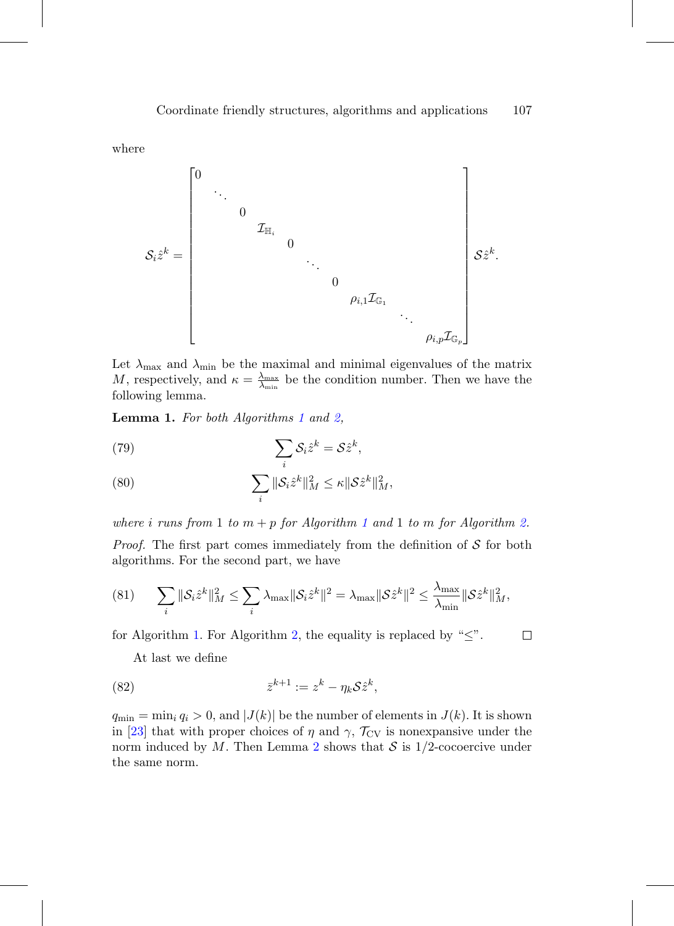where

Sizˆ<sup>k</sup> = ⎡ ⎢ ⎢ ⎢ ⎢ ⎢ ⎢ ⎢ ⎢ ⎢ ⎢ ⎢ ⎢ ⎢ ⎢ ⎢ ⎢ ⎢ ⎣ 0 ... 0 IH<sup>i</sup> 0 ... 0 ρi,1IG<sup>1</sup> ... ρi,pIG<sup>p</sup> ⎤ ⎥ ⎥ ⎥ ⎥ ⎥ ⎥ ⎥ ⎥ ⎥ ⎥ ⎥ ⎥ ⎥ ⎥ ⎥ ⎥ ⎥ ⎦ Szˆk.

Let  $\lambda_{\text{max}}$  and  $\lambda_{\text{min}}$  be the maximal and minimal eigenvalues of the matrix M, respectively, and  $\kappa = \frac{\lambda_{\max}}{\lambda_{\min}}$  be the condition number. Then we have the following lemma.

Lemma [1](#page-26-2). For both Algorithms 1 and [2,](#page-26-1)

(79) 
$$
\sum_{i} S_{i} \hat{z}^{k} = S \hat{z}^{k},
$$

<span id="page-50-0"></span>(80) 
$$
\sum_{i} \|\mathcal{S}_{i}\hat{z}^{k}\|_{M}^{2} \leq \kappa \|\mathcal{S}\hat{z}^{k}\|_{M}^{2},
$$

where i runs from [1](#page-26-2) to  $m + p$  for Algorithm 1 and 1 to m for Algorithm [2.](#page-26-1)

*Proof.* The first part comes immediately from the definition of  $S$  for both algorithms. For the second part, we have

(81) 
$$
\sum_{i} \|\mathcal{S}_{i}\hat{z}^{k}\|_{M}^{2} \leq \sum_{i} \lambda_{\max} \|\mathcal{S}_{i}\hat{z}^{k}\|^{2} = \lambda_{\max} \|\mathcal{S}\hat{z}^{k}\|^{2} \leq \frac{\lambda_{\max}}{\lambda_{\min}} \|\mathcal{S}\hat{z}^{k}\|_{M}^{2},
$$

for Algorithm [1.](#page-26-2) For Algorithm [2,](#page-26-1) the equality is replaced by " $\leq$ ".  $\Box$ 

At last we define

<span id="page-50-1"></span>(82) 
$$
\bar{z}^{k+1} := z^k - \eta_k \mathcal{S} \hat{z}^k,
$$

 $q_{\min} = \min_i q_i > 0$ , and  $|J(k)|$  be the number of elements in  $J(k)$ . It is shown in [\[23\]](#page-56-9) that with proper choices of  $\eta$  and  $\gamma$ ,  $\mathcal{T}_{CV}$  is nonexpansive under the norm induced by M. Then Lemma [2](#page-51-0) shows that  $S$  is 1/2-cocoercive under the same norm.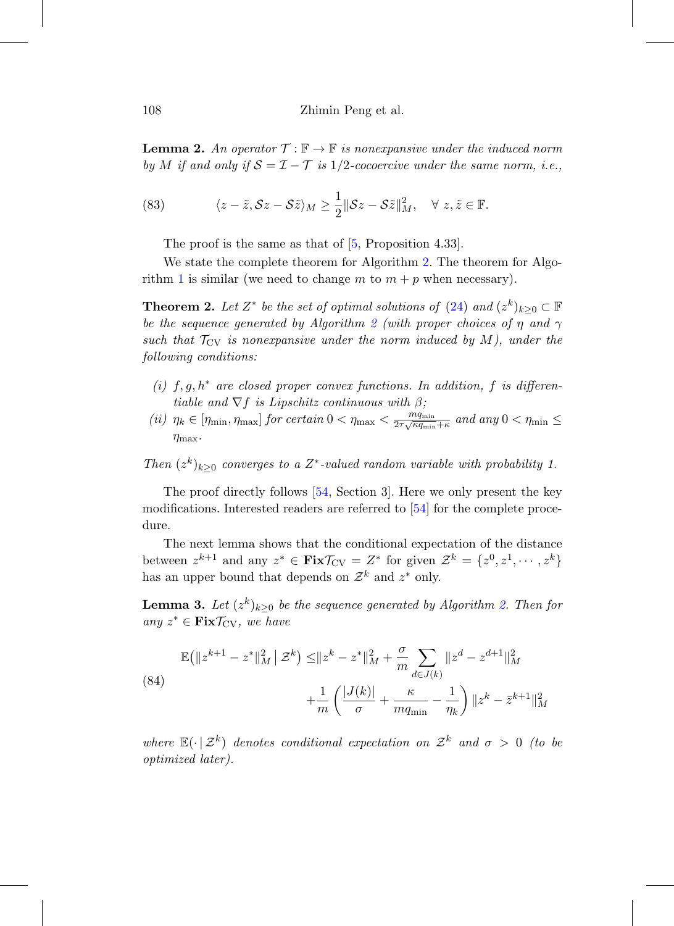<span id="page-51-0"></span>**Lemma 2.** An operator  $\mathcal{T} : \mathbb{F} \to \mathbb{F}$  is nonexpansive under the induced norm by M if and only if  $S = \mathcal{I} - \mathcal{T}$  is 1/2-cocoercive under the same norm, i.e.,

(83) 
$$
\langle z-\tilde{z}, \mathcal{S}z-\mathcal{S}\tilde{z}\rangle_M \geq \frac{1}{2} \|\mathcal{S}z-\mathcal{S}\tilde{z}\|_M^2, \quad \forall \ z, \tilde{z} \in \mathbb{F}.
$$

<span id="page-51-1"></span>The proof is the same as that of  $[5,$  Proposition 4.33].

We state the complete theorem for Algorithm [2.](#page-26-1) The theorem for Algo-rithm [1](#page-26-2) is similar (we need to change m to  $m + p$  when necessary).

**Theorem 2.** Let  $Z^*$  be the set of optimal solutions of [\(24\)](#page-20-3) and  $(z^k)_{k>0} \subset \mathbb{F}$ be the sequence generated by Algorithm [2](#page-26-1) (with proper choices of  $\eta$  and  $\gamma$ such that  $\mathcal{T}_{CV}$  is nonexpansive under the norm induced by M), under the following conditions:

- (i) f, g,  $h^*$  are closed proper convex functions. In addition, f is differentiable and  $\nabla f$  is Lipschitz continuous with  $\beta$ ;
- (ii)  $\eta_k \in [\eta_{\min}, \eta_{\max}]$  for certain  $0 < \eta_{\max} < \frac{m_{q_{\min}}}{2\tau\sqrt{\kappa q_{\min}} + \kappa}$  and any  $0 < \eta_{\min} \le$  $\eta_{\text{max}}$ .

Then  $(z^k)_{k>0}$  converges to a  $Z^*$ -valued random variable with probability 1.

The proof directly follows [\[54,](#page-59-4) Section 3]. Here we only present the key modifications. Interested readers are referred to [\[54](#page-59-4)] for the complete procedure.

The next lemma shows that the conditional expectation of the distance between  $z^{k+1}$  and any  $z^* \in \text{Fix} \mathcal{T}_{CV} = Z^*$  for given  $\mathcal{Z}^k = \{z^0, z^1, \dots, z^k\}$ has an upper bound that depends on  $\mathcal{Z}^k$  and  $z^*$  only.

**Lemma 3.** Let  $(z^k)_{k\geq 0}$  be the sequence generated by Algorithm [2.](#page-26-1) Then for any  $z^*$  ∈ **Fix** $\mathcal{T}_{CV}$ , we have

<span id="page-51-2"></span>(84)  
\n
$$
\mathbb{E}(\|z^{k+1} - z^*\|_M^2 \mid \mathcal{Z}^k) \le \|z^k - z^*\|_M^2 + \frac{\sigma}{m} \sum_{d \in J(k)} \|z^d - z^{d+1}\|_M^2
$$
\n
$$
+ \frac{1}{m} \left( \frac{|J(k)|}{\sigma} + \frac{\kappa}{mq_{\min}} - \frac{1}{\eta_k} \right) \|z^k - \bar{z}^{k+1}\|_M^2
$$

where  $\mathbb{E}(\cdot | \mathcal{Z}^k)$  denotes conditional expectation on  $\mathcal{Z}^k$  and  $\sigma > 0$  (to be optimized later).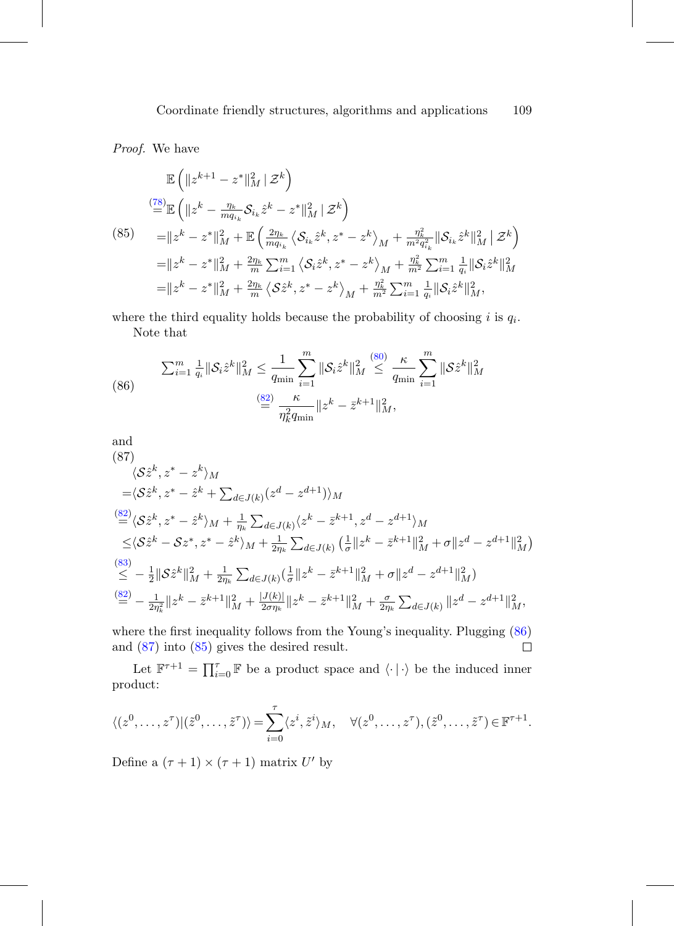Proof. We have

<span id="page-52-2"></span>
$$
\mathbb{E}\left(\|z^{k+1} - z^*\|_M^2 \,|\, \mathcal{Z}^k\right)
$$
\n
$$
\mathbb{E}\left(\|z^k - \frac{\eta_k}{mq_{i_k}}\mathcal{S}_{i_k}\hat{z}^k - z^*\|_M^2 \,|\, \mathcal{Z}^k\right)
$$
\n
$$
= \|z^k - z^*\|_M^2 + \mathbb{E}\left(\frac{2\eta_k}{mq_{i_k}}\left\langle \mathcal{S}_{i_k}\hat{z}^k, z^* - z^k\right\rangle_M + \frac{\eta_k^2}{m^2q_{i_k}^2} \|\mathcal{S}_{i_k}\hat{z}^k\|_M^2 \,|\, \mathcal{Z}^k\right)
$$
\n
$$
= \|z^k - z^*\|_M^2 + \frac{2\eta_k}{m}\sum_{i=1}^m \left\langle \mathcal{S}_i\hat{z}^k, z^* - z^k\right\rangle_M + \frac{\eta_k^2}{m^2}\sum_{i=1}^m \frac{1}{q_i} \|\mathcal{S}_i\hat{z}^k\|_M^2
$$
\n
$$
= \|z^k - z^*\|_M^2 + \frac{2\eta_k}{m}\left\langle \mathcal{S}\hat{z}^k, z^* - z^k\right\rangle_M + \frac{\eta_k^2}{m^2}\sum_{i=1}^m \frac{1}{q_i} \|\mathcal{S}_i\hat{z}^k\|_M^2,
$$

where the third equality holds because the probability of choosing i is  $q_i$ . Note that

<span id="page-52-0"></span>(86) 
$$
\sum_{i=1}^{m} \frac{1}{q_i} \|\mathcal{S}_i \hat{z}^k\|_{M}^2 \leq \frac{1}{q_{\min}} \sum_{i=1}^{m} \|\mathcal{S}_i \hat{z}^k\|_{M}^2 \leq \frac{\kappa}{q_{\min}} \sum_{i=1}^{m} \|\mathcal{S} \hat{z}^k\|_{M}^2
$$

$$
\stackrel{\text{(86)}}{=} \frac{\kappa}{\eta_k^2 q_{\min}} \|z^k - \bar{z}^{k+1}\|_{M}^2,
$$

<span id="page-52-1"></span>and  
\n(87)  
\n
$$
\langle S\hat{z}^k, z^* - z^k \rangle_M
$$
\n
$$
= \langle S\hat{z}^k, z^* - \hat{z}^k + \sum_{d \in J(k)} (z^d - z^{d+1}) \rangle_M
$$
\n
$$
\stackrel{(82)}{=} \langle S\hat{z}^k, z^* - \hat{z}^k \rangle_M + \frac{1}{\eta_k} \sum_{d \in J(k)} \langle z^k - \bar{z}^{k+1}, z^d - z^{d+1} \rangle_M
$$
\n
$$
\leq \langle S\hat{z}^k - Sz^*, z^* - \hat{z}^k \rangle_M + \frac{1}{2\eta_k} \sum_{d \in J(k)} \left( \frac{1}{\sigma} ||z^k - \bar{z}^{k+1}||_M^2 + \sigma ||z^d - z^{d+1}||_M^2 \right)
$$
\n
$$
\stackrel{(83)}{\leq} - \frac{1}{2} ||S\hat{z}^k||_M^2 + \frac{1}{2\eta_k} \sum_{d \in J(k)} \left( \frac{1}{\sigma} ||z^k - \bar{z}^{k+1}||_M^2 + \sigma ||z^d - z^{d+1}||_M^2 \right)
$$
\n
$$
\stackrel{(82)}{=} - \frac{1}{2\eta_k^2} ||z^k - \bar{z}^{k+1}||_M^2 + \frac{|J(k)|}{2\sigma\eta_k} ||z^k - \bar{z}^{k+1}||_M^2 + \frac{\sigma}{2\eta_k} \sum_{d \in J(k)} ||z^d - z^{d+1}||_M^2,
$$

where the first inequality follows from the Young's inequality. Plugging [\(86\)](#page-52-0) and [\(87\)](#page-52-1) into [\(85\)](#page-52-2) gives the desired result.  $\Box$ 

Let  $\mathbb{F}^{\tau+1} = \prod_{i=0}^{\tau} \mathbb{F}$  be a product space and  $\langle \cdot | \cdot \rangle$  be the induced inner product:

$$
\langle (z^0, \ldots, z^{\tau}) | (\tilde{z}^0, \ldots, \tilde{z}^{\tau}) \rangle = \sum_{i=0}^{\tau} \langle z^i, \tilde{z}^i \rangle_M, \quad \forall (z^0, \ldots, z^{\tau}), (\tilde{z}^0, \ldots, \tilde{z}^{\tau}) \in \mathbb{F}^{\tau+1}.
$$

Define a  $(\tau + 1) \times (\tau + 1)$  matrix U' by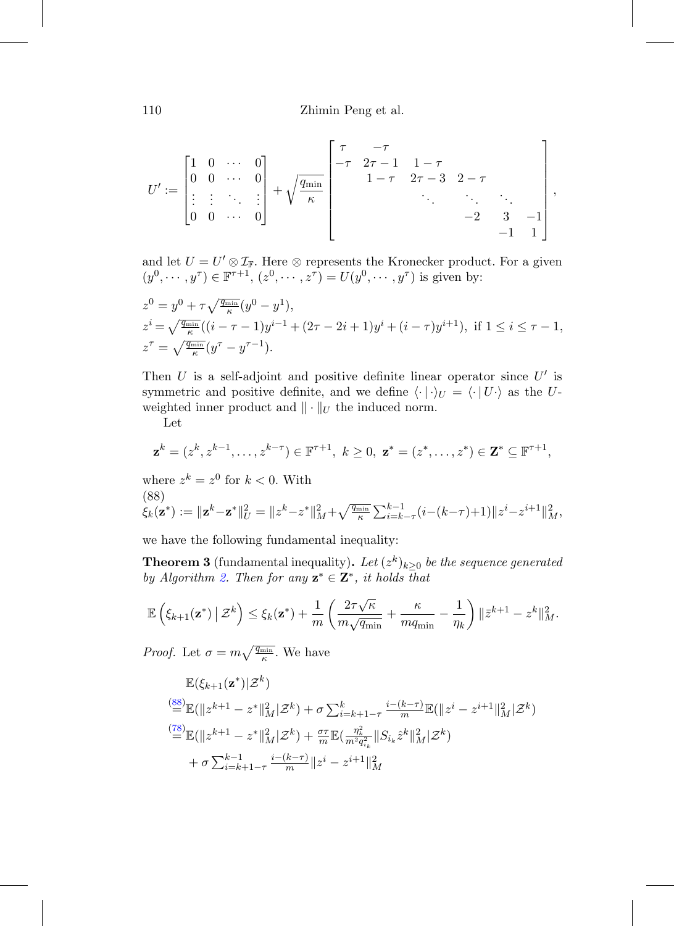$$
U':=\begin{bmatrix} 1 & 0 & \cdots & 0 \\ 0 & 0 & \cdots & 0 \\ \vdots & \vdots & \ddots & \vdots \\ 0 & 0 & \cdots & 0 \end{bmatrix} + \sqrt{\frac{q_{\min}}{\kappa}} \begin{bmatrix} \tau & -\tau & & & & \\ -\tau & 2\tau-1 & 1-\tau & & \\ & 1-\tau & 2\tau-3 & 2-\tau & \\ & & \ddots & \ddots & \ddots & \\ & & & -2 & 3 & -1 \\ & & & & -1 & 1 \end{bmatrix},
$$

and let  $U = U' \otimes \mathcal{I}_{\mathbb{F}}$ . Here  $\otimes$  represents the Kronecker product. For a given  $(y^0, \dots, y^\tau) \in \mathbb{F}^{\tau+1}$ ,  $(z^0, \dots, z^\tau) = U(y^0, \dots, y^\tau)$  is given by:

$$
z^{0} = y^{0} + \tau \sqrt{\frac{q_{\min}}{\kappa}} (y^{0} - y^{1}),
$$
  
\n
$$
z^{i} = \sqrt{\frac{q_{\min}}{\kappa}} ((i - \tau - 1)y^{i-1} + (2\tau - 2i + 1)y^{i} + (i - \tau)y^{i+1}), \text{ if } 1 \leq i \leq \tau - 1,
$$
  
\n
$$
z^{\tau} = \sqrt{\frac{q_{\min}}{\kappa}} (y^{\tau} - y^{\tau-1}).
$$

Then U is a self-adjoint and positive definite linear operator since  $U'$  is symmetric and positive definite, and we define  $\langle \cdot | \cdot \rangle_U = \langle \cdot | U \cdot \rangle$  as the Uweighted inner product and  $\|\cdot\|_U$  the induced norm.

Let

$$
\mathbf{z}^{k} = (z^{k}, z^{k-1}, \dots, z^{k-\tau}) \in \mathbb{F}^{\tau+1}, k \ge 0, \mathbf{z}^{*} = (z^{*}, \dots, z^{*}) \in \mathbf{Z}^{*} \subseteq \mathbb{F}^{\tau+1},
$$

where  $z^k = z^0$  for  $k < 0$ . With (88)  $\dot{\xi_k}(\mathbf{z}^*) := \|\mathbf{z}^k - \mathbf{z}^*\|_U^2 = \|z^k - z^*\|_M^2 + \sqrt{\tfrac{q_{\min}}{\kappa}} \sum_{i = k-\tau}^{k-1} (i - (k-\tau) + 1) \|z^i - z^{i+1}\|_M^2,$ 

<span id="page-53-0"></span>we have the following fundamental inequality:

**Theorem 3** (fundamental inequality). Let  $(z^k)_{k\geq 0}$  be the sequence generated by Algorithm [2.](#page-26-1) Then for any  $z^* \in Z^*$ , it holds that

$$
\mathbb{E}\left(\xi_{k+1}(\mathbf{z}^*)\,\big|\,\mathcal{Z}^k\right) \leq \xi_k(\mathbf{z}^*) + \frac{1}{m}\left(\frac{2\tau\sqrt{\kappa}}{m\sqrt{q_{\min}}} + \frac{\kappa}{mq_{\min}} - \frac{1}{\eta_k}\right)\|\bar{z}^{k+1} - z^k\|^2_M.
$$

*Proof.* Let  $\sigma = m\sqrt{\frac{q_{\min}}{\kappa}}$ . We have

$$
\mathbb{E}(\xi_{k+1}(\mathbf{z}^*)|\mathcal{Z}^k)
$$
\n
$$
\stackrel{(88)}{=} \mathbb{E}(\|z^{k+1} - z^*\|_M^2|\mathcal{Z}^k) + \sigma \sum_{i=k+1-\tau}^k \frac{i-(k-\tau)}{m} \mathbb{E}(\|z^i - z^{i+1}\|_M^2|\mathcal{Z}^k)
$$
\n
$$
\stackrel{(78)}{=} \mathbb{E}(\|z^{k+1} - z^*\|_M^2|\mathcal{Z}^k) + \frac{\sigma\tau}{m} \mathbb{E}(\frac{\eta_k^2}{m^2 q_{i_k}^2} \|S_{i_k}\hat{z}^k\|_M^2|\mathcal{Z}^k)
$$
\n
$$
+ \sigma \sum_{i=k+1-\tau}^{k-1} \frac{i-(k-\tau)}{m} \|z^i - z^{i+1}\|_M^2
$$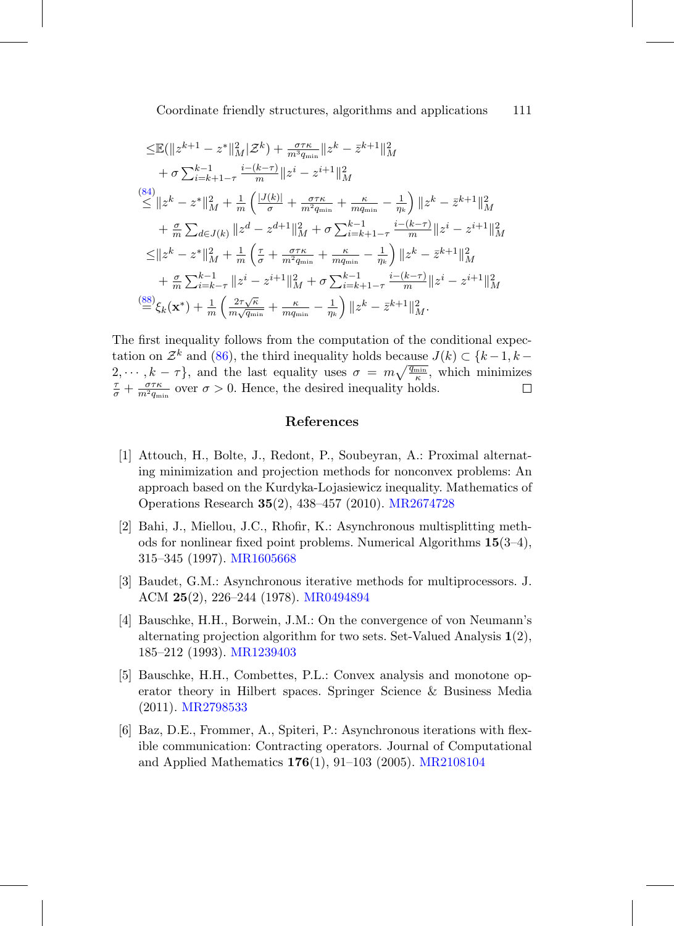$$
\leq \mathbb{E}(\|z^{k+1} - z^*\|_M^2 |\mathcal{Z}^k) + \frac{\sigma \tau \kappa}{m^3 q_{\min}} \|z^k - \bar{z}^{k+1}\|_M^2
$$
  
+  $\sigma \sum_{i=k+1-\tau}^{k-1} \frac{i - (k-\tau)}{m} \|z^i - z^{i+1}\|_M^2$   

$$
\leq \|z^k - z^*\|_M^2 + \frac{1}{m} \left( \frac{|J(k)|}{\sigma} + \frac{\sigma \tau \kappa}{m^2 q_{\min}} + \frac{\kappa}{m q_{\min}} - \frac{1}{\eta_k} \right) \|z^k - \bar{z}^{k+1}\|_M^2
$$
  
+  $\frac{\sigma}{m} \sum_{d \in J(k)} \|z^d - z^{d+1}\|_M^2 + \sigma \sum_{i=k+1-\tau}^{k-1} \frac{i - (k-\tau)}{m} \|z^i - z^{i+1}\|_M^2$   

$$
\leq \|z^k - z^*\|_M^2 + \frac{1}{m} \left( \frac{\tau}{\sigma} + \frac{\sigma \tau \kappa}{m^2 q_{\min}} + \frac{\kappa}{m q_{\min}} - \frac{1}{\eta_k} \right) \|z^k - \bar{z}^{k+1}\|_M^2
$$
  
+  $\frac{\sigma}{m} \sum_{i=k-\tau}^{k-1} \|z^i - z^{i+1}\|_M^2 + \sigma \sum_{i=k+1-\tau}^{k-1} \frac{i - (k-\tau)}{m} \|z^i - z^{i+1}\|_M^2$   

$$
\stackrel{(88)}{=} \xi_k(\mathbf{x}^*) + \frac{1}{m} \left( \frac{2\tau \sqrt{\kappa}}{m \sqrt{q_{\min}}} + \frac{\kappa}{m q_{\min}} - \frac{1}{\eta_k} \right) \|z^k - \bar{z}^{k+1}\|_M^2.
$$

The first inequality follows from the computation of the conditional expectation on  $\mathcal{Z}^k$  and [\(86\)](#page-52-0), the third inequality holds because  $J(k) \subset \{k-1, k-1\}$  $2, \dots, k - \tau$ , and the last equality uses  $\sigma = m \sqrt{\frac{q_{\min}}{\kappa}}$ , which minimizes  $\tau + \sigma \tau \kappa$ , over  $\sigma > 0$ . Hence the desired inequality holds  $\frac{\tau}{\sigma} + \frac{\sigma \tau \kappa}{m^2 q_{\min}}$  over  $\sigma > 0$ . Hence, the desired inequality holds.

### **References**

- <span id="page-54-1"></span>[1] Attouch, H., Bolte, J., Redont, P., Soubeyran, A.: Proximal alternating minimization and projection methods for nonconvex problems: An approach based on the Kurdyka-Lojasiewicz inequality. Mathematics of Operations Research **35**(2), 438–457 (2010). [MR2674728](http://www.ams.org/mathscinet-getitem?mr=2674728)
- <span id="page-54-3"></span>[2] Bahi, J., Miellou, J.C., Rhofir, K.: Asynchronous multisplitting methods for nonlinear fixed point problems. Numerical Algorithms **15**(3–4), 315–345 (1997). [MR1605668](http://www.ams.org/mathscinet-getitem?mr=1605668)
- <span id="page-54-2"></span>[3] Baudet, G.M.: Asynchronous iterative methods for multiprocessors. J. ACM **25**(2), 226–244 (1978). [MR0494894](http://www.ams.org/mathscinet-getitem?mr=0494894)
- <span id="page-54-0"></span>[4] Bauschke, H.H., Borwein, J.M.: On the convergence of von Neumann's alternating projection algorithm for two sets. Set-Valued Analysis **1**(2), 185–212 (1993). [MR1239403](http://www.ams.org/mathscinet-getitem?mr=1239403)
- <span id="page-54-5"></span>[5] Bauschke, H.H., Combettes, P.L.: Convex analysis and monotone operator theory in Hilbert spaces. Springer Science & Business Media (2011). [MR2798533](http://www.ams.org/mathscinet-getitem?mr=2798533)
- <span id="page-54-4"></span>[6] Baz, D.E., Frommer, A., Spiteri, P.: Asynchronous iterations with flexible communication: Contracting operators. Journal of Computational and Applied Mathematics **176**(1), 91–103 (2005). [MR2108104](http://www.ams.org/mathscinet-getitem?mr=2108104)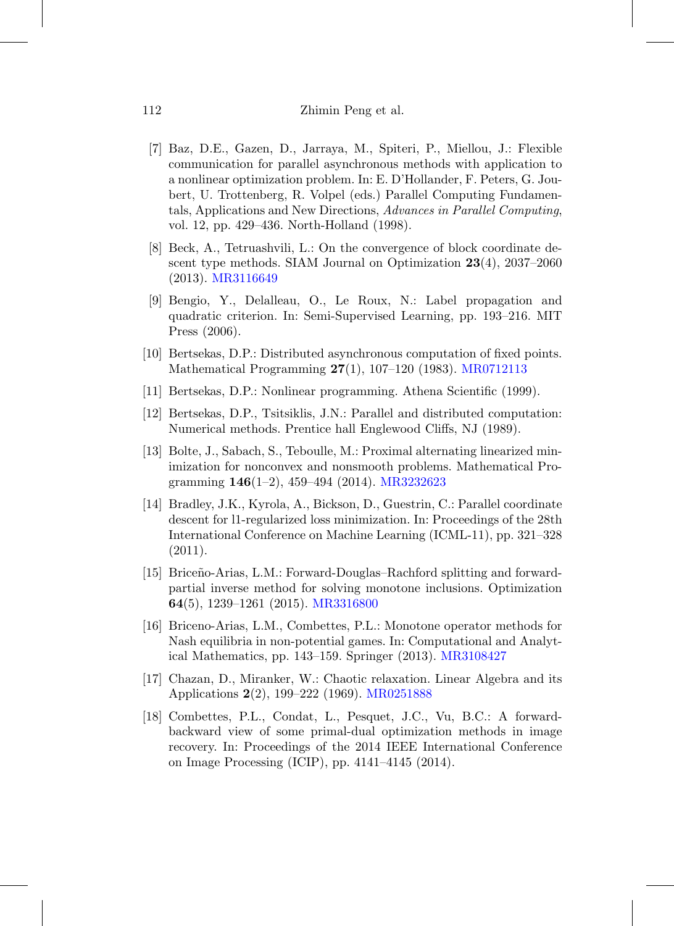- <span id="page-55-7"></span>[7] Baz, D.E., Gazen, D., Jarraya, M., Spiteri, P., Miellou, J.: Flexible communication for parallel asynchronous methods with application to a nonlinear optimization problem. In: E. D'Hollander, F. Peters, G. Joubert, U. Trottenberg, R. Volpel (eds.) Parallel Computing Fundamentals, Applications and New Directions, Advances in Parallel Computing, vol. 12, pp. 429–436. North-Holland (1998).
- <span id="page-55-0"></span>[8] Beck, A., Tetruashvili, L.: On the convergence of block coordinate descent type methods. SIAM Journal on Optimization **23**(4), 2037–2060 (2013). [MR3116649](http://www.ams.org/mathscinet-getitem?mr=3116649)
- <span id="page-55-8"></span>[9] Bengio, Y., Delalleau, O., Le Roux, N.: Label propagation and quadratic criterion. In: Semi-Supervised Learning, pp. 193–216. MIT Press (2006).
- <span id="page-55-6"></span>[10] Bertsekas, D.P.: Distributed asynchronous computation of fixed points. Mathematical Programming **27**(1), 107–120 (1983). [MR0712113](http://www.ams.org/mathscinet-getitem?mr=0712113)
- <span id="page-55-2"></span>[11] Bertsekas, D.P.: Nonlinear programming. Athena Scientific (1999).
- <span id="page-55-4"></span>[12] Bertsekas, D.P., Tsitsiklis, J.N.: Parallel and distributed computation: Numerical methods. Prentice hall Englewood Cliffs, NJ (1989).
- <span id="page-55-1"></span>[13] Bolte, J., Sabach, S., Teboulle, M.: Proximal alternating linearized minimization for nonconvex and nonsmooth problems. Mathematical Programming **146**(1–2), 459–494 (2014). [MR3232623](http://www.ams.org/mathscinet-getitem?mr=3232623)
- <span id="page-55-5"></span>[14] Bradley, J.K., Kyrola, A., Bickson, D., Guestrin, C.: Parallel coordinate descent for l1-regularized loss minimization. In: Proceedings of the 28th International Conference on Machine Learning (ICML-11), pp. 321–328 (2011).
- <span id="page-55-9"></span>[15] Brice˜no-Arias, L.M.: Forward-Douglas–Rachford splitting and forwardpartial inverse method for solving monotone inclusions. Optimization **64**(5), 1239–1261 (2015). [MR3316800](http://www.ams.org/mathscinet-getitem?mr=3316800)
- <span id="page-55-11"></span>[16] Briceno-Arias, L.M., Combettes, P.L.: Monotone operator methods for Nash equilibria in non-potential games. In: Computational and Analytical Mathematics, pp. 143–159. Springer (2013). [MR3108427](http://www.ams.org/mathscinet-getitem?mr=3108427)
- <span id="page-55-3"></span>[17] Chazan, D., Miranker, W.: Chaotic relaxation. Linear Algebra and its Applications **2**(2), 199–222 (1969). [MR0251888](http://www.ams.org/mathscinet-getitem?mr=0251888)
- <span id="page-55-10"></span>[18] Combettes, P.L., Condat, L., Pesquet, J.C., Vu, B.C.: A forwardbackward view of some primal-dual optimization methods in image recovery. In: Proceedings of the 2014 IEEE International Conference on Image Processing (ICIP), pp. 4141–4145 (2014).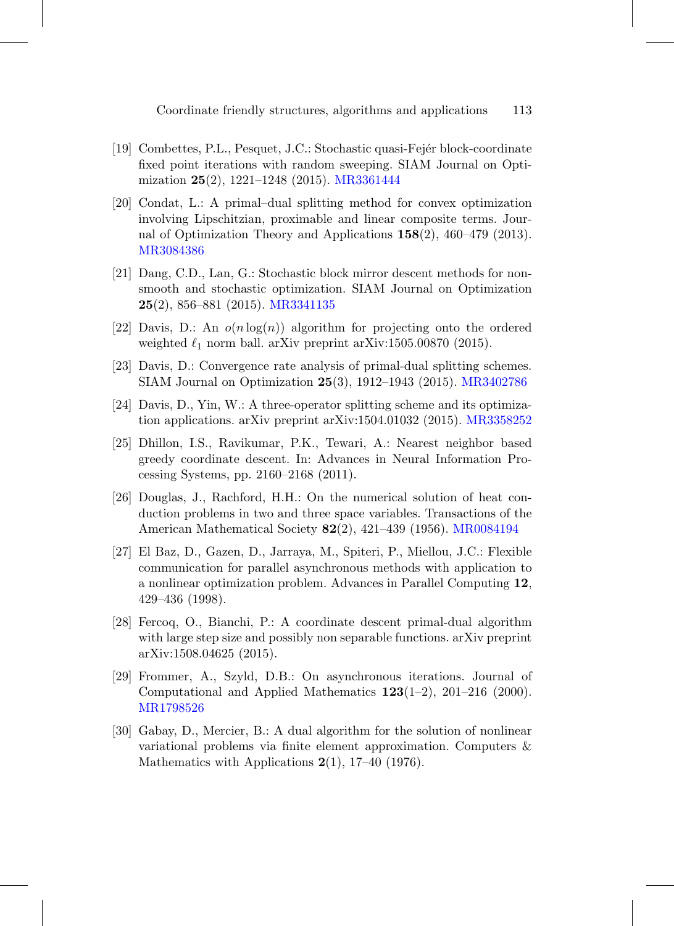- <span id="page-56-6"></span>[19] Combettes, P.L., Pesquet, J.C.: Stochastic quasi-Fejér block-coordinate fixed point iterations with random sweeping. SIAM Journal on Optimization **25**(2), 1221–1248 (2015). [MR3361444](http://www.ams.org/mathscinet-getitem?mr=3361444)
- <span id="page-56-8"></span>[20] Condat, L.: A primal–dual splitting method for convex optimization involving Lipschitzian, proximable and linear composite terms. Journal of Optimization Theory and Applications **158**(2), 460–479 (2013). [MR3084386](http://www.ams.org/mathscinet-getitem?mr=3084386)
- <span id="page-56-2"></span>[21] Dang, C.D., Lan, G.: Stochastic block mirror descent methods for nonsmooth and stochastic optimization. SIAM Journal on Optimization **25**(2), 856–881 (2015). [MR3341135](http://www.ams.org/mathscinet-getitem?mr=3341135)
- <span id="page-56-11"></span>[22] Davis, D.: An  $o(n \log(n))$  algorithm for projecting onto the ordered weighted  $\ell_1$  norm ball. arXiv preprint arXiv:1505.00870 (2015).
- <span id="page-56-9"></span>[23] Davis, D.: Convergence rate analysis of primal-dual splitting schemes. SIAM Journal on Optimization **25**(3), 1912–1943 (2015). [MR3402786](http://www.ams.org/mathscinet-getitem?mr=3402786)
- <span id="page-56-7"></span>[24] Davis, D., Yin, W.: A three-operator splitting scheme and its optimization applications. arXiv preprint arXiv:1504.01032 (2015). [MR3358252](http://www.ams.org/mathscinet-getitem?mr=3358252)
- <span id="page-56-3"></span>[25] Dhillon, I.S., Ravikumar, P.K., Tewari, A.: Nearest neighbor based greedy coordinate descent. In: Advances in Neural Information Processing Systems, pp. 2160–2168 (2011).
- <span id="page-56-1"></span>[26] Douglas, J., Rachford, H.H.: On the numerical solution of heat conduction problems in two and three space variables. Transactions of the American Mathematical Society **82**(2), 421–439 (1956). [MR0084194](http://www.ams.org/mathscinet-getitem?mr=0084194)
- <span id="page-56-4"></span>[27] El Baz, D., Gazen, D., Jarraya, M., Spiteri, P., Miellou, J.C.: Flexible communication for parallel asynchronous methods with application to a nonlinear optimization problem. Advances in Parallel Computing **12**, 429–436 (1998).
- <span id="page-56-10"></span>[28] Fercoq, O., Bianchi, P.: A coordinate descent primal-dual algorithm with large step size and possibly non separable functions. arXiv preprint arXiv:1508.04625 (2015).
- <span id="page-56-5"></span>[29] Frommer, A., Szyld, D.B.: On asynchronous iterations. Journal of Computational and Applied Mathematics **123**(1–2), 201–216 (2000). [MR1798526](http://www.ams.org/mathscinet-getitem?mr=1798526)
- <span id="page-56-0"></span>[30] Gabay, D., Mercier, B.: A dual algorithm for the solution of nonlinear variational problems via finite element approximation. Computers & Mathematics with Applications **2**(1), 17–40 (1976).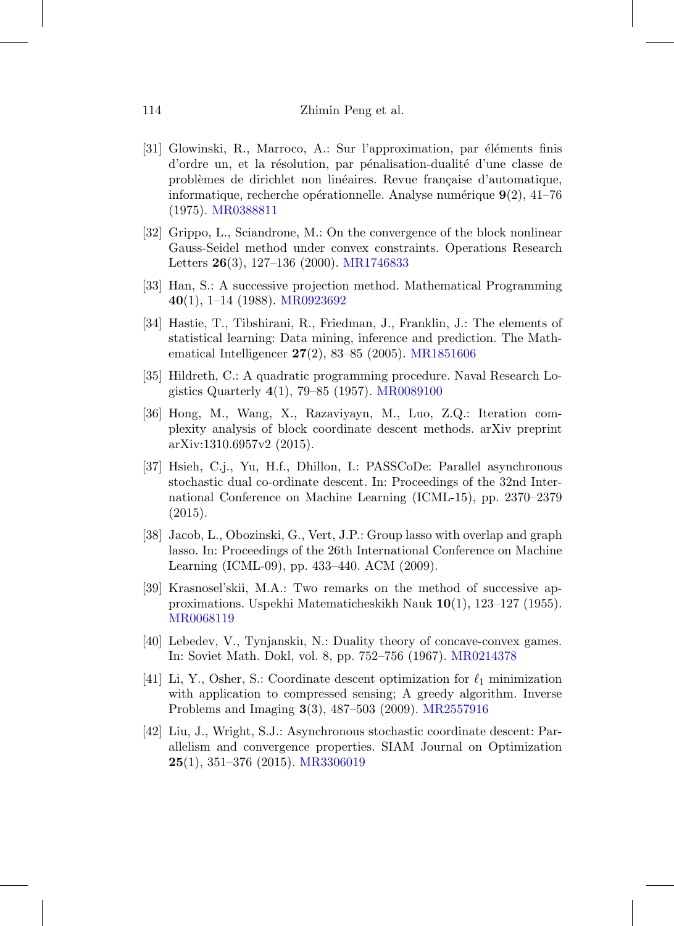- <span id="page-57-0"></span>[31] Glowinski, R., Marroco, A.: Sur l'approximation, par éléments finis d'ordre un, et la résolution, par pénalisation-dualité d'une classe de problèmes de dirichlet non linéaires. Revue française d'automatique, informatique, recherche opérationnelle. Analyse numérique  $9(2)$ , 41–76 (1975). [MR0388811](http://www.ams.org/mathscinet-getitem?mr=0388811)
- <span id="page-57-3"></span>[32] Grippo, L., Sciandrone, M.: On the convergence of the block nonlinear Gauss-Seidel method under convex constraints. Operations Research Letters **26**(3), 127–136 (2000). [MR1746833](http://www.ams.org/mathscinet-getitem?mr=1746833)
- <span id="page-57-2"></span>[33] Han, S.: A successive projection method. Mathematical Programming **40**(1), 1–14 (1988). [MR0923692](http://www.ams.org/mathscinet-getitem?mr=0923692)
- <span id="page-57-10"></span>[34] Hastie, T., Tibshirani, R., Friedman, J., Franklin, J.: The elements of statistical learning: Data mining, inference and prediction. The Mathematical Intelligencer **27**(2), 83–85 (2005). [MR1851606](http://www.ams.org/mathscinet-getitem?mr=1851606)
- <span id="page-57-1"></span>[35] Hildreth, C.: A quadratic programming procedure. Naval Research Logistics Quarterly **4**(1), 79–85 (1957). [MR0089100](http://www.ams.org/mathscinet-getitem?mr=0089100)
- <span id="page-57-4"></span>[36] Hong, M., Wang, X., Razaviyayn, M., Luo, Z.Q.: Iteration complexity analysis of block coordinate descent methods. arXiv preprint arXiv:1310.6957v2 (2015).
- <span id="page-57-7"></span>[37] Hsieh, C.j., Yu, H.f., Dhillon, I.: PASSCoDe: Parallel asynchronous stochastic dual co-ordinate descent. In: Proceedings of the 32nd International Conference on Machine Learning (ICML-15), pp. 2370–2379 (2015).
- <span id="page-57-11"></span>[38] Jacob, L., Obozinski, G., Vert, J.P.: Group lasso with overlap and graph lasso. In: Proceedings of the 26th International Conference on Machine Learning (ICML-09), pp. 433–440. ACM (2009).
- <span id="page-57-9"></span>[39] Krasnosel'skii, M.A.: Two remarks on the method of successive approximations. Uspekhi Matematicheskikh Nauk **10**(1), 123–127 (1955). [MR0068119](http://www.ams.org/mathscinet-getitem?mr=0068119)
- <span id="page-57-8"></span>[40] Lebedev, V., Tynjanskiı, N.: Duality theory of concave-convex games. In: Soviet Math. Dokl, vol. 8, pp. 752–756 (1967). [MR0214378](http://www.ams.org/mathscinet-getitem?mr=0214378)
- <span id="page-57-5"></span>[41] Li, Y., Osher, S.: Coordinate descent optimization for  $\ell_1$  minimization with application to compressed sensing; A greedy algorithm. Inverse Problems and Imaging **3**(3), 487–503 (2009). [MR2557916](http://www.ams.org/mathscinet-getitem?mr=2557916)
- <span id="page-57-6"></span>[42] Liu, J., Wright, S.J.: Asynchronous stochastic coordinate descent: Parallelism and convergence properties. SIAM Journal on Optimization **25**(1), 351–376 (2015). [MR3306019](http://www.ams.org/mathscinet-getitem?mr=3306019)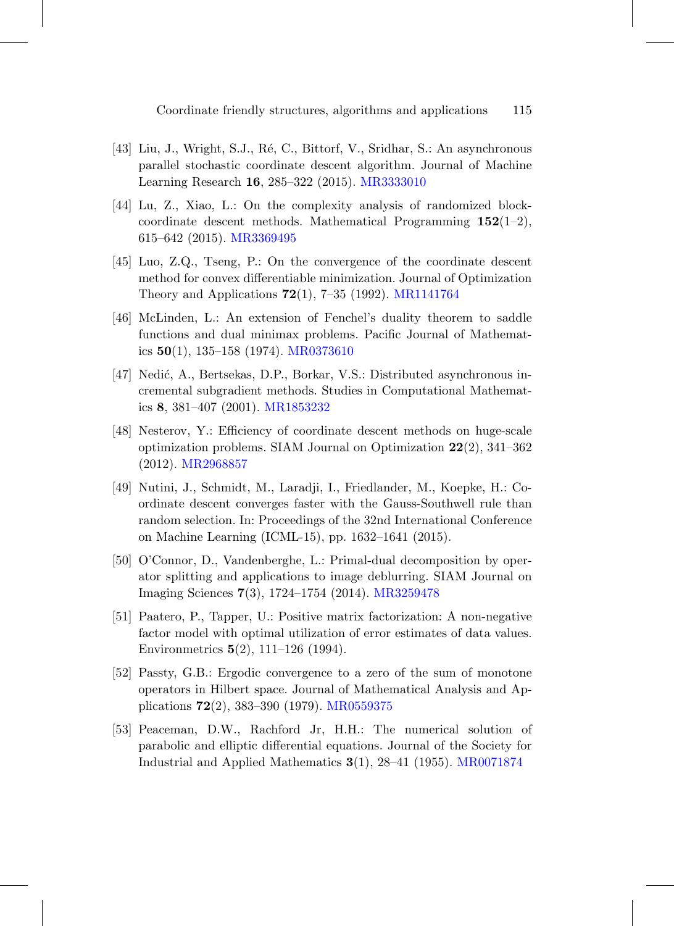- <span id="page-58-5"></span>[43] Liu, J., Wright, S.J., Ré, C., Bittorf, V., Sridhar, S.: An asynchronous parallel stochastic coordinate descent algorithm. Journal of Machine Learning Research **16**, 285–322 (2015). [MR3333010](http://www.ams.org/mathscinet-getitem?mr=3333010)
- <span id="page-58-2"></span>[44] Lu, Z., Xiao, L.: On the complexity analysis of randomized blockcoordinate descent methods. Mathematical Programming **152**(1–2), 615–642 (2015). [MR3369495](http://www.ams.org/mathscinet-getitem?mr=3369495)
- <span id="page-58-0"></span>[45] Luo, Z.Q., Tseng, P.: On the convergence of the coordinate descent method for convex differentiable minimization. Journal of Optimization Theory and Applications **72**(1), 7–35 (1992). [MR1141764](http://www.ams.org/mathscinet-getitem?mr=1141764)
- <span id="page-58-8"></span>[46] McLinden, L.: An extension of Fenchel's duality theorem to saddle functions and dual minimax problems. Pacific Journal of Mathematics **50**(1), 135–158 (1974). [MR0373610](http://www.ams.org/mathscinet-getitem?mr=0373610)
- <span id="page-58-4"></span>[47] Nedić, A., Bertsekas, D.P., Borkar, V.S.: Distributed asynchronous incremental subgradient methods. Studies in Computational Mathematics **8**, 381–407 (2001). [MR1853232](http://www.ams.org/mathscinet-getitem?mr=1853232)
- <span id="page-58-1"></span>[48] Nesterov, Y.: Efficiency of coordinate descent methods on huge-scale optimization problems. SIAM Journal on Optimization **22**(2), 341–362 (2012). [MR2968857](http://www.ams.org/mathscinet-getitem?mr=2968857)
- <span id="page-58-3"></span>[49] Nutini, J., Schmidt, M., Laradji, I., Friedlander, M., Koepke, H.: Coordinate descent converges faster with the Gauss-Southwell rule than random selection. In: Proceedings of the 32nd International Conference on Machine Learning (ICML-15), pp. 1632–1641 (2015).
- <span id="page-58-9"></span>[50] O'Connor, D., Vandenberghe, L.: Primal-dual decomposition by operator splitting and applications to image deblurring. SIAM Journal on Imaging Sciences **7**(3), 1724–1754 (2014). [MR3259478](http://www.ams.org/mathscinet-getitem?mr=3259478)
- <span id="page-58-10"></span>[51] Paatero, P., Tapper, U.: Positive matrix factorization: A non-negative factor model with optimal utilization of error estimates of data values. Environmetrics **5**(2), 111–126 (1994).
- <span id="page-58-6"></span>[52] Passty, G.B.: Ergodic convergence to a zero of the sum of monotone operators in Hilbert space. Journal of Mathematical Analysis and Applications **72**(2), 383–390 (1979). [MR0559375](http://www.ams.org/mathscinet-getitem?mr=0559375)
- <span id="page-58-7"></span>[53] Peaceman, D.W., Rachford Jr, H.H.: The numerical solution of parabolic and elliptic differential equations. Journal of the Society for Industrial and Applied Mathematics **3**(1), 28–41 (1955). [MR0071874](http://www.ams.org/mathscinet-getitem?mr=0071874)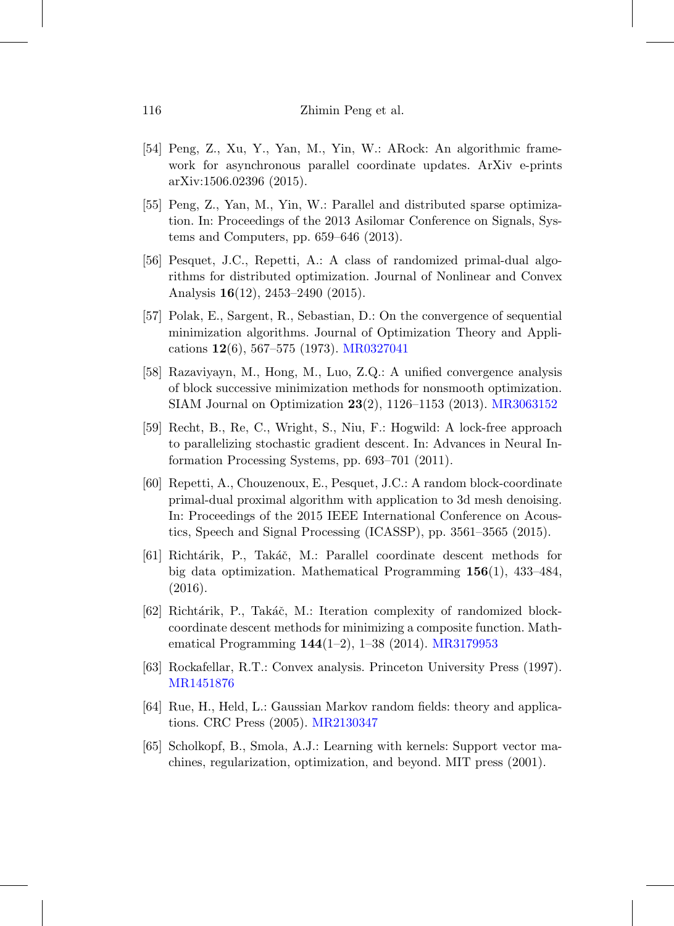- <span id="page-59-4"></span>[54] Peng, Z., Xu, Y., Yan, M., Yin, W.: ARock: An algorithmic framework for asynchronous parallel coordinate updates. ArXiv e-prints arXiv:1506.02396 (2015).
- <span id="page-59-3"></span>[55] Peng, Z., Yan, M., Yin, W.: Parallel and distributed sparse optimization. In: Proceedings of the 2013 Asilomar Conference on Signals, Systems and Computers, pp. 659–646 (2013).
- <span id="page-59-8"></span>[56] Pesquet, J.C., Repetti, A.: A class of randomized primal-dual algorithms for distributed optimization. Journal of Nonlinear and Convex Analysis **16**(12), 2453–2490 (2015).
- <span id="page-59-0"></span>[57] Polak, E., Sargent, R., Sebastian, D.: On the convergence of sequential minimization algorithms. Journal of Optimization Theory and Applications **12**(6), 567–575 (1973). [MR0327041](http://www.ams.org/mathscinet-getitem?mr=0327041)
- <span id="page-59-1"></span>[58] Razaviyayn, M., Hong, M., Luo, Z.Q.: A unified convergence analysis of block successive minimization methods for nonsmooth optimization. SIAM Journal on Optimization **23**(2), 1126–1153 (2013). [MR3063152](http://www.ams.org/mathscinet-getitem?mr=3063152)
- <span id="page-59-6"></span>[59] Recht, B., Re, C., Wright, S., Niu, F.: Hogwild: A lock-free approach to parallelizing stochastic gradient descent. In: Advances in Neural Information Processing Systems, pp. 693–701 (2011).
- <span id="page-59-10"></span>[60] Repetti, A., Chouzenoux, E., Pesquet, J.C.: A random block-coordinate primal-dual proximal algorithm with application to 3d mesh denoising. In: Proceedings of the 2015 IEEE International Conference on Acoustics, Speech and Signal Processing (ICASSP), pp. 3561–3565 (2015).
- <span id="page-59-5"></span>[61] Richt´arik, P., Tak´aˇc, M.: Parallel coordinate descent methods for big data optimization. Mathematical Programming **156**(1), 433–484, (2016).
- <span id="page-59-2"></span>[62] Richtárik, P., Takáč, M.: Iteration complexity of randomized blockcoordinate descent methods for minimizing a composite function. Mathematical Programming **144**(1–2), 1–38 (2014). [MR3179953](http://www.ams.org/mathscinet-getitem?mr=3179953)
- <span id="page-59-11"></span>[63] Rockafellar, R.T.: Convex analysis. Princeton University Press (1997). [MR1451876](http://www.ams.org/mathscinet-getitem?mr=1451876)
- <span id="page-59-7"></span>[64] Rue, H., Held, L.: Gaussian Markov random fields: theory and applications. CRC Press (2005). [MR2130347](http://www.ams.org/mathscinet-getitem?mr=2130347)
- <span id="page-59-9"></span>[65] Scholkopf, B., Smola, A.J.: Learning with kernels: Support vector machines, regularization, optimization, and beyond. MIT press (2001).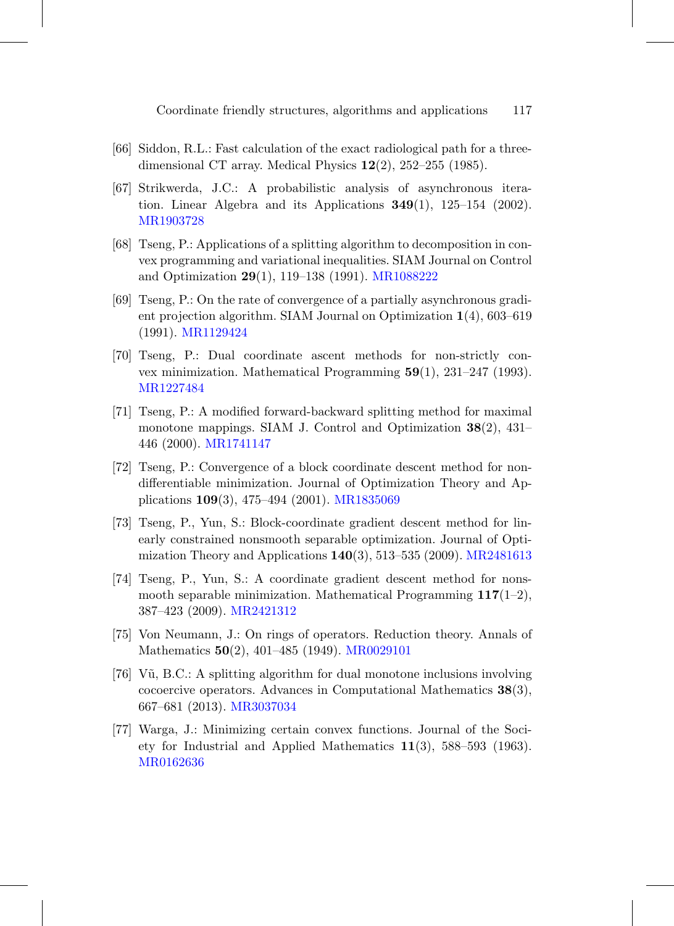- <span id="page-60-11"></span>[66] Siddon, R.L.: Fast calculation of the exact radiological path for a threedimensional CT array. Medical Physics **12**(2), 252–255 (1985).
- <span id="page-60-7"></span>[67] Strikwerda, J.C.: A probabilistic analysis of asynchronous iteration. Linear Algebra and its Applications **349**(1), 125–154 (2002). [MR1903728](http://www.ams.org/mathscinet-getitem?mr=1903728)
- <span id="page-60-10"></span>[68] Tseng, P.: Applications of a splitting algorithm to decomposition in convex programming and variational inequalities. SIAM Journal on Control and Optimization **29**(1), 119–138 (1991). [MR1088222](http://www.ams.org/mathscinet-getitem?mr=1088222)
- <span id="page-60-6"></span>[69] Tseng, P.: On the rate of convergence of a partially asynchronous gradient projection algorithm. SIAM Journal on Optimization **1**(4), 603–619 (1991). [MR1129424](http://www.ams.org/mathscinet-getitem?mr=1129424)
- <span id="page-60-2"></span>[70] Tseng, P.: Dual coordinate ascent methods for non-strictly convex minimization. Mathematical Programming **59**(1), 231–247 (1993). [MR1227484](http://www.ams.org/mathscinet-getitem?mr=1227484)
- <span id="page-60-8"></span>[71] Tseng, P.: A modified forward-backward splitting method for maximal monotone mappings. SIAM J. Control and Optimization **38**(2), 431– 446 (2000). [MR1741147](http://www.ams.org/mathscinet-getitem?mr=1741147)
- <span id="page-60-3"></span>[72] Tseng, P.: Convergence of a block coordinate descent method for nondifferentiable minimization. Journal of Optimization Theory and Applications **109**(3), 475–494 (2001). [MR1835069](http://www.ams.org/mathscinet-getitem?mr=1835069)
- <span id="page-60-5"></span>[73] Tseng, P., Yun, S.: Block-coordinate gradient descent method for linearly constrained nonsmooth separable optimization. Journal of Optimization Theory and Applications **140**(3), 513–535 (2009). [MR2481613](http://www.ams.org/mathscinet-getitem?mr=2481613)
- <span id="page-60-4"></span>[74] Tseng, P., Yun, S.: A coordinate gradient descent method for nonsmooth separable minimization. Mathematical Programming **117**(1–2), 387–423 (2009). [MR2421312](http://www.ams.org/mathscinet-getitem?mr=2421312)
- <span id="page-60-0"></span>[75] Von Neumann, J.: On rings of operators. Reduction theory. Annals of Mathematics **50**(2), 401–485 (1949). [MR0029101](http://www.ams.org/mathscinet-getitem?mr=0029101)
- <span id="page-60-9"></span>[76]  $V\tilde{u}$ , B.C.: A splitting algorithm for dual monotone inclusions involving cocoercive operators. Advances in Computational Mathematics **38**(3), 667–681 (2013). [MR3037034](http://www.ams.org/mathscinet-getitem?mr=3037034)
- <span id="page-60-1"></span>[77] Warga, J.: Minimizing certain convex functions. Journal of the Society for Industrial and Applied Mathematics **11**(3), 588–593 (1963). [MR0162636](http://www.ams.org/mathscinet-getitem?mr=0162636)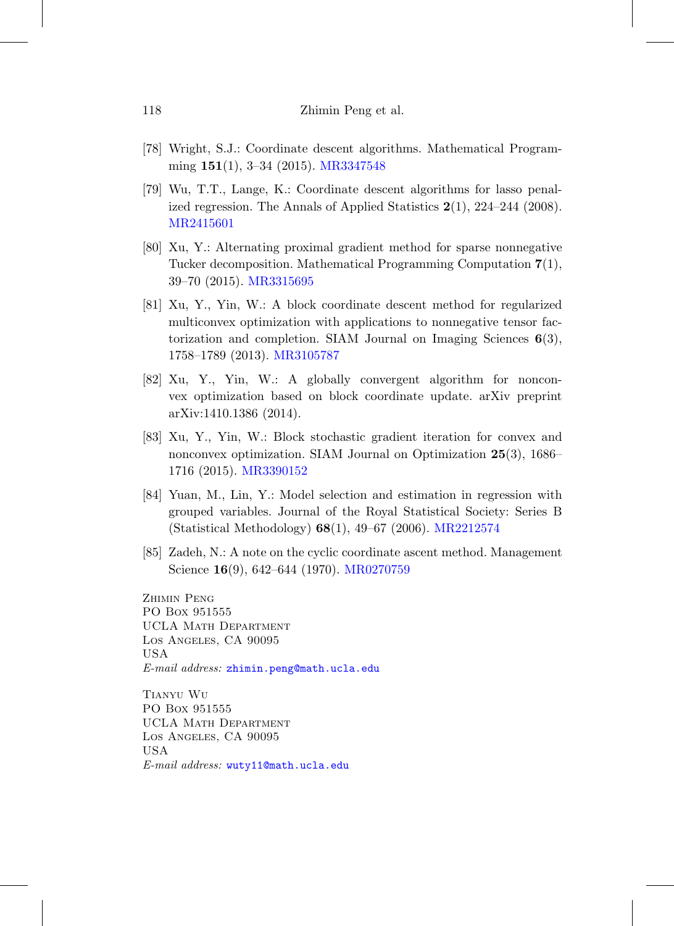- <span id="page-61-1"></span>[78] Wright, S.J.: Coordinate descent algorithms. Mathematical Programming **151**(1), 3–34 (2015). [MR3347548](http://www.ams.org/mathscinet-getitem?mr=3347548)
- <span id="page-61-6"></span>[79] Wu, T.T., Lange, K.: Coordinate descent algorithms for lasso penalized regression. The Annals of Applied Statistics **2**(1), 224–244 (2008). [MR2415601](http://www.ams.org/mathscinet-getitem?mr=2415601)
- <span id="page-61-4"></span>[80] Xu, Y.: Alternating proximal gradient method for sparse nonnegative Tucker decomposition. Mathematical Programming Computation **7**(1), 39–70 (2015). [MR3315695](http://www.ams.org/mathscinet-getitem?mr=3315695)
- <span id="page-61-2"></span>[81] Xu, Y., Yin, W.: A block coordinate descent method for regularized multiconvex optimization with applications to nonnegative tensor factorization and completion. SIAM Journal on Imaging Sciences **6**(3), 1758–1789 (2013). [MR3105787](http://www.ams.org/mathscinet-getitem?mr=3105787)
- <span id="page-61-3"></span>[82] Xu, Y., Yin, W.: A globally convergent algorithm for nonconvex optimization based on block coordinate update. arXiv preprint arXiv:1410.1386 (2014).
- <span id="page-61-5"></span>[83] Xu, Y., Yin, W.: Block stochastic gradient iteration for convex and nonconvex optimization. SIAM Journal on Optimization **25**(3), 1686– 1716 (2015). [MR3390152](http://www.ams.org/mathscinet-getitem?mr=3390152)
- <span id="page-61-7"></span>[84] Yuan, M., Lin, Y.: Model selection and estimation in regression with grouped variables. Journal of the Royal Statistical Society: Series B (Statistical Methodology) **68**(1), 49–67 (2006). [MR2212574](http://www.ams.org/mathscinet-getitem?mr=2212574)
- <span id="page-61-0"></span>[85] Zadeh, N.: A note on the cyclic coordinate ascent method. Management Science **16**(9), 642–644 (1970). [MR0270759](http://www.ams.org/mathscinet-getitem?mr=0270759)

ZHIMIN PENG PO Box 951555 UCLA Math Department Los Angeles, CA 90095 USA E-mail address: [zhimin.peng@math.ucla.edu](mailto:zhimin.peng@math.ucla.edu)

Tianyu Wu PO Box 951555 UCLA Math Department Los Angeles, CA 90095 USA E-mail address: [wuty11@math.ucla.edu](mailto:wuty11@math.ucla.edu)